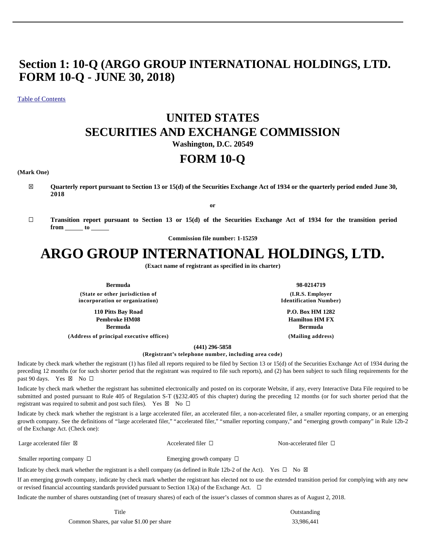# **Section 1: 10-Q (ARGO GROUP INTERNATIONAL HOLDINGS, LTD. FORM 10-Q - JUNE 30, 2018)**

Table of Contents

# **UNITED STATES SECURITIES AND EXCHANGE COMMISSION**

**Washington, D.C. 20549**

# **FORM 10-Q**

#### **(Mark One)**

☒ **Quarterly report pursuant to Section 13 or 15(d) of the Securities Exchange Act of 1934 or the quarterly period ended June 30, 2018**

**or**

☐ **Transition report pursuant to Section 13 or 15(d) of the Securities Exchange Act of 1934 for the transition period**  from to <u>be the set</u>

**Commission file number: 1-15259**

# **ARGO GROUP INTERNATIONAL HOLDINGS, LTD.**

**(Exact name of registrant as specified in its charter)**

**(State or other jurisdiction of incorporation or organization)**

> **110 Pitts Bay Road Pembroke HM08 Bermuda**

**(Address of principal executive offices) (Mailing address)**

**(441) 296-5858**

**(Registrant's telephone number, including area code)**

Indicate by check mark whether the registrant (1) has filed all reports required to be filed by Section 13 or 15(d) of the Securities Exchange Act of 1934 during the preceding 12 months (or for such shorter period that the registrant was required to file such reports), and (2) has been subject to such filing requirements for the past 90 days. Yes  $\boxtimes$  No  $\Box$ 

Indicate by check mark whether the registrant has submitted electronically and posted on its corporate Website, if any, every Interactive Data File required to be submitted and posted pursuant to Rule 405 of Regulation S-T (§232.405 of this chapter) during the preceding 12 months (or for such shorter period that the registrant was required to submit and post such files). Yes  $\boxtimes$  No  $\Box$ 

Indicate by check mark whether the registrant is a large accelerated filer, an accelerated filer, a non-accelerated filer, a smaller reporting company, or an emerging growth company. See the definitions of "large accelerated filer," "accelerated filer," "smaller reporting company," and "emerging growth company" in Rule 12b-2 of the Exchange Act. (Check one):

Large accelerated filer ⊠ Accelerated filer □ Non-accelerated filer □

Smaller reporting company □ Emerging growth company □

Indicate by check mark whether the registrant is a shell company (as defined in Rule 12b-2 of the Act). Yes  $\Box$  No  $\boxtimes$ 

If an emerging growth company, indicate by check mark whether the registrant has elected not to use the extended transition period for complying with any new or revised financial accounting standards provided pursuant to Section 13(a) of the Exchange Act.  $\Box$ 

Indicate the number of shares outstanding (net of treasury shares) of each of the issuer's classes of common shares as of August 2, 2018.

| Title                                     | Outstanding |
|-------------------------------------------|-------------|
| Common Shares, par value \$1.00 per share | 33.986.441  |

**Bermuda 98-0214719**

**(I.R.S. Employer Identification Number)**

**P.O. Box HM 1282 Hamilton HM FX Bermuda**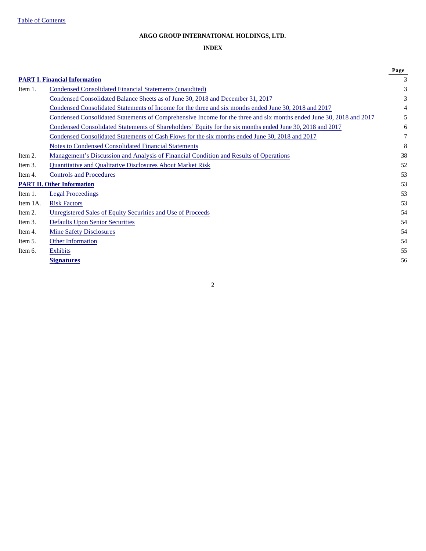# **ARGO GROUP INTERNATIONAL HOLDINGS, LTD.**

# **INDEX**

|          |                                                                                                                     | Page |
|----------|---------------------------------------------------------------------------------------------------------------------|------|
|          | <b>PART I. Financial Information</b>                                                                                | 3    |
| Item 1.  | <b>Condensed Consolidated Financial Statements (unaudited)</b>                                                      | 3    |
|          | Condensed Consolidated Balance Sheets as of June 30, 2018 and December 31, 2017                                     | 3    |
|          | Condensed Consolidated Statements of Income for the three and six months ended June 30, 2018 and 2017               | 4    |
|          | Condensed Consolidated Statements of Comprehensive Income for the three and six months ended June 30, 2018 and 2017 | 5    |
|          | Condensed Consolidated Statements of Shareholders' Equity for the six months ended June 30, 2018 and 2017           | 6    |
|          | Condensed Consolidated Statements of Cash Flows for the six months ended June 30, 2018 and 2017                     |      |
|          | <b>Notes to Condensed Consolidated Financial Statements</b>                                                         | 8    |
| Item 2.  | Management's Discussion and Analysis of Financial Condition and Results of Operations                               | 38   |
| Item 3.  | <b>Quantitative and Qualitative Disclosures About Market Risk</b>                                                   | 52   |
| Item 4.  | <b>Controls and Procedures</b>                                                                                      | 53   |
|          | <b>PART II. Other Information</b>                                                                                   | 53   |
| Item 1.  | <b>Legal Proceedings</b>                                                                                            | 53   |
| Item 1A. | <b>Risk Factors</b>                                                                                                 | 53   |
| Item 2.  | Unregistered Sales of Equity Securities and Use of Proceeds                                                         | 54   |
| Item 3.  | <b>Defaults Upon Senior Securities</b>                                                                              | 54   |
| Item 4.  | <b>Mine Safety Disclosures</b>                                                                                      | 54   |
| Item 5.  | <b>Other Information</b>                                                                                            | 54   |
| Item 6.  | <b>Exhibits</b>                                                                                                     | 55   |
|          | <b>Signatures</b>                                                                                                   | 56   |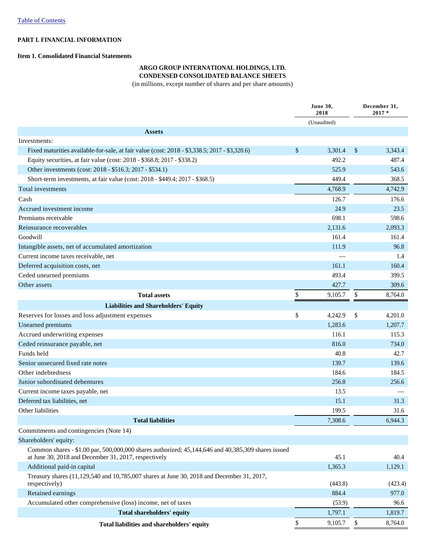# **PART I. FINANCIAL INFORMATION**

#### **Item 1. Consolidated Financial Statements**

# **ARGO GROUP INTERNATIONAL HOLDINGS, LTD. CONDENSED CONSOLIDATED BALANCE SHEETS**

(in millions, except number of shares and per share amounts)

|                                                                                                                                                            | June 30,<br>2018 | December 31,<br>$2017*$ |         |  |
|------------------------------------------------------------------------------------------------------------------------------------------------------------|------------------|-------------------------|---------|--|
|                                                                                                                                                            | (Unaudited)      |                         |         |  |
| <b>Assets</b>                                                                                                                                              |                  |                         |         |  |
| Investments:                                                                                                                                               |                  |                         |         |  |
| Fixed maturities available-for-sale, at fair value (cost: 2018 - \$3,338.5; 2017 - \$3,320.6)                                                              | \$<br>3,301.4    | $\mathbb{S}$            | 3,343.4 |  |
| Equity securities, at fair value (cost: 2018 - \$368.8; 2017 - \$338.2)                                                                                    | 492.2            |                         | 487.4   |  |
| Other investments (cost: 2018 - \$516.3; 2017 - \$534.1)                                                                                                   | 525.9            |                         | 543.6   |  |
| Short-term investments, at fair value (cost: 2018 - \$449.4; 2017 - \$368.5)                                                                               | 449.4            |                         | 368.5   |  |
| <b>Total investments</b>                                                                                                                                   | 4,768.9          |                         | 4,742.9 |  |
| Cash                                                                                                                                                       | 126.7            |                         | 176.6   |  |
| Accrued investment income                                                                                                                                  | 24.9             |                         | 23.5    |  |
| Premiums receivable                                                                                                                                        | 698.1            |                         | 598.6   |  |
| Reinsurance recoverables                                                                                                                                   | 2,131.6          |                         | 2,093.3 |  |
| Goodwill                                                                                                                                                   | 161.4            |                         | 161.4   |  |
| Intangible assets, net of accumulated amortization                                                                                                         | 111.9            |                         | 96.8    |  |
| Current income taxes receivable, net                                                                                                                       |                  |                         | 1.4     |  |
| Deferred acquisition costs, net                                                                                                                            | 161.1            |                         | 160.4   |  |
| Ceded unearned premiums                                                                                                                                    | 493.4            |                         | 399.5   |  |
| Other assets                                                                                                                                               | 427.7            |                         | 309.6   |  |
| <b>Total assets</b>                                                                                                                                        | \$<br>9,105.7    | \$                      | 8,764.0 |  |
| <b>Liabilities and Shareholders' Equity</b>                                                                                                                |                  |                         |         |  |
| Reserves for losses and loss adjustment expenses                                                                                                           | \$<br>4,242.9    | \$                      | 4,201.0 |  |
| Unearned premiums                                                                                                                                          | 1,283.6          |                         | 1,207.7 |  |
| Accrued underwriting expenses                                                                                                                              | 116.1            |                         | 115.3   |  |
| Ceded reinsurance payable, net                                                                                                                             | 816.0            |                         | 734.0   |  |
| Funds held                                                                                                                                                 | 40.8             |                         | 42.7    |  |
| Senior unsecured fixed rate notes                                                                                                                          | 139.7            |                         | 139.6   |  |
| Other indebtedness                                                                                                                                         | 184.6            |                         | 184.5   |  |
| Junior subordinated debentures                                                                                                                             | 256.8            |                         | 256.6   |  |
| Current income taxes payable, net                                                                                                                          | 13.5             |                         |         |  |
| Deferred tax liabilities, net                                                                                                                              | 15.1             |                         | 31.3    |  |
| Other liabilities                                                                                                                                          | 199.5            |                         | 31.6    |  |
| <b>Total liabilities</b>                                                                                                                                   | 7,308.6          |                         | 6,944.3 |  |
| Commitments and contingencies (Note 14)                                                                                                                    |                  |                         |         |  |
| Shareholders' equity:                                                                                                                                      |                  |                         |         |  |
| Common shares - \$1.00 par, 500,000,000 shares authorized; 45,144,646 and 40,385,309 shares issued<br>at June 30, 2018 and December 31, 2017, respectively | 45.1             |                         | 40.4    |  |
| Additional paid-in capital                                                                                                                                 | 1,365.3          |                         | 1,129.1 |  |
| Treasury shares (11,129,540 and 10,785,007 shares at June 30, 2018 and December 31, 2017,<br>respectively)                                                 | (443.8)          |                         | (423.4) |  |
| Retained earnings                                                                                                                                          | 884.4            |                         | 977.0   |  |
| Accumulated other comprehensive (loss) income, net of taxes                                                                                                | (53.9)           |                         | 96.6    |  |
| Total shareholders' equity                                                                                                                                 | 1,797.1          |                         | 1,819.7 |  |
| Total liabilities and shareholders' equity                                                                                                                 | \$<br>9,105.7    | \$                      | 8,764.0 |  |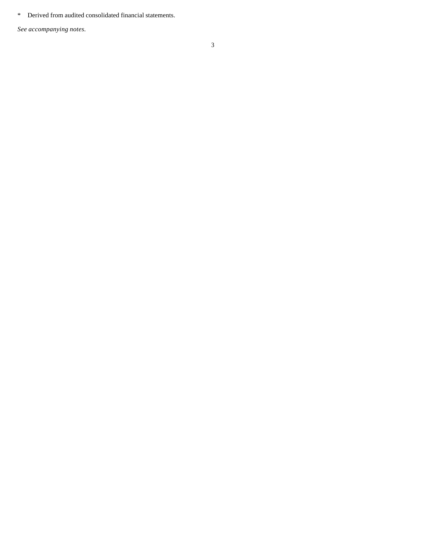\* Derived from audited consolidated financial statements.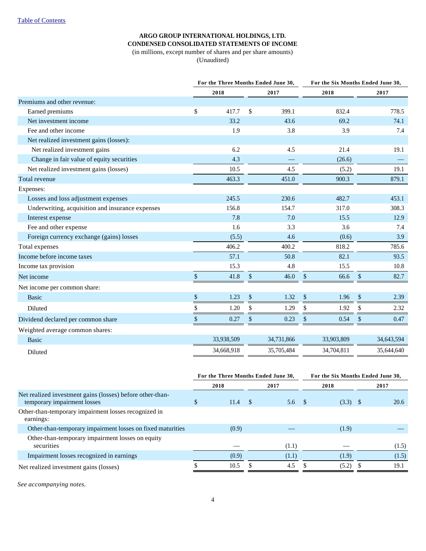# **ARGO GROUP INTERNATIONAL HOLDINGS, LTD. CONDENSED CONSOLIDATED STATEMENTS OF INCOME**

(in millions, except number of shares and per share amounts)

(Unaudited)

|                                                  |             |    | For the Three Months Ended June 30, | For the Six Months Ended June 30, |               |            |
|--------------------------------------------------|-------------|----|-------------------------------------|-----------------------------------|---------------|------------|
|                                                  | 2018        |    | 2017                                | 2018                              |               | 2017       |
| Premiums and other revenue:                      |             |    |                                     |                                   |               |            |
| Earned premiums                                  | \$<br>417.7 | \$ | 399.1                               | 832.4                             |               | 778.5      |
| Net investment income                            | 33.2        |    | 43.6                                | 69.2                              |               | 74.1       |
| Fee and other income                             | 1.9         |    | 3.8                                 | 3.9                               |               | 7.4        |
| Net realized investment gains (losses):          |             |    |                                     |                                   |               |            |
| Net realized investment gains                    | 6.2         |    | 4.5                                 | 21.4                              |               | 19.1       |
| Change in fair value of equity securities        | 4.3         |    |                                     | (26.6)                            |               |            |
| Net realized investment gains (losses)           | 10.5        |    | 4.5                                 | (5.2)                             |               | 19.1       |
| <b>Total revenue</b>                             | 463.3       |    | 451.0                               | 900.3                             |               | 879.1      |
| Expenses:                                        |             |    |                                     |                                   |               |            |
| Losses and loss adjustment expenses              | 245.5       |    | 230.6                               | 482.7                             |               | 453.1      |
| Underwriting, acquisition and insurance expenses | 156.8       |    | 154.7                               | 317.0                             |               | 308.3      |
| Interest expense                                 | 7.8         |    | 7.0                                 | 15.5                              |               | 12.9       |
| Fee and other expense                            | 1.6         |    | 3.3                                 | 3.6                               |               | 7.4        |
| Foreign currency exchange (gains) losses         | (5.5)       |    | 4.6                                 | (0.6)                             |               | 3.9        |
| Total expenses                                   | 406.2       |    | 400.2                               | 818.2                             |               | 785.6      |
| Income before income taxes                       | 57.1        |    | 50.8                                | 82.1                              |               | 93.5       |
| Income tax provision                             | 15.3        |    | 4.8                                 | 15.5                              |               | 10.8       |
| Net income                                       | \$<br>41.8  | \$ | 46.0                                | \$<br>66.6                        | \$            | 82.7       |
| Net income per common share:                     |             |    |                                     |                                   |               |            |
| <b>Basic</b>                                     | \$<br>1.23  | \$ | 1.32                                | \$<br>1.96                        | $\mathcal{S}$ | 2.39       |
| Diluted                                          | \$<br>1.20  | \$ | 1.29                                | \$<br>1.92                        | \$            | 2.32       |
| Dividend declared per common share               | \$<br>0.27  | S  | 0.23                                | \$<br>0.54                        | \$            | 0.47       |
| Weighted average common shares:                  |             |    |                                     |                                   |               |            |
| <b>Basic</b>                                     | 33,938,509  |    | 34,731,866                          | 33,903,809                        |               | 34,643,594 |
| Diluted                                          | 34,668,918  |    | 35,705,484                          | 34,704,811                        |               | 35,644,640 |

|                                                                                          |       |      | For the Three Months Ended June 30, | For the Six Months Ended June 30, |            |  |       |  |
|------------------------------------------------------------------------------------------|-------|------|-------------------------------------|-----------------------------------|------------|--|-------|--|
|                                                                                          | 2018  |      | 2017                                |                                   | 2018       |  | 2017  |  |
| Net realized investment gains (losses) before other-than-<br>temporary impairment losses | 11.4  | - \$ | 5.6                                 | - \$                              | $(3.3)$ \$ |  | 20.6  |  |
| Other-than-temporary impairment losses recognized in<br>earnings:                        |       |      |                                     |                                   |            |  |       |  |
| Other-than-temporary impairment losses on fixed maturities                               | (0.9) |      |                                     |                                   | (1.9)      |  |       |  |
| Other-than-temporary impairment losses on equity<br>securities                           |       |      | (1.1)                               |                                   |            |  | (1.5) |  |
| Impairment losses recognized in earnings                                                 | (0.9) |      | (1.1)                               |                                   | (1.9)      |  | (1.5) |  |
| Net realized investment gains (losses)                                                   | 10.5  |      | 4.5                                 |                                   | (5.2)      |  | 19.1  |  |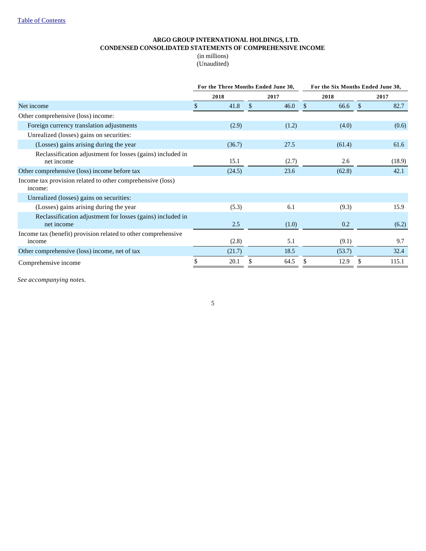# **ARGO GROUP INTERNATIONAL HOLDINGS, LTD. CONDENSED CONSOLIDATED STATEMENTS OF COMPREHENSIVE INCOME**

(in millions) (Unaudited)

|                                                                          | For the Three Months Ended June 30, |               |       | For the Six Months Ended June 30, |              |        |  |  |  |
|--------------------------------------------------------------------------|-------------------------------------|---------------|-------|-----------------------------------|--------------|--------|--|--|--|
|                                                                          | 2018                                |               | 2017  | 2018                              |              | 2017   |  |  |  |
| Net income                                                               | 41.8                                | <sup>\$</sup> | 46.0  | 66.6                              | $\mathbb{S}$ | 82.7   |  |  |  |
| Other comprehensive (loss) income:                                       |                                     |               |       |                                   |              |        |  |  |  |
| Foreign currency translation adjustments                                 | (2.9)                               |               | (1.2) | (4.0)                             |              | (0.6)  |  |  |  |
| Unrealized (losses) gains on securities:                                 |                                     |               |       |                                   |              |        |  |  |  |
| (Losses) gains arising during the year                                   | (36.7)                              |               | 27.5  | (61.4)                            |              | 61.6   |  |  |  |
| Reclassification adjustment for losses (gains) included in<br>net income | 15.1                                |               | (2.7) | 2.6                               |              | (18.9) |  |  |  |
| Other comprehensive (loss) income before tax                             | (24.5)                              |               | 23.6  | (62.8)                            |              | 42.1   |  |  |  |
| Income tax provision related to other comprehensive (loss)<br>income:    |                                     |               |       |                                   |              |        |  |  |  |
| Unrealized (losses) gains on securities:                                 |                                     |               |       |                                   |              |        |  |  |  |
| (Losses) gains arising during the year                                   | (5.3)                               |               | 6.1   | (9.3)                             |              | 15.9   |  |  |  |
| Reclassification adjustment for losses (gains) included in<br>net income | 2.5                                 |               | (1.0) | 0.2                               |              | (6.2)  |  |  |  |
| Income tax (benefit) provision related to other comprehensive<br>income  | (2.8)                               |               | 5.1   | (9.1)                             |              | 9.7    |  |  |  |
| Other comprehensive (loss) income, net of tax                            | (21.7)                              |               | 18.5  | (53.7)                            |              | 32.4   |  |  |  |
| Comprehensive income                                                     | 20.1                                |               | 64.5  | 12.9                              |              | 115.1  |  |  |  |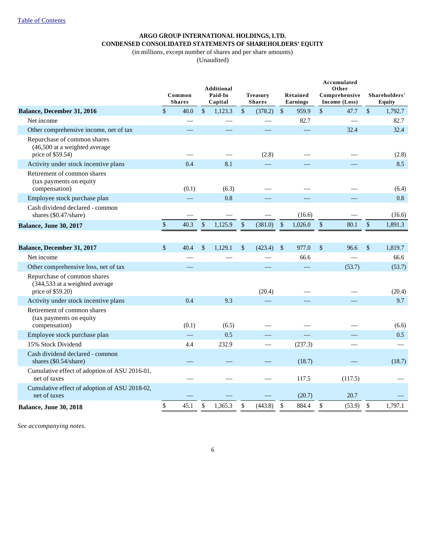# **ARGO GROUP INTERNATIONAL HOLDINGS, LTD. CONDENSED CONSOLIDATED STATEMENTS OF SHAREHOLDERS' EQUITY**

(in millions, except number of shares and per share amounts)

(Unaudited)

|                                                                                    |              | Common<br><b>Shares</b> |               | <b>Additional</b><br>Paid-In<br>Capital |                    | <b>Treasury</b><br><b>Shares</b> |                         | Retained<br>Earnings |              | Accumulated<br>Other<br>Comprehensive<br>Income (Loss) |                    | Shareholders'<br><b>Equity</b> |
|------------------------------------------------------------------------------------|--------------|-------------------------|---------------|-----------------------------------------|--------------------|----------------------------------|-------------------------|----------------------|--------------|--------------------------------------------------------|--------------------|--------------------------------|
| <b>Balance, December 31, 2016</b>                                                  | $\mathbb{S}$ | 40.0                    | $\mathcal{S}$ | 1,123.3                                 | $\mathbf{\hat{S}}$ | (378.2)                          | $\sqrt$                 | 959.9                | $\mathbb{S}$ | 47.7                                                   | $\mathbf{\hat{S}}$ | 1,792.7                        |
| Net income                                                                         |              |                         |               |                                         |                    |                                  |                         | 82.7                 |              |                                                        |                    | 82.7                           |
| Other comprehensive income, net of tax                                             |              |                         |               |                                         |                    |                                  |                         |                      |              | 32.4                                                   |                    | 32.4                           |
| Repurchase of common shares<br>(46,500 at a weighted average<br>price of \$59.54)  |              |                         |               |                                         |                    | (2.8)                            |                         |                      |              |                                                        |                    | (2.8)                          |
| Activity under stock incentive plans                                               |              | 0.4                     |               | 8.1                                     |                    |                                  |                         |                      |              |                                                        |                    | 8.5                            |
| Retirement of common shares<br>(tax payments on equity<br>compensation)            |              | (0.1)                   |               | (6.3)                                   |                    |                                  |                         |                      |              |                                                        |                    | (6.4)                          |
| Employee stock purchase plan                                                       |              |                         |               | 0.8                                     |                    |                                  |                         |                      |              |                                                        |                    | 0.8                            |
| Cash dividend declared - common<br>shares (\$0.47/share)                           |              |                         |               |                                         |                    |                                  |                         | (16.6)               |              |                                                        |                    | (16.6)                         |
| <b>Balance, June 30, 2017</b>                                                      | $\mathbb{S}$ | 40.3                    | $\$\,$        | 1,125.9                                 | \$                 | (381.0)                          | $\sqrt[6]{\frac{1}{2}}$ | 1,026.0              | $\$$         | 80.1                                                   | \$                 | 1,891.3                        |
|                                                                                    |              |                         |               |                                         |                    |                                  |                         |                      |              |                                                        |                    |                                |
| Balance, December 31, 2017                                                         | \$           | 40.4                    | \$            | 1,129.1                                 | \$                 | (423.4)                          | \$                      | 977.0                | $\$$         | 96.6                                                   | \$                 | 1,819.7                        |
| Net income                                                                         |              |                         |               |                                         |                    |                                  |                         | 66.6                 |              |                                                        |                    | 66.6                           |
| Other comprehensive loss, net of tax                                               |              |                         |               |                                         |                    |                                  |                         |                      |              | (53.7)                                                 |                    | (53.7)                         |
| Repurchase of common shares<br>(344,533 at a weighted average<br>price of \$59.20) |              |                         |               |                                         |                    | (20.4)                           |                         |                      |              |                                                        |                    | (20.4)                         |
| Activity under stock incentive plans                                               |              | 0.4                     |               | 9.3                                     |                    |                                  |                         |                      |              |                                                        |                    | 9.7                            |
| Retirement of common shares<br>(tax payments on equity<br>compensation)            |              | (0.1)                   |               | (6.5)                                   |                    |                                  |                         |                      |              |                                                        |                    | (6.6)                          |
| Employee stock purchase plan                                                       |              |                         |               | 0.5                                     |                    |                                  |                         |                      |              |                                                        |                    | 0.5                            |
| 15% Stock Dividend                                                                 |              | 4.4                     |               | 232.9                                   |                    |                                  |                         | (237.3)              |              |                                                        |                    |                                |
| Cash dividend declared - common<br>shares $(\$0.54/share)$                         |              |                         |               |                                         |                    |                                  |                         | (18.7)               |              |                                                        |                    | (18.7)                         |
| Cumulative effect of adoption of ASU 2016-01,<br>net of taxes                      |              |                         |               |                                         |                    |                                  |                         | 117.5                |              | (117.5)                                                |                    |                                |
| Cumulative effect of adoption of ASU 2018-02,<br>net of taxes                      |              |                         |               |                                         |                    |                                  |                         | (20.7)               |              | 20.7                                                   |                    |                                |
| Balance, June 30, 2018                                                             | \$           | 45.1                    | \$            | 1,365.3                                 | \$                 | (443.8)                          | \$                      | 884.4                | \$           | (53.9)                                                 | $\mathbb{S}$       | 1,797.1                        |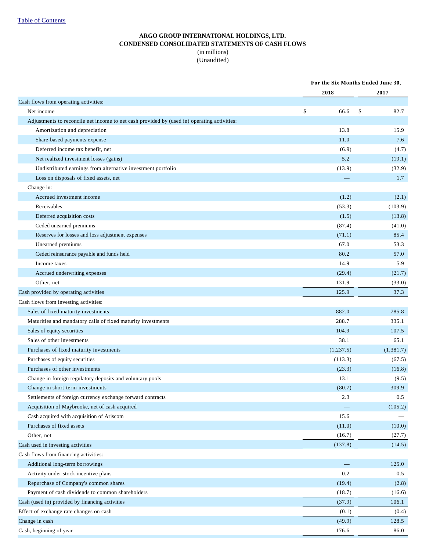# **ARGO GROUP INTERNATIONAL HOLDINGS, LTD. CONDENSED CONSOLIDATED STATEMENTS OF CASH FLOWS**

# (in millions) (Unaudited)

|                                                                                             |            | For the Six Months Ended June 30, |  |  |
|---------------------------------------------------------------------------------------------|------------|-----------------------------------|--|--|
|                                                                                             | 2018       | 2017                              |  |  |
| Cash flows from operating activities:                                                       |            |                                   |  |  |
| Net income                                                                                  | \$<br>66.6 | \$<br>82.7                        |  |  |
| Adjustments to reconcile net income to net cash provided by (used in) operating activities: |            |                                   |  |  |
| Amortization and depreciation                                                               | 13.8       | 15.9                              |  |  |
| Share-based payments expense                                                                | 11.0       | 7.6                               |  |  |
| Deferred income tax benefit, net                                                            | (6.9)      | (4.7)                             |  |  |
| Net realized investment losses (gains)                                                      | 5.2        | (19.1)                            |  |  |
| Undistributed earnings from alternative investment portfolio                                | (13.9)     | (32.9)                            |  |  |
| Loss on disposals of fixed assets, net                                                      |            | 1.7                               |  |  |
| Change in:                                                                                  |            |                                   |  |  |
| Accrued investment income                                                                   | (1.2)      | (2.1)                             |  |  |
| Receivables                                                                                 | (53.3)     | (103.9)                           |  |  |
| Deferred acquisition costs                                                                  | (1.5)      | (13.8)                            |  |  |
| Ceded unearned premiums                                                                     | (87.4)     | (41.0)                            |  |  |
| Reserves for losses and loss adjustment expenses                                            | (71.1)     | 85.4                              |  |  |
| Unearned premiums                                                                           | 67.0       | 53.3                              |  |  |
| Ceded reinsurance payable and funds held                                                    | 80.2       | 57.0                              |  |  |
| Income taxes                                                                                | 14.9       | 5.9                               |  |  |
| Accrued underwriting expenses                                                               | (29.4)     | (21.7)                            |  |  |
| Other, net                                                                                  | 131.9      | (33.0)                            |  |  |
| Cash provided by operating activities                                                       | 125.9      | 37.3                              |  |  |
| Cash flows from investing activities:                                                       |            |                                   |  |  |
| Sales of fixed maturity investments                                                         | 882.0      | 785.8                             |  |  |
| Maturities and mandatory calls of fixed maturity investments                                | 288.7      | 335.1                             |  |  |
| Sales of equity securities                                                                  | 104.9      | 107.5                             |  |  |
| Sales of other investments                                                                  | 38.1       | 65.1                              |  |  |
| Purchases of fixed maturity investments                                                     | (1,237.5)  | (1,381.7)                         |  |  |
| Purchases of equity securities                                                              | (113.3)    | (67.5)                            |  |  |
| Purchases of other investments                                                              | (23.3)     | (16.8)                            |  |  |
| Change in foreign regulatory deposits and voluntary pools                                   | 13.1       | (9.5)                             |  |  |
| Change in short-term investments                                                            | (80.7)     | 309.9                             |  |  |
| Settlements of foreign currency exchange forward contracts                                  | 2.3        | 0.5                               |  |  |
|                                                                                             |            | (105.2)                           |  |  |
| Acquisition of Maybrooke, net of cash acquired                                              |            |                                   |  |  |
| Cash acquired with acquisition of Ariscom                                                   | 15.6       |                                   |  |  |
| Purchases of fixed assets                                                                   | (11.0)     | (10.0)<br>(27.7)                  |  |  |
| Other, net                                                                                  | (16.7)     |                                   |  |  |
| Cash used in investing activities                                                           | (137.8)    | (14.5)                            |  |  |
| Cash flows from financing activities:                                                       |            |                                   |  |  |
| Additional long-term borrowings                                                             |            | 125.0                             |  |  |
| Activity under stock incentive plans                                                        | 0.2        | 0.5                               |  |  |
| Repurchase of Company's common shares                                                       | (19.4)     | (2.8)                             |  |  |
| Payment of cash dividends to common shareholders                                            | (18.7)     | (16.6)                            |  |  |
| Cash (used in) provided by financing activities                                             | (37.9)     | 106.1                             |  |  |
| Effect of exchange rate changes on cash                                                     | (0.1)      | (0.4)                             |  |  |
| Change in cash                                                                              | (49.9)     | 128.5                             |  |  |
| Cash, beginning of year                                                                     | 176.6      | 86.0                              |  |  |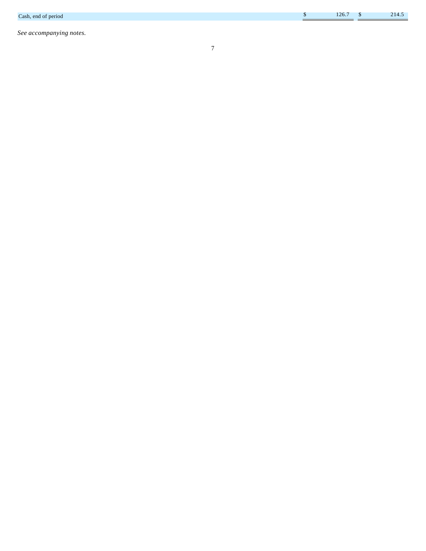| Cash, end of period | 126.7 | 214.5 |
|---------------------|-------|-------|
|                     |       |       |

*See accompanying notes.*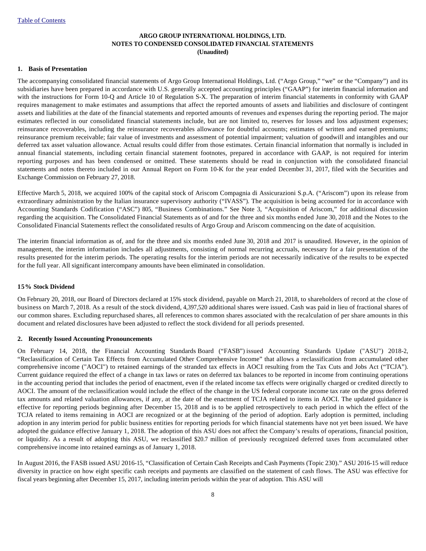#### **ARGO GROUP INTERNATIONAL HOLDINGS, LTD. NOTES TO CONDENSED CONSOLIDATED FINANCIAL STATEMENTS (Unaudited)**

# **1. Basis of Presentation**

The accompanying consolidated financial statements of Argo Group International Holdings, Ltd. ("Argo Group," "we" or the "Company") and its subsidiaries have been prepared in accordance with U.S. generally accepted accounting principles ("GAAP") for interim financial information and with the instructions for Form 10-Q and Article 10 of Regulation S-X. The preparation of interim financial statements in conformity with GAAP requires management to make estimates and assumptions that affect the reported amounts of assets and liabilities and disclosure of contingent assets and liabilities at the date of the financial statements and reported amounts of revenues and expenses during the reporting period. The major estimates reflected in our consolidated financial statements include, but are not limited to, reserves for losses and loss adjustment expenses; reinsurance recoverables, including the reinsurance recoverables allowance for doubtful accounts; estimates of written and earned premiums; reinsurance premium receivable; fair value of investments and assessment of potential impairment; valuation of goodwill and intangibles and our deferred tax asset valuation allowance. Actual results could differ from those estimates. Certain financial information that normally is included in annual financial statements, including certain financial statement footnotes, prepared in accordance with GAAP, is not required for interim reporting purposes and has been condensed or omitted. These statements should be read in conjunction with the consolidated financial statements and notes thereto included in our Annual Report on Form 10-K for the year ended December 31, 2017, filed with the Securities and Exchange Commission on February 27, 2018.

Effective March 5, 2018, we acquired 100% of the capital stock of Ariscom Compagnia di Assicurazioni S.p.A. ("Ariscom") upon its release from extraordinary administration by the Italian insurance supervisory authority ("IVASS"). The acquisition is being accounted for in accordance with Accounting Standards Codification ("ASC") 805, "Business Combinations." See Note 3, "Acquisition of Ariscom," for additional discussion regarding the acquisition. The Consolidated Financial Statements as of and for the three and six months ended June 30, 2018 and the Notes to the Consolidated Financial Statements reflect the consolidated results of Argo Group and Ariscom commencing on the date of acquisition.

The interim financial information as of, and for the three and six months ended June 30, 2018 and 2017 is unaudited. However, in the opinion of management, the interim information includes all adjustments, consisting of normal recurring accruals, necessary for a fair presentation of the results presented for the interim periods. The operating results for the interim periods are not necessarily indicative of the results to be expected for the full year. All significant intercompany amounts have been eliminated in consolidation.

#### **15% Stock Dividend**

On February 20, 2018, our Board of Directors declared at 15% stock dividend, payable on March 21, 2018, to shareholders of record at the close of business on March 7, 2018. As a result of the stock dividend, 4,397,520 additional shares were issued. Cash was paid in lieu of fractional shares of our common shares. Excluding repurchased shares, all references to common shares associated with the recalculation of per share amounts in this document and related disclosures have been adjusted to reflect the stock dividend for all periods presented.

## **2. Recently Issued Accounting Pronouncements**

On February 14, 2018, the Financial Accounting Standards Board ("FASB") issued Accounting Standards Update ("ASU") 2018-2, "Reclassification of Certain Tax Effects from Accumulated Other Comprehensive Income" that allows a reclassification from accumulated other comprehensive income ("AOCI") to retained earnings of the stranded tax effects in AOCI resulting from the Tax Cuts and Jobs Act ("TCJA"). Current guidance required the effect of a change in tax laws or rates on deferred tax balances to be reported in income from continuing operations in the accounting period that includes the period of enactment, even if the related income tax effects were originally charged or credited directly to AOCI. The amount of the reclassification would include the effect of the change in the US federal corporate income tax rate on the gross deferred tax amounts and related valuation allowances, if any, at the date of the enactment of TCJA related to items in AOCI. The updated guidance is effective for reporting periods beginning after December 15, 2018 and is to be applied retrospectively to each period in which the effect of the TCJA related to items remaining in AOCI are recognized or at the beginning of the period of adoption. Early adoption is permitted, including adoption in any interim period for public business entities for reporting periods for which financial statements have not yet been issued. We have adopted the guidance effective January 1, 2018. The adoption of this ASU does not affect the Company's results of operations, financial position, or liquidity. As a result of adopting this ASU, we reclassified \$20.7 million of previously recognized deferred taxes from accumulated other comprehensive income into retained earnings as of January 1, 2018.

In August 2016, the FASB issued ASU 2016-15, "Classification of Certain Cash Receipts and Cash Payments (Topic 230)." ASU 2016-15 will reduce diversity in practice on how eight specific cash receipts and payments are classified on the statement of cash flows. The ASU was effective for fiscal years beginning after December 15, 2017, including interim periods within the year of adoption. This ASU will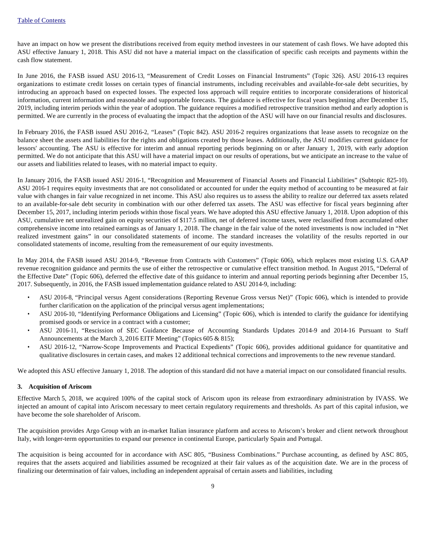have an impact on how we present the distributions received from equity method investees in our statement of cash flows. We have adopted this ASU effective January 1, 2018. This ASU did not have a material impact on the classification of specific cash receipts and payments within the cash flow statement.

In June 2016, the FASB issued ASU 2016-13, "Measurement of Credit Losses on Financial Instruments" (Topic 326). ASU 2016-13 requires organizations to estimate credit losses on certain types of financial instruments, including receivables and available-for-sale debt securities, by introducing an approach based on expected losses. The expected loss approach will require entities to incorporate considerations of historical information, current information and reasonable and supportable forecasts. The guidance is effective for fiscal years beginning after December 15, 2019, including interim periods within the year of adoption. The guidance requires a modified retrospective transition method and early adoption is permitted. We are currently in the process of evaluating the impact that the adoption of the ASU will have on our financial results and disclosures.

In February 2016, the FASB issued ASU 2016-2, "Leases" (Topic 842). ASU 2016-2 requires organizations that lease assets to recognize on the balance sheet the assets and liabilities for the rights and obligations created by those leases. Additionally, the ASU modifies current guidance for lessors' accounting. The ASU is effective for interim and annual reporting periods beginning on or after January 1, 2019, with early adoption permitted. We do not anticipate that this ASU will have a material impact on our results of operations, but we anticipate an increase to the value of our assets and liabilities related to leases, with no material impact to equity.

In January 2016, the FASB issued ASU 2016-1, "Recognition and Measurement of Financial Assets and Financial Liabilities" (Subtopic 825-10). ASU 2016-1 requires equity investments that are not consolidated or accounted for under the equity method of accounting to be measured at fair value with changes in fair value recognized in net income. This ASU also requires us to assess the ability to realize our deferred tax assets related to an available-for-sale debt security in combination with our other deferred tax assets. The ASU was effective for fiscal years beginning after December 15, 2017, including interim periods within those fiscal years. We have adopted this ASU effective January 1, 2018. Upon adoption of this ASU, cumulative net unrealized gain on equity securities of \$117.5 million, net of deferred income taxes, were reclassified from accumulated other comprehensive income into retained earnings as of January 1, 2018. The change in the fair value of the noted investments is now included in "Net realized investment gains" in our consolidated statements of income. The standard increases the volatility of the results reported in our consolidated statements of income, resulting from the remeasurement of our equity investments.

In May 2014, the FASB issued ASU 2014-9, "Revenue from Contracts with Customers" (Topic 606), which replaces most existing U.S. GAAP revenue recognition guidance and permits the use of either the retrospective or cumulative effect transition method. In August 2015, "Deferral of the Effective Date" (Topic 606), deferred the effective date of this guidance to interim and annual reporting periods beginning after December 15, 2017. Subsequently, in 2016, the FASB issued implementation guidance related to ASU 2014-9, including:

- ASU 2016-8, "Principal versus Agent considerations (Reporting Revenue Gross versus Net)" (Topic 606), which is intended to provide further clarification on the application of the principal versus agent implementations;
- ASU 2016-10, "Identifying Performance Obligations and Licensing" (Topic 606), which is intended to clarify the guidance for identifying promised goods or service in a contract with a customer;
- ASU 2016-11, "Rescission of SEC Guidance Because of Accounting Standards Updates 2014-9 and 2014-16 Pursuant to Staff Announcements at the March 3, 2016 EITF Meeting" (Topics 605 & 815);
- ASU 2016-12, "Narrow-Scope Improvements and Practical Expedients" (Topic 606), provides additional guidance for quantitative and qualitative disclosures in certain cases, and makes 12 additional technical corrections and improvements to the new revenue standard.

We adopted this ASU effective January 1, 2018. The adoption of this standard did not have a material impact on our consolidated financial results.

#### **3. Acquisition of Ariscom**

Effective March 5, 2018, we acquired 100% of the capital stock of Ariscom upon its release from extraordinary administration by IVASS. We injected an amount of capital into Ariscom necessary to meet certain regulatory requirements and thresholds. As part of this capital infusion, we have become the sole shareholder of Ariscom.

The acquisition provides Argo Group with an in-market Italian insurance platform and access to Ariscom's broker and client network throughout Italy, with longer-term opportunities to expand our presence in continental Europe, particularly Spain and Portugal.

The acquisition is being accounted for in accordance with ASC 805, "Business Combinations." Purchase accounting, as defined by ASC 805, requires that the assets acquired and liabilities assumed be recognized at their fair values as of the acquisition date. We are in the process of finalizing our determination of fair values, including an independent appraisal of certain assets and liabilities, including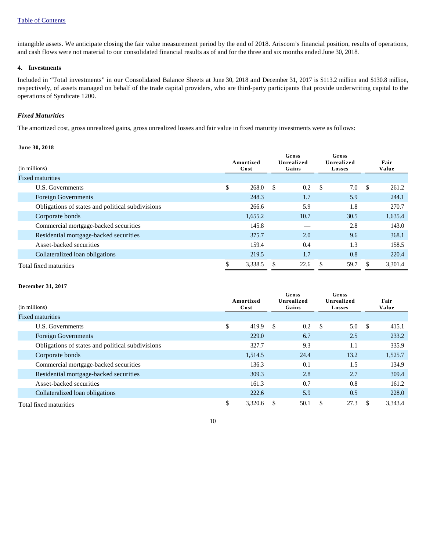intangible assets. We anticipate closing the fair value measurement period by the end of 2018. Ariscom's financial position, results of operations, and cash flows were not material to our consolidated financial results as of and for the three and six months ended June 30, 2018.

## **4. Investments**

Included in "Total investments" in our Consolidated Balance Sheets at June 30, 2018 and December 31, 2017 is \$113.2 million and \$130.8 million, respectively, of assets managed on behalf of the trade capital providers, who are third-party participants that provide underwriting capital to the operations of Syndicate 1200.

# *Fixed Maturities*

The amortized cost, gross unrealized gains, gross unrealized losses and fair value in fixed maturity investments were as follows:

| June 30, 2018           |                                                  |    |                   |                              |      |                                      |               |               |
|-------------------------|--------------------------------------------------|----|-------------------|------------------------------|------|--------------------------------------|---------------|---------------|
| (in millions)           |                                                  |    | Amortized<br>Cost | Gross<br>Unrealized<br>Gains |      | Gross<br>Unrealized<br><b>Losses</b> |               | Fair<br>Value |
| <b>Fixed maturities</b> |                                                  |    |                   |                              |      |                                      |               |               |
|                         | U.S. Governments                                 | \$ | 268.0             | \$<br>0.2                    | - \$ | 7.0                                  | <sup>\$</sup> | 261.2         |
|                         | <b>Foreign Governments</b>                       |    | 248.3             | 1.7                          |      | 5.9                                  |               | 244.1         |
|                         | Obligations of states and political subdivisions |    | 266.6             | 5.9                          |      | 1.8                                  |               | 270.7         |
|                         | Corporate bonds                                  |    | 1,655.2           | 10.7                         |      | 30.5                                 |               | 1,635.4       |
|                         | Commercial mortgage-backed securities            |    | 145.8             |                              |      | 2.8                                  |               | 143.0         |
|                         | Residential mortgage-backed securities           |    | 375.7             | 2.0                          |      | 9.6                                  |               | 368.1         |
|                         | Asset-backed securities                          |    | 159.4             | 0.4                          |      | 1.3                                  |               | 158.5         |
|                         | Collateralized loan obligations                  |    | 219.5             | 1.7                          |      | 0.8                                  |               | 220.4         |
|                         | Total fixed maturities                           | ¢  | 3,338.5           | 22.6                         |      | 59.7                                 |               | 3,301.4       |

#### **December 31, 2017**

| (in millions)                                    | Amortized<br>Cost |               | Gross<br>Unrealized<br>Gains |      | Gross<br>Unrealized<br><b>Losses</b> |      | Fair<br>Value |
|--------------------------------------------------|-------------------|---------------|------------------------------|------|--------------------------------------|------|---------------|
| <b>Fixed maturities</b>                          |                   |               |                              |      |                                      |      |               |
| U.S. Governments                                 | \$<br>419.9       | <sup>\$</sup> | 0.2                          | - \$ | 5.0                                  | - \$ | 415.1         |
| <b>Foreign Governments</b>                       | 229.0             |               | 6.7                          |      | 2.5                                  |      | 233.2         |
| Obligations of states and political subdivisions | 327.7             |               | 9.3                          |      | 1.1                                  |      | 335.9         |
| Corporate bonds                                  | 1,514.5           |               | 24.4                         |      | 13.2                                 |      | 1,525.7       |
| Commercial mortgage-backed securities            | 136.3             |               | 0.1                          |      | 1.5                                  |      | 134.9         |
| Residential mortgage-backed securities           | 309.3             |               | 2.8                          |      | 2.7                                  |      | 309.4         |
| Asset-backed securities                          | 161.3             |               | 0.7                          |      | 0.8                                  |      | 161.2         |
| Collateralized loan obligations                  | 222.6             |               | 5.9                          |      | 0.5                                  |      | 228.0         |
| Total fixed maturities                           | 3,320.6           |               | 50.1                         | S    | 27.3                                 |      | 3.343.4       |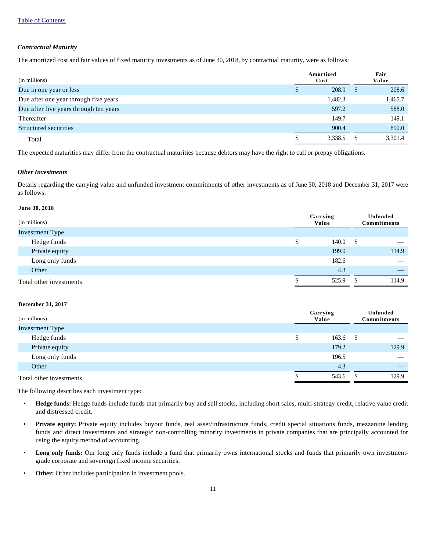# *Contractual Maturity*

The amortized cost and fair values of fixed maturity investments as of June 30, 2018, by contractual maturity, were as follows:

| (in millions)                          |   | Amortized<br>Cost | Fair<br>Value |
|----------------------------------------|---|-------------------|---------------|
| Due in one year or less                | Φ | 208.9             | 208.6         |
| Due after one year through five years  |   | 1,482.3           | 1,465.7       |
| Due after five years through ten years |   | 597.2             | 588.0         |
| Thereafter                             |   | 149.7             | 149.1         |
| Structured securities                  |   | 900.4             | 890.0         |
| Total                                  |   | 3,338.5           | 3,301.4       |

The expected maturities may differ from the contractual maturities because debtors may have the right to call or prepay obligations.

#### *Other Investments*

Details regarding the carrying value and unfunded investment commitments of other investments as of June 30, 2018 and December 31, 2017 were as follows:

#### **June 30, 2018**

| (in millions)           | Carrying<br>Value |    | Unfunded<br>Commitments |
|-------------------------|-------------------|----|-------------------------|
| <b>Investment Type</b>  |                   |    |                         |
| Hedge funds             | \$<br>140.0       | -S |                         |
| Private equity          | 199.0             |    | 114.9                   |
| Long only funds         | 182.6             |    |                         |
| Other                   | 4.3               |    |                         |
| Total other investments | 525.9             |    | 114.9                   |

#### **December 31, 2017**

| (in millions)           | Carrying<br>Value |      | Unfunded<br><b>Commitments</b> |
|-------------------------|-------------------|------|--------------------------------|
| <b>Investment Type</b>  |                   |      |                                |
| Hedge funds             | \$<br>163.6       | - \$ |                                |
| Private equity          | 179.2             |      | 129.9                          |
| Long only funds         | 196.5             |      | $\sim$                         |
| Other                   | 4.3               |      |                                |
| Total other investments | 543.6             |      | 129.9                          |

The following describes each investment type:

- **Hedge funds:** Hedge funds include funds that primarily buy and sell stocks, including short sales, multi-strategy credit, relative value credit and distressed credit.
- **Private equity:** Private equity includes buyout funds, real asset/infrastructure funds, credit special situations funds, mezzanine lending funds and direct investments and strategic non-controlling minority investments in private companies that are principally accounted for using the equity method of accounting.
- **Long only funds:** Our long only funds include a fund that primarily owns international stocks and funds that primarily own investmentgrade corporate and sovereign fixed income securities.
- **Other:** Other includes participation in investment pools.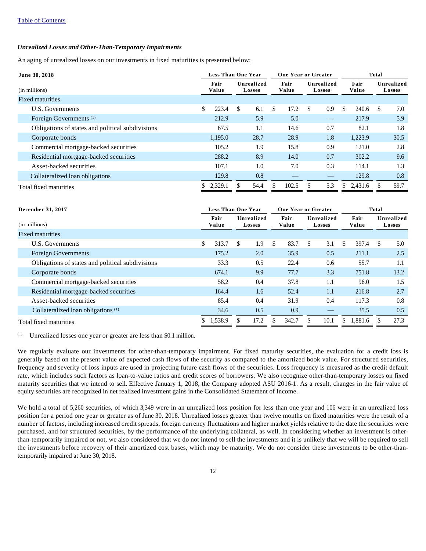## *Unrealized Losses and Other-Than-Temporary Impairments*

An aging of unrealized losses on our investments in fixed maturities is presented below:

| June 30, 2018                                    | <b>Less Than One Year</b> |                                              |     | <b>One Year or Greater</b> |    |       |    | Total                                 |    |         |                             |      |
|--------------------------------------------------|---------------------------|----------------------------------------------|-----|----------------------------|----|-------|----|---------------------------------------|----|---------|-----------------------------|------|
| (in millions)                                    |                           | Fair<br>Unrealized<br>Value<br><b>Losses</b> |     | Fair<br>Value              |    |       |    | Fair<br>Unrealized<br>Value<br>Losses |    |         | Unrealized<br><b>Losses</b> |      |
| <b>Fixed maturities</b>                          |                           |                                              |     |                            |    |       |    |                                       |    |         |                             |      |
| U.S. Governments                                 | \$                        | 223.4                                        | \$. | 6.1                        | \$ | 17.2  | -S | 0.9                                   | \$ | 240.6   | S                           | 7.0  |
| Foreign Governments <sup>(1)</sup>               |                           | 212.9                                        |     | 5.9                        |    | 5.0   |    |                                       |    | 217.9   |                             | 5.9  |
| Obligations of states and political subdivisions |                           | 67.5                                         |     | 1.1                        |    | 14.6  |    | 0.7                                   |    | 82.1    |                             | 1.8  |
| Corporate bonds                                  |                           | 1.195.0                                      |     | 28.7                       |    | 28.9  |    | 1.8                                   |    | 1,223.9 |                             | 30.5 |
| Commercial mortgage-backed securities            |                           | 105.2                                        |     | 1.9                        |    | 15.8  |    | 0.9                                   |    | 121.0   |                             | 2.8  |
| Residential mortgage-backed securities           |                           | 288.2                                        |     | 8.9                        |    | 14.0  |    | 0.7                                   |    | 302.2   |                             | 9.6  |
| Asset-backed securities                          |                           | 107.1                                        |     | 1.0                        |    | 7.0   |    | 0.3                                   |    | 114.1   |                             | 1.3  |
| Collateralized loan obligations                  |                           | 129.8                                        |     | 0.8                        |    |       |    |                                       |    | 129.8   |                             | 0.8  |
| Total fixed maturities                           | \$                        | 2.329.1                                      |     | 54.4                       | \$ | 102.5 | \$ | 5.3                                   | \$ | 2.431.6 |                             | 59.7 |

| December 31, 2017                                | <b>Less Than One Year</b> |                                              |    | <b>One Year or Greater</b> |    |                      |               | Total         |    |        |                      |      |
|--------------------------------------------------|---------------------------|----------------------------------------------|----|----------------------------|----|----------------------|---------------|---------------|----|--------|----------------------|------|
| (in millions)                                    |                           | Unrealized<br>Fair<br>Value<br><b>Losses</b> |    | Fair<br>Value              |    | Unrealized<br>Losses |               | Fair<br>Value |    |        | Unrealized<br>Losses |      |
| <b>Fixed maturities</b>                          |                           |                                              |    |                            |    |                      |               |               |    |        |                      |      |
| U.S. Governments                                 | \$                        | 313.7                                        | \$ | 1.9                        | \$ | 83.7                 | <sup>\$</sup> | 3.1           | \$ | 397.4  | \$.                  | 5.0  |
| <b>Foreign Governments</b>                       |                           | 175.2                                        |    | 2.0                        |    | 35.9                 |               | 0.5           |    | 211.1  |                      | 2.5  |
| Obligations of states and political subdivisions |                           | 33.3                                         |    | 0.5                        |    | 22.4                 |               | 0.6           |    | 55.7   |                      | 1.1  |
| Corporate bonds                                  |                           | 674.1                                        |    | 9.9                        |    | 77.7                 |               | 3.3           |    | 751.8  |                      | 13.2 |
| Commercial mortgage-backed securities            |                           | 58.2                                         |    | 0.4                        |    | 37.8                 |               | 1.1           |    | 96.0   |                      | 1.5  |
| Residential mortgage-backed securities           |                           | 164.4                                        |    | 1.6                        |    | 52.4                 |               | 1.1           |    | 216.8  |                      | 2.7  |
| Asset-backed securities                          |                           | 85.4                                         |    | 0.4                        |    | 31.9                 |               | 0.4           |    | 117.3  |                      | 0.8  |
| Collateralized loan obligations <sup>(1)</sup>   |                           | 34.6                                         |    | 0.5                        |    | 0.9                  |               |               |    | 35.5   |                      | 0.5  |
| Total fixed maturities                           | S.                        | 1,538.9                                      | ъ. | 17.2                       | S  | 342.7                |               | 10.1          | S  | .881.6 |                      | 27.3 |

(1) Unrealized losses one year or greater are less than \$0.1 million.

We regularly evaluate our investments for other-than-temporary impairment. For fixed maturity securities, the evaluation for a credit loss is generally based on the present value of expected cash flows of the security as compared to the amortized book value. For structured securities, frequency and severity of loss inputs are used in projecting future cash flows of the securities. Loss frequency is measured as the credit default rate, which includes such factors as loan-to-value ratios and credit scores of borrowers. We also recognize other-than-temporary losses on fixed maturity securities that we intend to sell. Effective January 1, 2018, the Company adopted ASU 2016-1. As a result, changes in the fair value of equity securities are recognized in net realized investment gains in the Consolidated Statement of Income.

We hold a total of 5,260 securities, of which 3,349 were in an unrealized loss position for less than one year and 106 were in an unrealized loss position for a period one year or greater as of June 30, 2018. Unrealized losses greater than twelve months on fixed maturities were the result of a number of factors, including increased credit spreads, foreign currency fluctuations and higher market yields relative to the date the securities were purchased, and for structured securities, by the performance of the underlying collateral, as well. In considering whether an investment is otherthan-temporarily impaired or not, we also considered that we do not intend to sell the investments and it is unlikely that we will be required to sell the investments before recovery of their amortized cost bases, which may be maturity. We do not consider these investments to be other-thantemporarily impaired at June 30, 2018.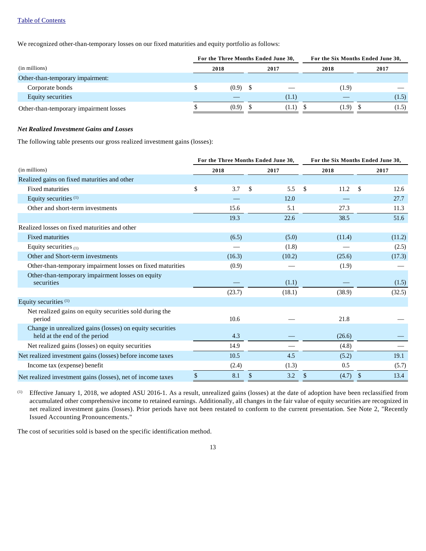We recognized other-than-temporary losses on our fixed maturities and equity portfolio as follows:

|                                        |      |       | For the Three Months Ended June 30, | For the Six Months Ended June 30, |       |  |  |  |
|----------------------------------------|------|-------|-------------------------------------|-----------------------------------|-------|--|--|--|
| (in millions)                          | 2018 |       | 2017                                | 2018                              | 2017  |  |  |  |
| Other-than-temporary impairment:       |      |       |                                     |                                   |       |  |  |  |
| Corporate bonds                        |      | (0.9) |                                     | (1.9)                             |       |  |  |  |
| Equity securities                      |      |       | (1.1)                               |                                   | (1.5) |  |  |  |
| Other-than-temporary impairment losses |      | (0.9) | (1.1)                               | (1.9)                             | (1.5) |  |  |  |

#### *Net Realized Investment Gains and Losses*

The following table presents our gross realized investment gains (losses):

|                                                                                           | For the Three Months Ended June 30, |               |        |               | For the Six Months Ended June 30, |               |        |  |  |
|-------------------------------------------------------------------------------------------|-------------------------------------|---------------|--------|---------------|-----------------------------------|---------------|--------|--|--|
| (in millions)                                                                             | 2018                                |               | 2017   | 2018          |                                   |               | 2017   |  |  |
| Realized gains on fixed maturities and other                                              |                                     |               |        |               |                                   |               |        |  |  |
| <b>Fixed maturities</b>                                                                   | \$<br>3.7                           | $\mathcal{S}$ | 5.5    | <sup>\$</sup> | 11.2                              | <sup>\$</sup> | 12.6   |  |  |
| Equity securities <sup>(1)</sup>                                                          |                                     |               | 12.0   |               |                                   |               | 27.7   |  |  |
| Other and short-term investments                                                          | 15.6                                |               | 5.1    |               | 27.3                              |               | 11.3   |  |  |
|                                                                                           | 19.3                                |               | 22.6   |               | 38.5                              |               | 51.6   |  |  |
| Realized losses on fixed maturities and other                                             |                                     |               |        |               |                                   |               |        |  |  |
| <b>Fixed maturities</b>                                                                   | (6.5)                               |               | (5.0)  |               | (11.4)                            |               | (11.2) |  |  |
| Equity securities $(1)$                                                                   |                                     |               | (1.8)  |               |                                   |               | (2.5)  |  |  |
| Other and Short-term investments                                                          | (16.3)                              |               | (10.2) |               | (25.6)                            |               | (17.3) |  |  |
| Other-than-temporary impairment losses on fixed maturities                                | (0.9)                               |               |        |               | (1.9)                             |               |        |  |  |
| Other-than-temporary impairment losses on equity<br>securities                            |                                     |               | (1.1)  |               |                                   |               | (1.5)  |  |  |
|                                                                                           | (23.7)                              |               | (18.1) |               | (38.9)                            |               | (32.5) |  |  |
| Equity securities (1)                                                                     |                                     |               |        |               |                                   |               |        |  |  |
| Net realized gains on equity securities sold during the<br>period                         | 10.6                                |               |        |               | 21.8                              |               |        |  |  |
| Change in unrealized gains (losses) on equity securities<br>held at the end of the period | 4.3                                 |               |        |               | (26.6)                            |               |        |  |  |
| Net realized gains (losses) on equity securities                                          | 14.9                                |               |        |               | (4.8)                             |               |        |  |  |
| Net realized investment gains (losses) before income taxes                                | 10.5                                |               | 4.5    |               | (5.2)                             |               | 19.1   |  |  |
| Income tax (expense) benefit                                                              | (2.4)                               |               | (1.3)  |               | 0.5                               |               | (5.7)  |  |  |
| Net realized investment gains (losses), net of income taxes                               | \$<br>8.1                           | $\mathcal{S}$ | 3.2    | \$            | (4.7)                             | $\mathcal{S}$ | 13.4   |  |  |

(1) Effective January 1, 2018, we adopted ASU 2016-1. As a result, unrealized gains (losses) at the date of adoption have been reclassified from accumulated other comprehensive income to retained earnings. Additionally, all changes in the fair value of equity securities are recognized in net realized investment gains (losses). Prior periods have not been restated to conform to the current presentation. See Note 2, "Recently Issued Accounting Pronouncements."

The cost of securities sold is based on the specific identification method.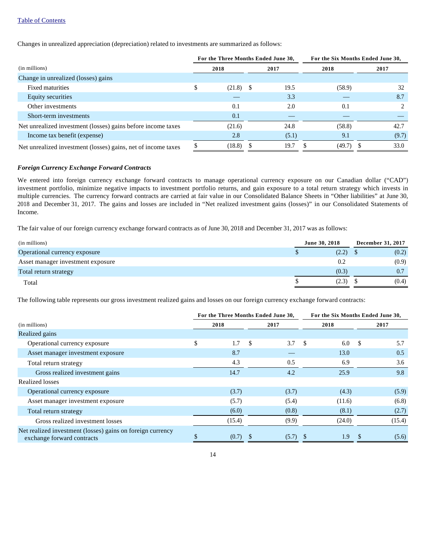Changes in unrealized appreciation (depreciation) related to investments are summarized as follows:

|                                                               |    |             |  | For the Three Months Ended June 30, | For the Six Months Ended June 30, |      |         |  |      |
|---------------------------------------------------------------|----|-------------|--|-------------------------------------|-----------------------------------|------|---------|--|------|
| (in millions)                                                 |    | 2018        |  |                                     |                                   | 2017 | 2018    |  | 2017 |
| Change in unrealized (losses) gains                           |    |             |  |                                     |                                   |      |         |  |      |
| <b>Fixed maturities</b>                                       | \$ | $(21.8)$ \$ |  | 19.5                                | (58.9)                            |      | 32      |  |      |
| Equity securities                                             |    |             |  | 3.3                                 |                                   |      | 8.7     |  |      |
| Other investments                                             |    | 0.1         |  | 2.0                                 | 0.1                               |      | $2^{1}$ |  |      |
| Short-term investments                                        |    | 0.1         |  |                                     |                                   |      |         |  |      |
| Net unrealized investment (losses) gains before income taxes  |    | (21.6)      |  | 24.8                                | (58.8)                            |      | 42.7    |  |      |
| Income tax benefit (expense)                                  |    | 2.8         |  | (5.1)                               | 9.1                               |      | (9.7)   |  |      |
| Net unrealized investment (losses) gains, net of income taxes |    | (18.8)      |  | 19.7                                | (49.7)                            |      | 33.0    |  |      |

#### *Foreign Currency Exchange Forward Contracts*

We entered into foreign currency exchange forward contracts to manage operational currency exposure on our Canadian dollar ("CAD") investment portfolio, minimize negative impacts to investment portfolio returns, and gain exposure to a total return strategy which invests in multiple currencies. The currency forward contracts are carried at fair value in our Consolidated Balance Sheets in "Other liabilities" at June 30, 2018 and December 31, 2017. The gains and losses are included in "Net realized investment gains (losses)" in our Consolidated Statements of Income.

The fair value of our foreign currency exchange forward contracts as of June 30, 2018 and December 31, 2017 was as follows:

| (in millions)                     | June 30, 2018 | December 31, 2017 |       |  |
|-----------------------------------|---------------|-------------------|-------|--|
| Operational currency exposure     | (2.2)         |                   | (0.2) |  |
| Asset manager investment exposure | 0.2           |                   | (0.9) |  |
| Total return strategy             | (0.3)         |                   | 0.7   |  |
| Total                             | (2.3)         |                   | (0.4) |  |

The following table represents our gross investment realized gains and losses on our foreign currency exchange forward contracts:

|                                                                                          |   |        |               | For the Three Months Ended June 30, | For the Six Months Ended June 30, |     |        |
|------------------------------------------------------------------------------------------|---|--------|---------------|-------------------------------------|-----------------------------------|-----|--------|
| (in millions)                                                                            |   | 2018   | 2017          |                                     | 2018                              |     | 2017   |
| Realized gains                                                                           |   |        |               |                                     |                                   |     |        |
| Operational currency exposure                                                            | ъ | 1.7    | <sup>\$</sup> | 3.7                                 | \$<br>6.0                         | \$. | 5.7    |
| Asset manager investment exposure                                                        |   | 8.7    |               |                                     | 13.0                              |     | 0.5    |
| Total return strategy                                                                    |   | 4.3    |               | 0.5                                 | 6.9                               |     | 3.6    |
| Gross realized investment gains                                                          |   | 14.7   |               | 4.2                                 | 25.9                              |     | 9.8    |
| Realized losses                                                                          |   |        |               |                                     |                                   |     |        |
| Operational currency exposure                                                            |   | (3.7)  |               | (3.7)                               | (4.3)                             |     | (5.9)  |
| Asset manager investment exposure                                                        |   | (5.7)  |               | (5.4)                               | (11.6)                            |     | (6.8)  |
| Total return strategy                                                                    |   | (6.0)  |               | (0.8)                               | (8.1)                             |     | (2.7)  |
| Gross realized investment losses                                                         |   | (15.4) |               | (9.9)                               | (24.0)                            |     | (15.4) |
| Net realized investment (losses) gains on foreign currency<br>exchange forward contracts |   | (0.7)  |               | (5.7)                               | 1.9                               |     | (5.6)  |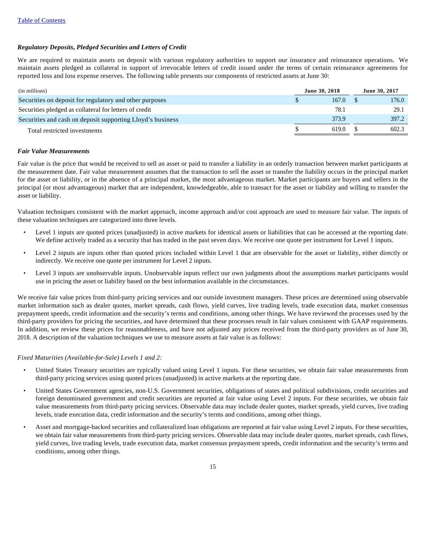# *Regulatory Deposits, Pledged Securities and Letters of Credit*

We are required to maintain assets on deposit with various regulatory authorities to support our insurance and reinsurance operations. We maintain assets pledged as collateral in support of irrevocable letters of credit issued under the terms of certain reinsurance agreements for reported loss and loss expense reserves. The following table presents our components of restricted assets at June 30:

| (in millions)                                              | June 30, 2018 |       | June 30, 2017 |       |  |
|------------------------------------------------------------|---------------|-------|---------------|-------|--|
| Securities on deposit for regulatory and other purposes    |               | 167.0 |               | 176.0 |  |
| Securities pledged as collateral for letters of credit     |               | 78.1  |               | 29.1  |  |
| Securities and cash on deposit supporting Lloyd's business |               | 373.9 |               | 397.2 |  |
| Total restricted investments                               |               | 619.0 |               | 602.3 |  |

#### *Fair Value Measurements*

Fair value is the price that would be received to sell an asset or paid to transfer a liability in an orderly transaction between market participants at the measurement date. Fair value measurement assumes that the transaction to sell the asset or transfer the liability occurs in the principal market for the asset or liability, or in the absence of a principal market, the most advantageous market. Market participants are buyers and sellers in the principal (or most advantageous) market that are independent, knowledgeable, able to transact for the asset or liability and willing to transfer the asset or liability.

Valuation techniques consistent with the market approach, income approach and/or cost approach are used to measure fair value. The inputs of these valuation techniques are categorized into three levels.

- Level 1 inputs are quoted prices (unadjusted) in active markets for identical assets or liabilities that can be accessed at the reporting date. We define actively traded as a security that has traded in the past seven days. We receive one quote per instrument for Level 1 inputs.
- Level 2 inputs are inputs other than quoted prices included within Level 1 that are observable for the asset or liability, either directly or indirectly. We receive one quote per instrument for Level 2 inputs.
- Level 3 inputs are unobservable inputs. Unobservable inputs reflect our own judgments about the assumptions market participants would use in pricing the asset or liability based on the best information available in the circumstances.

We receive fair value prices from third-party pricing services and our outside investment managers. These prices are determined using observable market information such as dealer quotes, market spreads, cash flows, yield curves, live trading levels, trade execution data, market consensus prepayment speeds, credit information and the security's terms and conditions, among other things. We have reviewed the processes used by the third-party providers for pricing the securities, and have determined that these processes result in fair values consistent with GAAP requirements. In addition, we review these prices for reasonableness, and have not adjusted any prices received from the third-party providers as of June 30, 2018. A description of the valuation techniques we use to measure assets at fair value is as follows:

#### *Fixed Maturities (Available-for-Sale) Levels 1 and 2:*

- United States Treasury securities are typically valued using Level 1 inputs. For these securities, we obtain fair value measurements from third-party pricing services using quoted prices (unadjusted) in active markets at the reporting date.
- United States Government agencies, non-U.S. Government securities, obligations of states and political subdivisions, credit securities and foreign denominated government and credit securities are reported at fair value using Level 2 inputs. For these securities, we obtain fair value measurements from third-party pricing services. Observable data may include dealer quotes, market spreads, yield curves, live trading levels, trade execution data, credit information and the security's terms and conditions, among other things.
- Asset and mortgage-backed securities and collateralized loan obligations are reported at fair value using Level 2 inputs. For these securities, we obtain fair value measurements from third-party pricing services. Observable data may include dealer quotes, market spreads, cash flows, yield curves, live trading levels, trade execution data, market consensus prepayment speeds, credit information and the security's terms and conditions, among other things.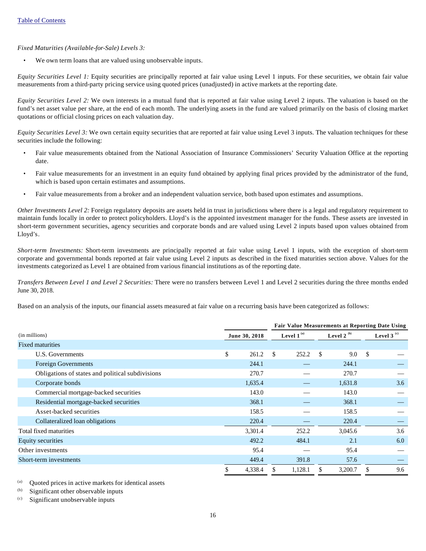## *Fixed Maturities (Available-for-Sale) Levels 3:*

We own term loans that are valued using unobservable inputs.

*Equity Securities Level 1:* Equity securities are principally reported at fair value using Level 1 inputs. For these securities, we obtain fair value measurements from a third-party pricing service using quoted prices (unadjusted) in active markets at the reporting date.

*Equity Securities Level 2:* We own interests in a mutual fund that is reported at fair value using Level 2 inputs. The valuation is based on the fund's net asset value per share, at the end of each month. The underlying assets in the fund are valued primarily on the basis of closing market quotations or official closing prices on each valuation day.

*Equity Securities Level 3:* We own certain equity securities that are reported at fair value using Level 3 inputs. The valuation techniques for these securities include the following:

- Fair value measurements obtained from the National Association of Insurance Commissioners' Security Valuation Office at the reporting date.
- Fair value measurements for an investment in an equity fund obtained by applying final prices provided by the administrator of the fund, which is based upon certain estimates and assumptions.
- Fair value measurements from a broker and an independent valuation service, both based upon estimates and assumptions.

*Other Investments Level 2:* Foreign regulatory deposits are assets held in trust in jurisdictions where there is a legal and regulatory requirement to maintain funds locally in order to protect policyholders. Lloyd's is the appointed investment manager for the funds. These assets are invested in short-term government securities, agency securities and corporate bonds and are valued using Level 2 inputs based upon values obtained from Lloyd's.

*Short-term Investments:* Short-term investments are principally reported at fair value using Level 1 inputs, with the exception of short-term corporate and governmental bonds reported at fair value using Level 2 inputs as described in the fixed maturities section above. Values for the investments categorized as Level 1 are obtained from various financial institutions as of the reporting date.

*Transfers Between Level 1 and Level 2 Securities:* There were no transfers between Level 1 and Level 2 securities during the three months ended June 30, 2018.

Based on an analysis of the inputs, our financial assets measured at fair value on a recurring basis have been categorized as follows:

|                                                  |               |                        |         | <b>Fair Value Measurements at Reporting Date Using</b> |         |               |               |
|--------------------------------------------------|---------------|------------------------|---------|--------------------------------------------------------|---------|---------------|---------------|
| (in millions)                                    | June 30, 2018 | Level 1 <sup>(a)</sup> |         | Level 2 <sup>(b)</sup>                                 |         |               | Level 3 $(c)$ |
| <b>Fixed maturities</b>                          |               |                        |         |                                                        |         |               |               |
| U.S. Governments                                 | \$<br>261.2   | \$                     | 252.2   | \$.                                                    | 9.0     | <sup>\$</sup> |               |
| <b>Foreign Governments</b>                       | 244.1         |                        |         |                                                        | 244.1   |               |               |
| Obligations of states and political subdivisions | 270.7         |                        |         |                                                        | 270.7   |               |               |
| Corporate bonds                                  | 1,635.4       |                        |         |                                                        | 1,631.8 |               | 3.6           |
| Commercial mortgage-backed securities            | 143.0         |                        |         |                                                        | 143.0   |               |               |
| Residential mortgage-backed securities           | 368.1         |                        |         |                                                        | 368.1   |               |               |
| Asset-backed securities                          | 158.5         |                        |         |                                                        | 158.5   |               |               |
| Collateralized loan obligations                  | 220.4         |                        |         |                                                        | 220.4   |               |               |
| Total fixed maturities                           | 3,301.4       |                        | 252.2   |                                                        | 3,045.6 |               | 3.6           |
| <b>Equity securities</b>                         | 492.2         |                        | 484.1   |                                                        | 2.1     |               | 6.0           |
| Other investments                                | 95.4          |                        |         |                                                        | 95.4    |               |               |
| Short-term investments                           | 449.4         |                        | 391.8   |                                                        | 57.6    |               |               |
|                                                  | \$<br>4,338.4 |                        | 1,128.1 | \$                                                     | 3,200.7 | S             | 9.6           |

(a) Quoted prices in active markets for identical assets

(b) Significant other observable inputs

(c) Significant unobservable inputs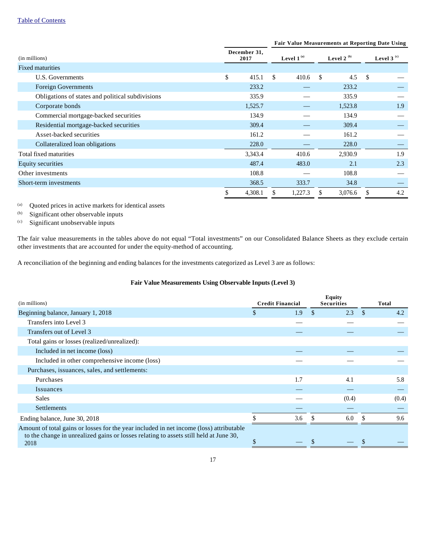|                                                  |                      |         |    |                 | <b>Fair Value Measurements at Reporting Date Using</b> |                        |      |               |
|--------------------------------------------------|----------------------|---------|----|-----------------|--------------------------------------------------------|------------------------|------|---------------|
| (in millions)                                    | December 31,<br>2017 |         |    | Level $1^{(a)}$ |                                                        | Level 2 <sup>(b)</sup> |      | Level 3 $(c)$ |
| <b>Fixed maturities</b>                          |                      |         |    |                 |                                                        |                        |      |               |
| U.S. Governments                                 | \$                   | 415.1   | \$ | 410.6           | \$                                                     | 4.5                    | - \$ |               |
| <b>Foreign Governments</b>                       |                      | 233.2   |    |                 |                                                        | 233.2                  |      |               |
| Obligations of states and political subdivisions |                      | 335.9   |    |                 |                                                        | 335.9                  |      |               |
| Corporate bonds                                  |                      | 1,525.7 |    |                 |                                                        | 1,523.8                |      | 1.9           |
| Commercial mortgage-backed securities            |                      | 134.9   |    |                 |                                                        | 134.9                  |      |               |
| Residential mortgage-backed securities           |                      | 309.4   |    |                 |                                                        | 309.4                  |      |               |
| Asset-backed securities                          |                      | 161.2   |    |                 |                                                        | 161.2                  |      |               |
| Collateralized loan obligations                  |                      | 228.0   |    |                 |                                                        | 228.0                  |      |               |
| Total fixed maturities                           |                      | 3,343.4 |    | 410.6           |                                                        | 2,930.9                |      | 1.9           |
| Equity securities                                |                      | 487.4   |    | 483.0           |                                                        | 2.1                    |      | 2.3           |
| Other investments                                |                      | 108.8   |    |                 |                                                        | 108.8                  |      |               |
| Short-term investments                           |                      | 368.5   |    | 333.7           |                                                        | 34.8                   |      |               |
|                                                  | \$                   | 4,308.1 | \$ | 1,227.3         | \$                                                     | 3,076.6                | S    | 4.2           |

(a) Quoted prices in active markets for identical assets

(b) Significant other observable inputs

(c) Significant unobservable inputs

The fair value measurements in the tables above do not equal "Total investments" on our Consolidated Balance Sheets as they exclude certain other investments that are accounted for under the equity-method of accounting.

A reconciliation of the beginning and ending balances for the investments categorized as Level 3 are as follows:

# **Fair Value Measurements Using Observable Inputs (Level 3)**

| (in millions)                                                                                                                                                                            | <b>Credit Financial</b> | <b>Equity</b><br><b>Securities</b> | Total                |
|------------------------------------------------------------------------------------------------------------------------------------------------------------------------------------------|-------------------------|------------------------------------|----------------------|
| Beginning balance, January 1, 2018                                                                                                                                                       | 1.9<br>\$               | 2.3<br><sup>\$</sup>               | <sup>\$</sup><br>4.2 |
| Transfers into Level 3                                                                                                                                                                   |                         |                                    |                      |
| Transfers out of Level 3                                                                                                                                                                 |                         |                                    |                      |
| Total gains or losses (realized/unrealized):                                                                                                                                             |                         |                                    |                      |
| Included in net income (loss)                                                                                                                                                            |                         |                                    |                      |
| Included in other comprehensive income (loss)                                                                                                                                            |                         |                                    |                      |
| Purchases, issuances, sales, and settlements:                                                                                                                                            |                         |                                    |                      |
| Purchases                                                                                                                                                                                | 1.7                     | 4.1                                | 5.8                  |
| Issuances                                                                                                                                                                                |                         |                                    |                      |
| Sales                                                                                                                                                                                    |                         | (0.4)                              | (0.4)                |
| <b>Settlements</b>                                                                                                                                                                       |                         |                                    |                      |
| Ending balance, June 30, 2018                                                                                                                                                            | 3.6                     | $6.0^{\circ}$                      | 9.6                  |
| Amount of total gains or losses for the year included in net income (loss) attributable<br>to the change in unrealized gains or losses relating to assets still held at June 30,<br>2018 |                         |                                    |                      |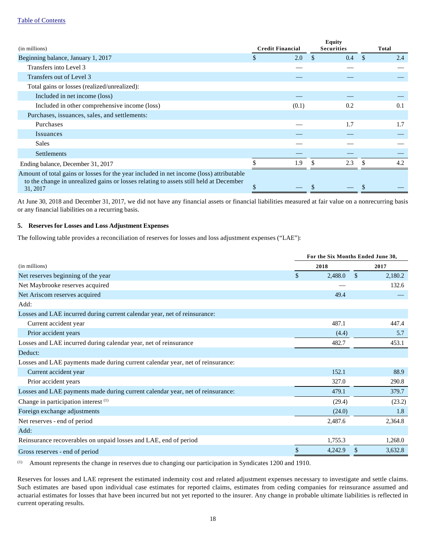| (in millions)                                                                                                                                                                                | <b>Credit Financial</b> | Equity<br><b>Securities</b> | Total       |
|----------------------------------------------------------------------------------------------------------------------------------------------------------------------------------------------|-------------------------|-----------------------------|-------------|
| Beginning balance, January 1, 2017                                                                                                                                                           | \$<br>2.0               | <sup>\$</sup><br>0.4        | - \$<br>2.4 |
| Transfers into Level 3                                                                                                                                                                       |                         |                             |             |
| Transfers out of Level 3                                                                                                                                                                     |                         |                             |             |
| Total gains or losses (realized/unrealized):                                                                                                                                                 |                         |                             |             |
| Included in net income (loss)                                                                                                                                                                |                         |                             |             |
| Included in other comprehensive income (loss)                                                                                                                                                | (0.1)                   | 0.2                         | 0.1         |
| Purchases, issuances, sales, and settlements:                                                                                                                                                |                         |                             |             |
| Purchases                                                                                                                                                                                    |                         | 1.7                         | 1.7         |
| Issuances                                                                                                                                                                                    |                         |                             |             |
| <b>Sales</b>                                                                                                                                                                                 |                         |                             |             |
| <b>Settlements</b>                                                                                                                                                                           |                         |                             |             |
| Ending balance, December 31, 2017                                                                                                                                                            | 1.9                     | 23                          | 4.2         |
| Amount of total gains or losses for the year included in net income (loss) attributable<br>to the change in unrealized gains or losses relating to assets still held at December<br>31, 2017 | P                       |                             |             |

At June 30, 2018 and December 31, 2017, we did not have any financial assets or financial liabilities measured at fair value on a nonrecurring basis or any financial liabilities on a recurring basis.

# **5. Reserves for Losses and Loss Adjustment Expenses**

The following table provides a reconciliation of reserves for losses and loss adjustment expenses ("LAE"):

|                                                                                | For the Six Months Ended June 30, |         |               |         |  |  |
|--------------------------------------------------------------------------------|-----------------------------------|---------|---------------|---------|--|--|
| (in millions)                                                                  | 2018                              |         |               | 2017    |  |  |
| Net reserves beginning of the year                                             | $\mathcal{S}$                     | 2,488.0 | $\mathcal{S}$ | 2,180.2 |  |  |
| Net Maybrooke reserves acquired                                                |                                   |         |               | 132.6   |  |  |
| Net Ariscom reserves acquired                                                  |                                   | 49.4    |               |         |  |  |
| Add:                                                                           |                                   |         |               |         |  |  |
| Losses and LAE incurred during current calendar year, net of reinsurance:      |                                   |         |               |         |  |  |
| Current accident year                                                          |                                   | 487.1   |               | 447.4   |  |  |
| Prior accident years                                                           |                                   | (4.4)   |               | 5.7     |  |  |
| Losses and LAE incurred during calendar year, net of reinsurance               |                                   | 482.7   |               | 453.1   |  |  |
| Deduct:                                                                        |                                   |         |               |         |  |  |
| Losses and LAE payments made during current calendar year, net of reinsurance: |                                   |         |               |         |  |  |
| Current accident year                                                          |                                   | 152.1   |               | 88.9    |  |  |
| Prior accident years                                                           |                                   | 327.0   |               | 290.8   |  |  |
| Losses and LAE payments made during current calendar year, net of reinsurance: |                                   | 479.1   |               | 379.7   |  |  |
| Change in participation interest (1)                                           |                                   | (29.4)  |               | (23.2)  |  |  |
| Foreign exchange adjustments                                                   |                                   | (24.0)  |               | 1.8     |  |  |
| Net reserves - end of period                                                   |                                   | 2,487.6 |               | 2,364.8 |  |  |
| Add:                                                                           |                                   |         |               |         |  |  |
| Reinsurance recoverables on unpaid losses and LAE, end of period               |                                   | 1,755.3 |               | 1,268.0 |  |  |
| Gross reserves - end of period                                                 | \$                                | 4,242.9 |               | 3,632.8 |  |  |

(1) Amount represents the change in reserves due to changing our participation in Syndicates 1200 and 1910.

Reserves for losses and LAE represent the estimated indemnity cost and related adjustment expenses necessary to investigate and settle claims. Such estimates are based upon individual case estimates for reported claims, estimates from ceding companies for reinsurance assumed and actuarial estimates for losses that have been incurred but not yet reported to the insurer. Any change in probable ultimate liabilities is reflected in current operating results.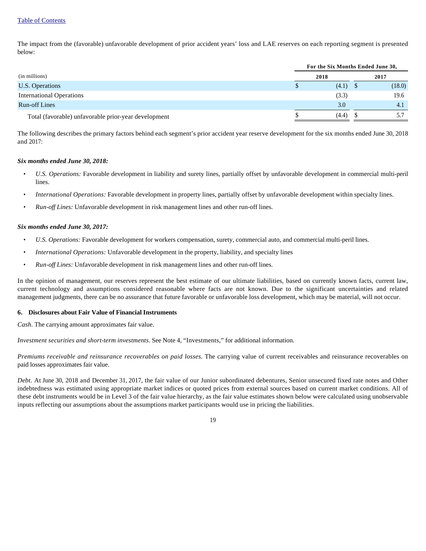The impact from the (favorable) unfavorable development of prior accident years' loss and LAE reserves on each reporting segment is presented below:

|                                                      |      | For the Six Months Ended June 30, |        |  |  |  |  |  |  |
|------------------------------------------------------|------|-----------------------------------|--------|--|--|--|--|--|--|
| (in millions)                                        | 2018 |                                   | 2017   |  |  |  |  |  |  |
| U.S. Operations                                      |      | (4.1)                             | (18.0) |  |  |  |  |  |  |
| <b>International Operations</b>                      |      | (3.3)                             | 19.6   |  |  |  |  |  |  |
| Run-off Lines                                        |      | 3.0                               | 4.1    |  |  |  |  |  |  |
| Total (favorable) unfavorable prior-year development |      | (4.4)                             |        |  |  |  |  |  |  |

The following describes the primary factors behind each segment's prior accident year reserve development for the six months ended June 30, 2018 and 2017:

#### *Six months ended June 30, 2018:*

- *U.S. Operations:* Favorable development in liability and surety lines, partially offset by unfavorable development in commercial multi-peril lines.
- *International Operations:* Favorable development in property lines, partially offset by unfavorable development within specialty lines.
- *Run-off Lines:* Unfavorable development in risk management lines and other run-off lines.

#### *Six months ended June 30, 2017:*

- *U.S. Operations:* Favorable development for workers compensation, surety, commercial auto, and commercial multi-peril lines.
- *International Operations:* Unfavorable development in the property, liability, and specialty lines
- *Run-off Lines:* Unfavorable development in risk management lines and other run-off lines.

In the opinion of management, our reserves represent the best estimate of our ultimate liabilities, based on currently known facts, current law, current technology and assumptions considered reasonable where facts are not known. Due to the significant uncertainties and related management judgments, there can be no assurance that future favorable or unfavorable loss development, which may be material, will not occur.

#### **6. Disclosures about Fair Value of Financial Instruments**

*Cash.* The carrying amount approximates fair value.

*Investment securities and short-term investments*. See Note 4, "Investments," for additional information.

*Premiums receivable and reinsurance recoverables on paid losses.* The carrying value of current receivables and reinsurance recoverables on paid losses approximates fair value.

*Debt*. At June 30, 2018 and December 31, 2017, the fair value of our Junior subordinated debentures, Senior unsecured fixed rate notes and Other indebtedness was estimated using appropriate market indices or quoted prices from external sources based on current market conditions. All of these debt instruments would be in Level 3 of the fair value hierarchy, as the fair value estimates shown below were calculated using unobservable inputs reflecting our assumptions about the assumptions market participants would use in pricing the liabilities.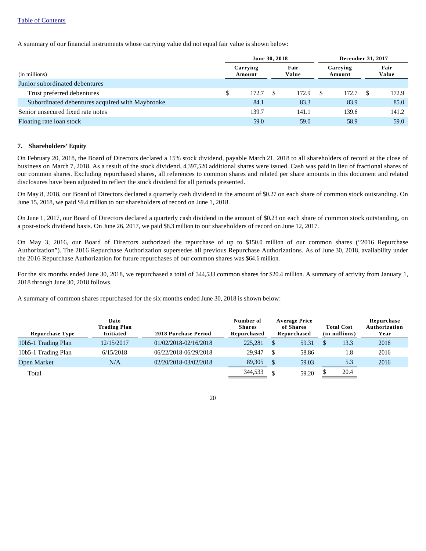A summary of our financial instruments whose carrying value did not equal fair value is shown below:

|                                                 | June 30, 2018      |  |               | December 31, 2017 |                    |  |               |
|-------------------------------------------------|--------------------|--|---------------|-------------------|--------------------|--|---------------|
| (in millions)                                   | Carrying<br>Amount |  | Fair<br>Value |                   | Carrying<br>Amount |  | Fair<br>Value |
| Junior subordinated debentures                  |                    |  |               |                   |                    |  |               |
| Trust preferred debentures                      | \$<br>172.7        |  | 172.9         |                   | 172.7              |  | 172.9         |
| Subordinated debentures acquired with Maybrooke | 84.1               |  | 83.3          |                   | 83.9               |  | 85.0          |
| Senior unsecured fixed rate notes               | 139.7              |  | 141.1         |                   | 139.6              |  | 141.2         |
| Floating rate loan stock                        | 59.0               |  | 59.0          |                   | 58.9               |  | 59.0          |

#### **7. Shareholders' Equity**

On February 20, 2018, the Board of Directors declared a 15% stock dividend, payable March 21, 2018 to all shareholders of record at the close of business on March 7, 2018. As a result of the stock dividend, 4,397,520 additional shares were issued. Cash was paid in lieu of fractional shares of our common shares. Excluding repurchased shares, all references to common shares and related per share amounts in this document and related disclosures have been adjusted to reflect the stock dividend for all periods presented.

On May 8, 2018, our Board of Directors declared a quarterly cash dividend in the amount of \$0.27 on each share of common stock outstanding. On June 15, 2018, we paid \$9.4 million to our shareholders of record on June 1, 2018.

On June 1, 2017, our Board of Directors declared a quarterly cash dividend in the amount of \$0.23 on each share of common stock outstanding, on a post-stock dividend basis. On June 26, 2017, we paid \$8.3 million to our shareholders of record on June 12, 2017.

On May 3, 2016, our Board of Directors authorized the repurchase of up to \$150.0 million of our common shares ("2016 Repurchase Authorization"). The 2016 Repurchase Authorization supersedes all previous Repurchase Authorizations. As of June 30, 2018, availability under the 2016 Repurchase Authorization for future repurchases of our common shares was \$64.6 million.

For the six months ended June 30, 2018, we repurchased a total of 344,533 common shares for \$20.4 million. A summary of activity from January 1, 2018 through June 30, 2018 follows.

A summary of common shares repurchased for the six months ended June 30, 2018 is shown below:

| <b>Repurchase Type</b> | Date<br><b>Trading Plan</b><br><b>Initiated</b> | <b>2018 Purchase Period</b> | Number of<br><b>Shares</b><br>Repurchased | <b>Average Price</b><br>of Shares<br>Repurchased | <b>Total Cost</b><br>(in millions) | Repurchase<br>Authorization<br>Year |
|------------------------|-------------------------------------------------|-----------------------------|-------------------------------------------|--------------------------------------------------|------------------------------------|-------------------------------------|
| 10b5-1 Trading Plan    | 12/15/2017                                      | 01/02/2018-02/16/2018       | 225,281                                   | 59.31                                            | 13.3                               | 2016                                |
| 10b5-1 Trading Plan    | 6/15/2018                                       | 06/22/2018-06/29/2018       | 29.947                                    | 58.86                                            | 1.8                                | 2016                                |
| <b>Open Market</b>     | N/A                                             | 02/20/2018-03/02/2018       | 89,305                                    | 59.03                                            | 5.3                                | 2016                                |
| Total                  |                                                 |                             | 344,533                                   | 59.20                                            | 20.4                               |                                     |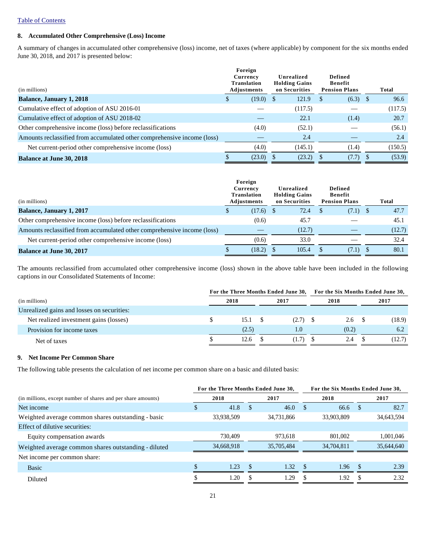# **8. Accumulated Other Comprehensive (Loss) Income**

A summary of changes in accumulated other comprehensive (loss) income, net of taxes (where applicable) by component for the six months ended June 30, 2018, and 2017 is presented below:

| (in millions)                                                           | Foreign<br>Currency<br><b>Translation</b><br>Adjustments | Unrealized<br><b>Holding Gains</b><br>on Securities |   | <b>Defined</b><br><b>Benefit</b><br><b>Pension Plans</b> | Total   |
|-------------------------------------------------------------------------|----------------------------------------------------------|-----------------------------------------------------|---|----------------------------------------------------------|---------|
| <b>Balance, January 1, 2018</b>                                         | (19.0)                                                   | 121.9                                               | S | (6.3)                                                    | 96.6    |
| Cumulative effect of adoption of ASU 2016-01                            |                                                          | (117.5)                                             |   |                                                          | (117.5) |
| Cumulative effect of adoption of ASU 2018-02                            |                                                          | 22.1                                                |   | (1.4)                                                    | 20.7    |
| Other comprehensive income (loss) before reclassifications              | (4.0)                                                    | (52.1)                                              |   |                                                          | (56.1)  |
| Amounts reclassified from accumulated other comprehensive income (loss) |                                                          | 2.4                                                 |   |                                                          | 2.4     |
| Net current-period other comprehensive income (loss)                    | (4.0)                                                    | (145.1)                                             |   | (1.4)                                                    | (150.5) |
| <b>Balance at June 30, 2018</b>                                         | (23.0)                                                   | (23.2)                                              |   | (7.7)                                                    | (53.9)  |

| (in millions)                                                           | Foreign<br>Currency<br><b>Translation</b><br>Adjustments | Unrealized<br><b>Holding Gains</b><br>on Securities | Defined<br>Benefit<br><b>Pension Plans</b> | <b>Total</b> |
|-------------------------------------------------------------------------|----------------------------------------------------------|-----------------------------------------------------|--------------------------------------------|--------------|
| <b>Balance, January 1, 2017</b>                                         | (17.6)                                                   | 72.4                                                | $(7.1)$ \$                                 | 47.7         |
| Other comprehensive income (loss) before reclassifications              | (0.6)                                                    | 45.7                                                |                                            | 45.1         |
| Amounts reclassified from accumulated other comprehensive income (loss) |                                                          | (12.7)                                              |                                            | (12.7)       |
| Net current-period other comprehensive income (loss)                    | (0.6)                                                    | 33.0                                                |                                            | 32.4         |
| <b>Balance at June 30, 2017</b>                                         | (18.2)                                                   | 105.4                                               | (7.1)                                      | 80.1         |

The amounts reclassified from accumulated other comprehensive income (loss) shown in the above table have been included in the following captions in our Consolidated Statements of Income:

| For the Three Months Ended June 30,        |  |       |       | For the Six Months Ended June 30, |  |        |  |
|--------------------------------------------|--|-------|-------|-----------------------------------|--|--------|--|
| (in millions)                              |  | 2018  | 2017  | 2018                              |  | 2017   |  |
| Unrealized gains and losses on securities: |  |       |       |                                   |  |        |  |
| Net realized investment gains (losses)     |  | 15.1  | (2.7) | $2.6-5$                           |  | (18.9) |  |
| Provision for income taxes                 |  | (2.5) | 1.0   | (0.2)                             |  | 6.2    |  |
| Net of taxes                               |  | 12.6  | (1.7) | 2.4                               |  | (12.7) |  |

# **9. Net Income Per Common Share**

The following table presents the calculation of net income per common share on a basic and diluted basis:

|                                                              | For the Three Months Ended June 30, |            |  |            |  | For the Six Months Ended June 30, |               |            |  |
|--------------------------------------------------------------|-------------------------------------|------------|--|------------|--|-----------------------------------|---------------|------------|--|
| (in millions, except number of shares and per share amounts) |                                     | 2018       |  | 2017       |  | 2018                              |               | 2017       |  |
| Net income                                                   |                                     | 41.8       |  | 46.0       |  | 66.6                              | -S            | 82.7       |  |
| Weighted average common shares outstanding - basic           |                                     | 33,938,509 |  | 34,731,866 |  | 33,903,809                        |               | 34,643,594 |  |
| Effect of dilutive securities:                               |                                     |            |  |            |  |                                   |               |            |  |
| Equity compensation awards                                   |                                     | 730,409    |  | 973.618    |  | 801.002                           |               | 1,001,046  |  |
| Weighted average common shares outstanding - diluted         |                                     | 34,668,918 |  | 35,705,484 |  | 34,704,811                        |               | 35,644,640 |  |
| Net income per common share:                                 |                                     |            |  |            |  |                                   |               |            |  |
| Basic                                                        |                                     | 1.23       |  | 1.32       |  | 1.96                              | $\mathcal{S}$ | 2.39       |  |
| Diluted                                                      |                                     | 1.20       |  | 1.29       |  | 1.92                              |               | 2.32       |  |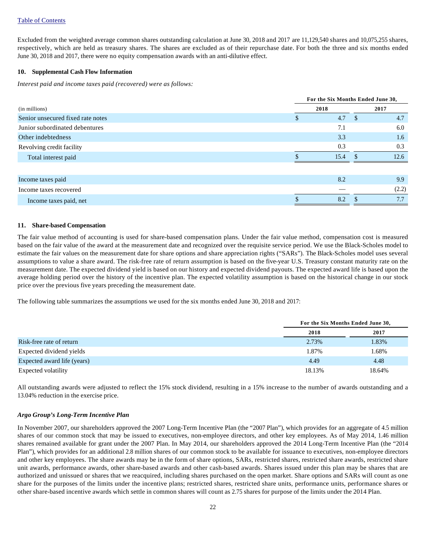Excluded from the weighted average common shares outstanding calculation at June 30, 2018 and 2017 are 11,129,540 shares and 10,075,255 shares, respectively, which are held as treasury shares. The shares are excluded as of their repurchase date. For both the three and six months ended June 30, 2018 and 2017, there were no equity compensation awards with an anti-dilutive effect.

#### **10. Supplemental Cash Flow Information**

*Interest paid and income taxes paid (recovered) were as follows:* 

|  | 2018 | 2017         |                                   |  |  |
|--|------|--------------|-----------------------------------|--|--|
|  | 4.7  | <sup>S</sup> | 4.7                               |  |  |
|  | 7.1  |              | 6.0                               |  |  |
|  | 3.3  |              | 1.6                               |  |  |
|  | 0.3  |              | 0.3                               |  |  |
|  | 15.4 |              | 12.6                              |  |  |
|  |      |              |                                   |  |  |
|  | 8.2  |              | 9.9                               |  |  |
|  |      |              | (2.2)                             |  |  |
|  | 8.2  |              | 7.7                               |  |  |
|  |      |              | For the Six Months Ended June 30, |  |  |

#### **11. Share-based Compensation**

The fair value method of accounting is used for share-based compensation plans. Under the fair value method, compensation cost is measured based on the fair value of the award at the measurement date and recognized over the requisite service period. We use the Black-Scholes model to estimate the fair values on the measurement date for share options and share appreciation rights ("SARs"). The Black-Scholes model uses several assumptions to value a share award. The risk-free rate of return assumption is based on the five-year U.S. Treasury constant maturity rate on the measurement date. The expected dividend yield is based on our history and expected dividend payouts. The expected award life is based upon the average holding period over the history of the incentive plan. The expected volatility assumption is based on the historical change in our stock price over the previous five years preceding the measurement date.

The following table summarizes the assumptions we used for the six months ended June 30, 2018 and 2017:

|                             | For the Six Months Ended June 30, |        |
|-----------------------------|-----------------------------------|--------|
|                             | 2018                              | 2017   |
| Risk-free rate of return    | 2.73%                             | 1.83%  |
| Expected dividend yields    | 1.87%                             | 1.68%  |
| Expected award life (years) | 4.49                              | 4.48   |
| Expected volatility         | 18.13%                            | 18.64% |

All outstanding awards were adjusted to reflect the 15% stock dividend, resulting in a 15% increase to the number of awards outstanding and a 13.04% reduction in the exercise price.

#### *Argo Group's Long-Term Incentive Plan*

In November 2007, our shareholders approved the 2007 Long-Term Incentive Plan (the "2007 Plan"), which provides for an aggregate of 4.5 million shares of our common stock that may be issued to executives, non-employee directors, and other key employees. As of May 2014, 1.46 million shares remained available for grant under the 2007 Plan. In May 2014, our shareholders approved the 2014 Long-Term Incentive Plan (the "2014 Plan"), which provides for an additional 2.8 million shares of our common stock to be available for issuance to executives, non-employee directors and other key employees. The share awards may be in the form of share options, SARs, restricted shares, restricted share awards, restricted share unit awards, performance awards, other share-based awards and other cash-based awards. Shares issued under this plan may be shares that are authorized and unissued or shares that we reacquired, including shares purchased on the open market. Share options and SARs will count as one share for the purposes of the limits under the incentive plans; restricted shares, restricted share units, performance units, performance shares or other share-based incentive awards which settle in common shares will count as 2.75 shares for purpose of the limits under the 2014 Plan.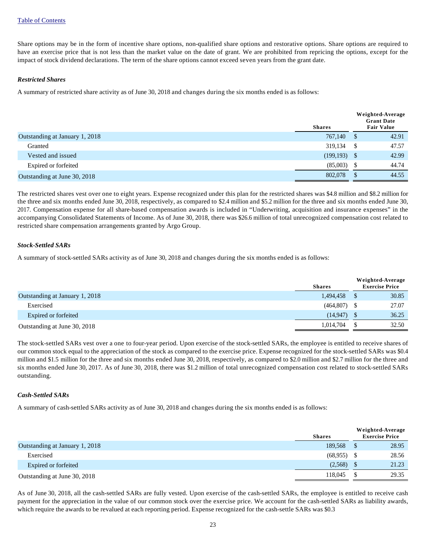Share options may be in the form of incentive share options, non-qualified share options and restorative options. Share options are required to have an exercise price that is not less than the market value on the date of grant. We are prohibited from repricing the options, except for the impact of stock dividend declarations. The term of the share options cannot exceed seven years from the grant date.

#### *Restricted Shares*

A summary of restricted share activity as of June 30, 2018 and changes during the six months ended is as follows:

|                                | <b>Shares</b>   |      | Weighted-Average<br><b>Grant Date</b><br><b>Fair Value</b> |
|--------------------------------|-----------------|------|------------------------------------------------------------|
| Outstanding at January 1, 2018 | 767,140         | - \$ | 42.91                                                      |
| Granted                        | 319,134         | - \$ | 47.57                                                      |
| Vested and issued              | $(199, 193)$ \$ |      | 42.99                                                      |
| Expired or forfeited           | $(85,003)$ \$   |      | 44.74                                                      |
| Outstanding at June 30, 2018   | 802,078         |      | 44.55                                                      |

The restricted shares vest over one to eight years. Expense recognized under this plan for the restricted shares was \$4.8 million and \$8.2 million for the three and six months ended June 30, 2018, respectively, as compared to \$2.4 million and \$5.2 million for the three and six months ended June 30, 2017. Compensation expense for all share-based compensation awards is included in "Underwriting, acquisition and insurance expenses" in the accompanying Consolidated Statements of Income. As of June 30, 2018, there was \$26.6 million of total unrecognized compensation cost related to restricted share compensation arrangements granted by Argo Group.

## *Stock-Settled SARs*

A summary of stock-settled SARs activity as of June 30, 2018 and changes during the six months ended is as follows:

|                                | <b>Shares</b>  | Weighted-Average<br><b>Exercise Price</b> |
|--------------------------------|----------------|-------------------------------------------|
| Outstanding at January 1, 2018 | 1,494,458      | 30.85                                     |
| Exercised                      | $(464,807)$ \$ | 27.07                                     |
| Expired or forfeited           | (14, 947)      | 36.25                                     |
| Outstanding at June 30, 2018   | 1,014,704      | 32.50                                     |

The stock-settled SARs vest over a one to four-year period. Upon exercise of the stock-settled SARs, the employee is entitled to receive shares of our common stock equal to the appreciation of the stock as compared to the exercise price. Expense recognized for the stock-settled SARs was \$0.4 million and \$1.5 million for the three and six months ended June 30, 2018, respectively, as compared to \$2.0 million and \$2.7 million for the three and six months ended June 30, 2017. As of June 30, 2018, there was \$1.2 million of total unrecognized compensation cost related to stock-settled SARs outstanding.

#### *Cash-Settled SARs*

A summary of cash-settled SARs activity as of June 30, 2018 and changes during the six months ended is as follows:

|                                | <b>Shares</b> | Weighted-Average<br><b>Exercise Price</b> |
|--------------------------------|---------------|-------------------------------------------|
| Outstanding at January 1, 2018 | 189.568       | 28.95                                     |
| Exercised                      | $(68,955)$ \$ | 28.56                                     |
| Expired or forfeited           | (2,568)       | 21.23                                     |
| Outstanding at June 30, 2018   | 118.045       | 29.35                                     |

As of June 30, 2018, all the cash-settled SARs are fully vested. Upon exercise of the cash-settled SARs, the employee is entitled to receive cash payment for the appreciation in the value of our common stock over the exercise price. We account for the cash-settled SARs as liability awards, which require the awards to be revalued at each reporting period. Expense recognized for the cash-settle SARs was \$0.3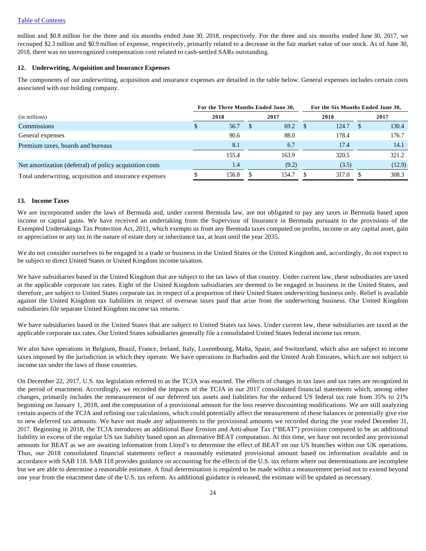million and \$0.8 million for the three and six months ended June 30, 2018, respectively. For the three and six months ended June 30, 2017, we recouped \$2.3 million and \$0.9 million of expense, respectively, primarily related to a decrease in the fair market value of our stock. As of June 30, 2018, there was no unrecognized compensation cost related to cash-settled SARs outstanding.

#### **12. Underwriting, Acquisition and Insurance Expenses**

The components of our underwriting, acquisition and insurance expenses are detailed in the table below. General expenses includes certain costs associated with our holding company.

| For the Three Months Ended June 30,                     |              |       |  |       | For the Six Months Ended June 30, |       |  |        |  |  |
|---------------------------------------------------------|--------------|-------|--|-------|-----------------------------------|-------|--|--------|--|--|
| (in millions)                                           | 2018<br>2017 |       |  |       | 2018                              |       |  | 2017   |  |  |
| <b>Commissions</b>                                      |              | 56.7  |  | 69.2  |                                   | 124.7 |  | 130.4  |  |  |
| General expenses                                        |              | 90.6  |  | 88.0  |                                   | 178.4 |  | 176.7  |  |  |
| Premium taxes, boards and bureaus                       |              | 8.1   |  | 6.7   |                                   | 17.4  |  | 14.1   |  |  |
|                                                         |              | 155.4 |  | 163.9 |                                   | 320.5 |  | 321.2  |  |  |
| Net amortization (deferral) of policy acquisition costs |              | 1.4   |  | (9.2) |                                   | (3.5) |  | (12.9) |  |  |
| Total underwriting, acquisition and insurance expenses  |              | 156.8 |  | 154.7 |                                   | 317.0 |  | 308.3  |  |  |

#### **13. Income Taxes**

We are incorporated under the laws of Bermuda and, under current Bermuda law, are not obligated to pay any taxes in Bermuda based upon income or capital gains. We have received an undertaking from the Supervisor of Insurance in Bermuda pursuant to the provisions of the Exempted Undertakings Tax Protection Act, 2011, which exempts us from any Bermuda taxes computed on profits, income or any capital asset, gain or appreciation or any tax in the nature of estate duty or inheritance tax, at least until the year 2035.

We do not consider ourselves to be engaged in a trade or business in the United States or the United Kingdom and, accordingly, do not expect to be subject to direct United States or United Kingdom income taxation.

We have subsidiaries based in the United Kingdom that are subject to the tax laws of that country. Under current law, these subsidiaries are taxed at the applicable corporate tax rates. Eight of the United Kingdom subsidiaries are deemed to be engaged in business in the United States, and therefore, are subject to United States corporate tax in respect of a proportion of their United States underwriting business only. Relief is available against the United Kingdom tax liabilities in respect of overseas taxes paid that arise from the underwriting business. Our United Kingdom subsidiaries file separate United Kingdom income tax returns.

We have subsidiaries based in the United States that are subject to United States tax laws. Under current law, these subsidiaries are taxed at the applicable corporate tax rates. Our United States subsidiaries generally file a consolidated United States federal income tax return.

We also have operations in Belgium, Brazil, France, Ireland, Italy, Luxembourg, Malta, Spain, and Switzerland, which also are subject to income taxes imposed by the jurisdiction in which they operate. We have operations in Barbados and the United Arab Emirates, which are not subject to income tax under the laws of those countries.

On December 22, 2017, U.S. tax legislation referred to as the TCJA was enacted. The effects of changes in tax laws and tax rates are recognized in the period of enactment. Accordingly, we recorded the impacts of the TCJA in our 2017 consolidated financial statements which, among other changes, primarily includes the remeasurement of our deferred tax assets and liabilities for the reduced US federal tax rate from 35% to 21% beginning on January 1, 2018, and the computation of a provisional amount for the loss reserve discounting modifications. We are still analyzing certain aspects of the TCJA and refining our calculations, which could potentially affect the measurement of these balances or potentially give rise to new deferred tax amounts. We have not made any adjustments to the provisional amounts we recorded during the year ended December 31, 2017. Beginning in 2018, the TCJA introduces an additional Base Erosion and Anti-abuse Tax ("BEAT") provision computed to be an additional liability in excess of the regular US tax liability based upon an alternative BEAT computation. At this time, we have not recorded any provisional amounts for BEAT as we are awaiting information from Lloyd's to determine the effect of BEAT on our US branches within our UK operations. Thus, our 2018 consolidated financial statements reflect a reasonably estimated provisional amount based on information available and in accordance with SAB 118. SAB 118 provides guidance on accounting for the effects of the U.S. tax reform where our determinations are incomplete but we are able to determine a reasonable estimate. A final determination is required to be made within a measurement period not to extend beyond one year from the enactment date of the U.S. tax reform. As additional guidance is released, the estimate will be updated as necessary.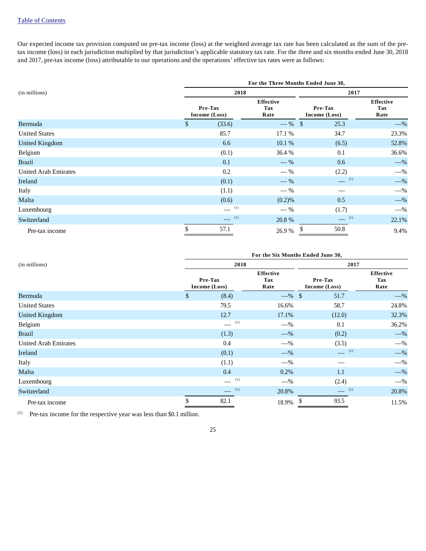Our expected income tax provision computed on pre-tax income (loss) at the weighted average tax rate has been calculated as the sum of the pretax income (loss) in each jurisdiction multiplied by that jurisdiction's applicable statutory tax rate. For the three and six months ended June 30, 2018 and 2017, pre-tax income (loss) attributable to our operations and the operations' effective tax rates were as follows:

|                             | For the Three Months Ended June 30, |                                        |                          |                                 |  |  |  |  |  |  |
|-----------------------------|-------------------------------------|----------------------------------------|--------------------------|---------------------------------|--|--|--|--|--|--|
| (in millions)               | 2018                                |                                        | 2017                     |                                 |  |  |  |  |  |  |
|                             | Pre-Tax<br>Income (Loss)            | <b>Effective</b><br><b>Tax</b><br>Rate | Pre-Tax<br>Income (Loss) | <b>Effective</b><br>Tax<br>Rate |  |  |  |  |  |  |
| Bermuda                     | \$<br>(33.6)                        | $-$ % \$                               | 25.3                     | $-$ %                           |  |  |  |  |  |  |
| <b>United States</b>        | 85.7                                | 17.1 %                                 | 34.7                     | 23.3%                           |  |  |  |  |  |  |
| <b>United Kingdom</b>       | 6.6                                 | 10.1 %                                 | (6.5)                    | 52.8%                           |  |  |  |  |  |  |
| Belgium                     | (0.1)                               | 36.4 %                                 | 0.1                      | 36.6%                           |  |  |  |  |  |  |
| <b>Brazil</b>               | 0.1                                 | $-$ %                                  | 0.6                      | $-$ %                           |  |  |  |  |  |  |
| <b>United Arab Emirates</b> | 0.2                                 | $-$ %                                  | (2.2)                    | $-$ %                           |  |  |  |  |  |  |
| Ireland                     | (0.1)                               | $-$ %                                  | (1)                      | $-$ %                           |  |  |  |  |  |  |
| Italy                       | (1.1)                               | $-$ %                                  |                          | $-$ %                           |  |  |  |  |  |  |
| Malta                       | (0.6)                               | $(0.2)$ %                              | 0.5                      | $-$ %                           |  |  |  |  |  |  |
| Luxembourg                  | (1)                                 | $-$ %                                  | (1.7)                    | $-$ %                           |  |  |  |  |  |  |
| Switzerland                 | (1)                                 | 20.8 %                                 | (1)                      | 22.1%                           |  |  |  |  |  |  |
| Pre-tax income              | \$<br>57.1                          | 26.9%                                  | 50.8<br>S                | 9.4%                            |  |  |  |  |  |  |

|                             | For the Six Months Ended June 30, |                                        |                          |                                 |  |  |  |  |  |
|-----------------------------|-----------------------------------|----------------------------------------|--------------------------|---------------------------------|--|--|--|--|--|
| (in millions)               | 2018                              |                                        | 2017                     |                                 |  |  |  |  |  |
|                             | Pre-Tax<br>Income (Loss)          | <b>Effective</b><br><b>Tax</b><br>Rate | Pre-Tax<br>Income (Loss) | <b>Effective</b><br>Tax<br>Rate |  |  |  |  |  |
| Bermuda                     | \$<br>(8.4)                       | $-$ % \$                               | 51.7                     | $-$ %                           |  |  |  |  |  |
| <b>United States</b>        | 79.5                              | 16.6%                                  | 58.7                     | 24.8%                           |  |  |  |  |  |
| <b>United Kingdom</b>       | 12.7                              | 17.1%                                  | (12.0)                   | 32.3%                           |  |  |  |  |  |
| Belgium                     | (1)                               | $-$ %                                  | 0.1                      | 36.2%                           |  |  |  |  |  |
| <b>Brazil</b>               | (1.3)                             | $-$ %                                  | (0.2)                    | $-$ %                           |  |  |  |  |  |
| <b>United Arab Emirates</b> | 0.4                               | $-$ %                                  | (3.5)                    | $-$ %                           |  |  |  |  |  |
| Ireland                     | (0.1)                             | $-$ %                                  | (1)                      | $-$ %                           |  |  |  |  |  |
| Italy                       | (1.1)                             | $-$ %                                  |                          | $-$ %                           |  |  |  |  |  |
| Malta                       | 0.4                               | 0.2%                                   | 1.1                      | $-$ %                           |  |  |  |  |  |
| Luxembourg                  | (1)                               | $-$ %                                  | (2.4)                    | $-$ %                           |  |  |  |  |  |
| Switzerland                 | $\frac{1}{\sqrt{1-\frac{1}{2}}}$  | 20.8%                                  |                          | (1)<br>20.8%                    |  |  |  |  |  |
| Pre-tax income              | 82.1                              | 18.9%                                  | 93.5                     | 11.5%                           |  |  |  |  |  |

(1) Pre-tax income for the respective year was less than \$0.1 million.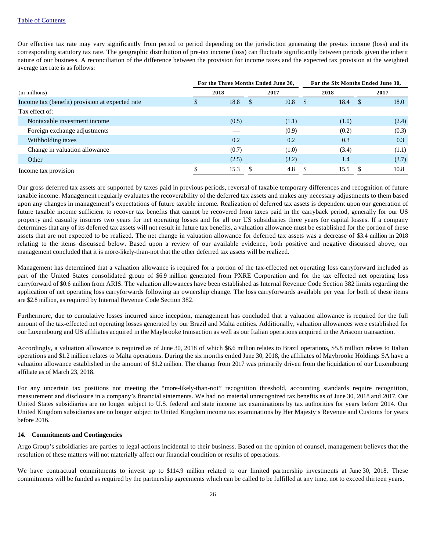Our effective tax rate may vary significantly from period to period depending on the jurisdiction generating the pre-tax income (loss) and its corresponding statutory tax rate. The geographic distribution of pre-tax income (loss) can fluctuate significantly between periods given the inherit nature of our business. A reconciliation of the difference between the provision for income taxes and the expected tax provision at the weighted average tax rate is as follows:

| For the Three Months Ended June 30,             |  |       |    |       | For the Six Months Ended June 30, |       |               |       |
|-------------------------------------------------|--|-------|----|-------|-----------------------------------|-------|---------------|-------|
| (in millions)                                   |  | 2018  |    | 2017  |                                   | 2018  | 2017          |       |
| Income tax (benefit) provision at expected rate |  | 18.8  | -S | 10.8  | <sup>\$</sup>                     | 18.4  | <sup>\$</sup> | 18.0  |
| Tax effect of:                                  |  |       |    |       |                                   |       |               |       |
| Nontaxable investment income                    |  | (0.5) |    | (1.1) |                                   | (1.0) |               | (2.4) |
| Foreign exchange adjustments                    |  |       |    | (0.9) |                                   | (0.2) |               | (0.3) |
| Withholding taxes                               |  | 0.2   |    | 0.2   |                                   | 0.3   |               | 0.3   |
| Change in valuation allowance                   |  | (0.7) |    | (1.0) |                                   | (3.4) |               | (1.1) |
| Other                                           |  | (2.5) |    | (3.2) |                                   | 1.4   |               | (3.7) |
| Income tax provision                            |  | 15.3  |    | 4.8   |                                   | 15.5  |               | 10.8  |

Our gross deferred tax assets are supported by taxes paid in previous periods, reversal of taxable temporary differences and recognition of future taxable income. Management regularly evaluates the recoverability of the deferred tax assets and makes any necessary adjustments to them based upon any changes in management's expectations of future taxable income. Realization of deferred tax assets is dependent upon our generation of future taxable income sufficient to recover tax benefits that cannot be recovered from taxes paid in the carryback period, generally for our US property and casualty insurers two years for net operating losses and for all our US subsidiaries three years for capital losses. If a company determines that any of its deferred tax assets will not result in future tax benefits, a valuation allowance must be established for the portion of these assets that are not expected to be realized. The net change in valuation allowance for deferred tax assets was a decrease of \$3.4 million in 2018 relating to the items discussed below. Based upon a review of our available evidence, both positive and negative discussed above, our management concluded that it is more-likely-than-not that the other deferred tax assets will be realized.

Management has determined that a valuation allowance is required for a portion of the tax-effected net operating loss carryforward included as part of the United States consolidated group of \$6.9 million generated from PXRE Corporation and for the tax effected net operating loss carryforward of \$0.6 million from ARIS. The valuation allowances have been established as Internal Revenue Code Section 382 limits regarding the application of net operating loss carryforwards following an ownership change. The loss carryforwards available per year for both of these items are \$2.8 million, as required by Internal Revenue Code Section 382.

Furthermore, due to cumulative losses incurred since inception, management has concluded that a valuation allowance is required for the full amount of the tax-effected net operating losses generated by our Brazil and Malta entities. Additionally, valuation allowances were established for our Luxembourg and US affiliates acquired in the Maybrooke transaction as well as our Italian operations acquired in the Ariscom transaction.

Accordingly, a valuation allowance is required as of June 30, 2018 of which \$6.6 million relates to Brazil operations, \$5.8 million relates to Italian operations and \$1.2 million relates to Malta operations. During the six months ended June 30, 2018, the affiliates of Maybrooke Holdings SA have a valuation allowance established in the amount of \$1.2 million. The change from 2017 was primarily driven from the liquidation of our Luxembourg affiliate as of March 23, 2018.

For any uncertain tax positions not meeting the "more-likely-than-not" recognition threshold, accounting standards require recognition, measurement and disclosure in a company's financial statements. We had no material unrecognized tax benefits as of June 30, 2018 and 2017. Our United States subsidiaries are no longer subject to U.S. federal and state income tax examinations by tax authorities for years before 2014. Our United Kingdom subsidiaries are no longer subject to United Kingdom income tax examinations by Her Majesty's Revenue and Customs for years before 2016.

#### **14. Commitments and Contingencies**

Argo Group's subsidiaries are parties to legal actions incidental to their business. Based on the opinion of counsel, management believes that the resolution of these matters will not materially affect our financial condition or results of operations.

We have contractual commitments to invest up to \$114.9 million related to our limited partnership investments at June 30, 2018. These commitments will be funded as required by the partnership agreements which can be called to be fulfilled at any time, not to exceed thirteen years.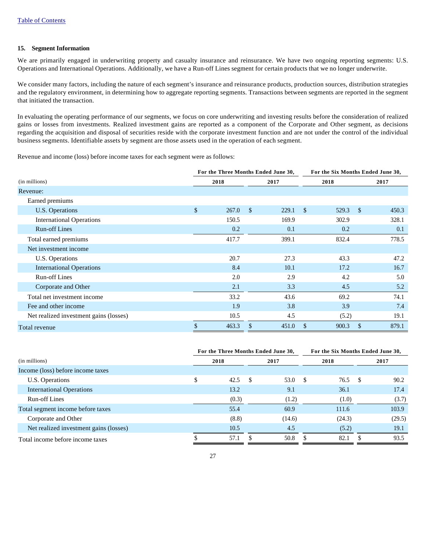#### **15. Segment Information**

We are primarily engaged in underwriting property and casualty insurance and reinsurance. We have two ongoing reporting segments: U.S. Operations and International Operations. Additionally, we have a Run-off Lines segment for certain products that we no longer underwrite.

We consider many factors, including the nature of each segment's insurance and reinsurance products, production sources, distribution strategies and the regulatory environment, in determining how to aggregate reporting segments. Transactions between segments are reported in the segment that initiated the transaction.

In evaluating the operating performance of our segments, we focus on core underwriting and investing results before the consideration of realized gains or losses from investments. Realized investment gains are reported as a component of the Corporate and Other segment, as decisions regarding the acquisition and disposal of securities reside with the corporate investment function and are not under the control of the individual business segments. Identifiable assets by segment are those assets used in the operation of each segment.

Revenue and income (loss) before income taxes for each segment were as follows:

| For the Three Months Ended June 30,    |              |       |               |       | For the Six Months Ended June 30, |       |               |       |  |
|----------------------------------------|--------------|-------|---------------|-------|-----------------------------------|-------|---------------|-------|--|
| (in millions)                          |              | 2018  |               | 2017  |                                   | 2018  |               | 2017  |  |
| Revenue:                               |              |       |               |       |                                   |       |               |       |  |
| Earned premiums                        |              |       |               |       |                                   |       |               |       |  |
| U.S. Operations                        | \$           | 267.0 | $\mathcal{S}$ | 229.1 | \$                                | 529.3 | <sup>\$</sup> | 450.3 |  |
| <b>International Operations</b>        |              | 150.5 |               | 169.9 |                                   | 302.9 |               | 328.1 |  |
| <b>Run-off Lines</b>                   |              | 0.2   |               | 0.1   |                                   | 0.2   |               | 0.1   |  |
| Total earned premiums                  |              | 417.7 |               | 399.1 |                                   | 832.4 |               | 778.5 |  |
| Net investment income                  |              |       |               |       |                                   |       |               |       |  |
| U.S. Operations                        |              | 20.7  |               | 27.3  |                                   | 43.3  |               | 47.2  |  |
| <b>International Operations</b>        |              | 8.4   |               | 10.1  |                                   | 17.2  |               | 16.7  |  |
| <b>Run-off Lines</b>                   |              | 2.0   |               | 2.9   |                                   | 4.2   |               | 5.0   |  |
| Corporate and Other                    |              | 2.1   |               | 3.3   |                                   | 4.5   |               | 5.2   |  |
| Total net investment income            |              | 33.2  |               | 43.6  |                                   | 69.2  |               | 74.1  |  |
| Fee and other income                   |              | 1.9   |               | 3.8   |                                   | 3.9   |               | 7.4   |  |
| Net realized investment gains (losses) |              | 10.5  |               | 4.5   |                                   | (5.2) |               | 19.1  |  |
| Total revenue                          | $\mathbb{S}$ | 463.3 | $\mathcal{S}$ | 451.0 | $\mathcal{S}$                     | 900.3 | $\mathcal{S}$ | 879.1 |  |

| For the Three Months Ended June 30,    |      |       |      | For the Six Months Ended June 30, |      |        |      |        |
|----------------------------------------|------|-------|------|-----------------------------------|------|--------|------|--------|
| (in millions)                          | 2018 |       | 2017 |                                   | 2018 |        | 2017 |        |
| Income (loss) before income taxes      |      |       |      |                                   |      |        |      |        |
| U.S. Operations                        |      | 42.5  | -\$  | 53.0                              | -S   | 76.5   | - \$ | 90.2   |
| <b>International Operations</b>        |      | 13.2  |      | 9.1                               |      | 36.1   |      | 17.4   |
| <b>Run-off Lines</b>                   |      | (0.3) |      | (1.2)                             |      | (1.0)  |      | (3.7)  |
| Total segment income before taxes      |      | 55.4  |      | 60.9                              |      | 111.6  |      | 103.9  |
| Corporate and Other                    |      | (8.8) |      | (14.6)                            |      | (24.3) |      | (29.5) |
| Net realized investment gains (losses) |      | 10.5  |      | 4.5                               |      | (5.2)  |      | 19.1   |
| Total income before income taxes       |      | 57.1  |      | 50.8                              |      | 82.1   |      | 93.5   |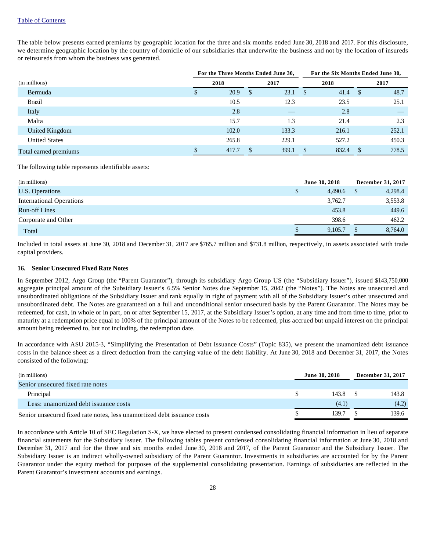The table below presents earned premiums by geographic location for the three and six months ended June 30, 2018 and 2017. For this disclosure, we determine geographic location by the country of domicile of our subsidiaries that underwrite the business and not by the location of insureds or reinsureds from whom the business was generated.

| For the Three Months Ended June 30, |              |       |      |       | For the Six Months Ended June 30, |       |    |       |
|-------------------------------------|--------------|-------|------|-------|-----------------------------------|-------|----|-------|
| (in millions)                       | 2018<br>2017 |       |      | 2018  |                                   | 2017  |    |       |
| Bermuda                             | \$           | 20.9  | - \$ | 23.1  | <sup>\$</sup>                     | 41.4  | -S | 48.7  |
| <b>Brazil</b>                       |              | 10.5  |      | 12.3  |                                   | 23.5  |    | 25.1  |
| Italy                               |              | 2.8   |      |       |                                   | 2.8   |    |       |
| Malta                               |              | 15.7  |      | 1.3   |                                   | 21.4  |    | 2.3   |
| United Kingdom                      |              | 102.0 |      | 133.3 |                                   | 216.1 |    | 252.1 |
| <b>United States</b>                |              | 265.8 |      | 229.1 |                                   | 527.2 |    | 450.3 |
| Total earned premiums               |              | 417.7 |      | 399.1 |                                   | 832.4 |    | 778.5 |

The following table represents identifiable assets:

| (in millions)                   |   | June 30, 2018 | December 31, 2017 |         |  |
|---------------------------------|---|---------------|-------------------|---------|--|
| U.S. Operations                 | P | 4,490.6       |                   | 4,298.4 |  |
| <b>International Operations</b> |   | 3,762.7       |                   | 3,553.8 |  |
| <b>Run-off Lines</b>            |   | 453.8         |                   | 449.6   |  |
| Corporate and Other             |   | 398.6         |                   | 462.2   |  |
| Total                           |   | 9,105.7       |                   | 8,764.0 |  |

Included in total assets at June 30, 2018 and December 31, 2017 are \$765.7 million and \$731.8 million, respectively, in assets associated with trade capital providers.

#### **16. Senior Unsecured Fixed Rate Notes**

In September 2012, Argo Group (the "Parent Guarantor"), through its subsidiary Argo Group US (the "Subsidiary Issuer"), issued \$143,750,000 aggregate principal amount of the Subsidiary Issuer's 6.5% Senior Notes due September 15, 2042 (the "Notes"). The Notes are unsecured and unsubordinated obligations of the Subsidiary Issuer and rank equally in right of payment with all of the Subsidiary Issuer's other unsecured and unsubordinated debt. The Notes are guaranteed on a full and unconditional senior unsecured basis by the Parent Guarantor. The Notes may be redeemed, for cash, in whole or in part, on or after September 15, 2017, at the Subsidiary Issuer's option, at any time and from time to time, prior to maturity at a redemption price equal to 100% of the principal amount of the Notes to be redeemed, plus accrued but unpaid interest on the principal amount being redeemed to, but not including, the redemption date.

In accordance with ASU 2015-3, "Simplifying the Presentation of Debt Issuance Costs" (Topic 835), we present the unamortized debt issuance costs in the balance sheet as a direct deduction from the carrying value of the debt liability. At June 30, 2018 and December 31, 2017, the Notes consisted of the following:

| (in millions)                                                           | June 30, 2018 |  | December 31, 2017 |  |
|-------------------------------------------------------------------------|---------------|--|-------------------|--|
| Senior unsecured fixed rate notes                                       |               |  |                   |  |
| Principal                                                               | 143.8         |  | 143.8             |  |
| Less: unamortized debt issuance costs                                   | (4.1)         |  | (4.2)             |  |
| Senior unsecured fixed rate notes, less unamortized debt issuance costs | 39.7 ا        |  | 139.6             |  |

In accordance with Article 10 of SEC Regulation S-X, we have elected to present condensed consolidating financial information in lieu of separate financial statements for the Subsidiary Issuer. The following tables present condensed consolidating financial information at June 30, 2018 and December 31, 2017 and for the three and six months ended June 30, 2018 and 2017, of the Parent Guarantor and the Subsidiary Issuer. The Subsidiary Issuer is an indirect wholly-owned subsidiary of the Parent Guarantor. Investments in subsidiaries are accounted for by the Parent Guarantor under the equity method for purposes of the supplemental consolidating presentation. Earnings of subsidiaries are reflected in the Parent Guarantor's investment accounts and earnings.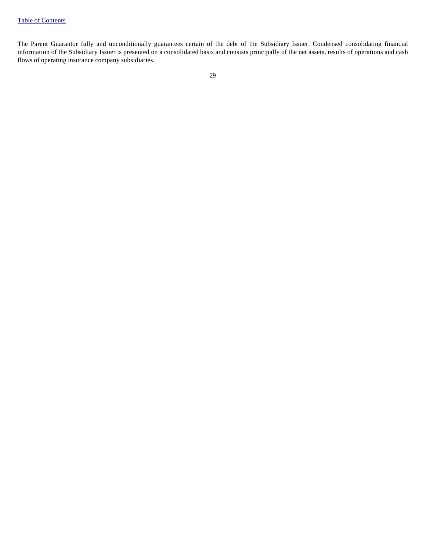The Parent Guarantor fully and unconditionally guarantees certain of the debt of the Subsidiary Issuer. Condensed consolidating financial information of the Subsidiary Issuer is presented on a consolidated basis and consists principally of the net assets, results of operations and cash flows of operating insurance company subsidiaries.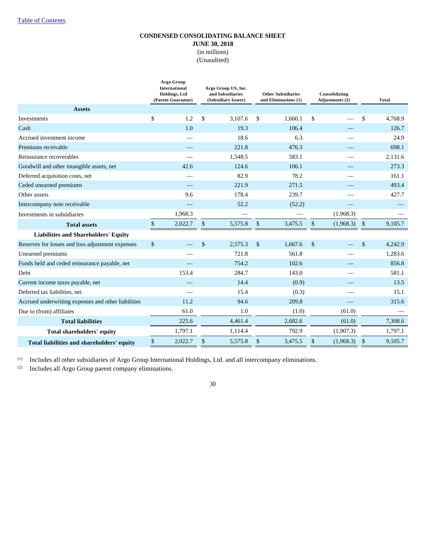# **CONDENSED CONSOLIDATING BALANCE SHEET JUNE 30, 2018**

(in millions) (Unaudited)

|                                                     |               | Argo Group<br>International<br><b>Holdings</b> , Ltd<br>(Parent Guarantor) | Argo Group US, Inc.<br>and Subsidiaries<br>(Subsidiary Issuer) |         | <b>Other Subsidiaries</b><br>and Eliminations (1) |         | Consolidating<br><b>Adjustments (2)</b> |                          |               | <b>Total</b> |
|-----------------------------------------------------|---------------|----------------------------------------------------------------------------|----------------------------------------------------------------|---------|---------------------------------------------------|---------|-----------------------------------------|--------------------------|---------------|--------------|
| <b>Assets</b>                                       |               |                                                                            |                                                                |         |                                                   |         |                                         |                          |               |              |
| Investments                                         | \$            | 1.2                                                                        | $\mathsf{\$}$                                                  | 3,107.6 | \$                                                | 1,660.1 | $\mathsf{\$}$                           |                          | \$            | 4,768.9      |
| Cash                                                |               | 1.0                                                                        |                                                                | 19.3    |                                                   | 106.4   |                                         |                          |               | 126.7        |
| Accrued investment income                           |               | --                                                                         |                                                                | 18.6    |                                                   | 6.3     |                                         |                          |               | 24.9         |
| Premiums receivable                                 |               |                                                                            |                                                                | 221.8   |                                                   | 476.3   |                                         |                          |               | 698.1        |
| Reinsurance recoverables                            |               |                                                                            |                                                                | 1,548.5 |                                                   | 583.1   |                                         |                          |               | 2,131.6      |
| Goodwill and other intangible assets, net           |               | 42.6                                                                       |                                                                | 124.6   |                                                   | 106.1   |                                         |                          |               | 273.3        |
| Deferred acquisition costs, net                     |               |                                                                            |                                                                | 82.9    |                                                   | 78.2    |                                         |                          |               | 161.1        |
| Ceded unearned premiums                             |               |                                                                            |                                                                | 221.9   |                                                   | 271.5   |                                         |                          |               | 493.4        |
| Other assets                                        |               | 9.6                                                                        |                                                                | 178.4   |                                                   | 239.7   |                                         |                          |               | 427.7        |
| Intercompany note receivable                        |               |                                                                            |                                                                | 52.2    |                                                   | (52.2)  |                                         |                          |               |              |
| Investments in subsidiaries                         |               | 1,968.3                                                                    |                                                                |         |                                                   |         |                                         | (1,968.3)                |               |              |
| <b>Total assets</b>                                 | \$            | 2,022.7                                                                    | \$                                                             | 5,575.8 | \$                                                | 3,475.5 | \$                                      | (1,968.3)                | $\sqrt$       | 9,105.7      |
| <b>Liabilities and Shareholders' Equity</b>         |               |                                                                            |                                                                |         |                                                   |         |                                         |                          |               |              |
| Reserves for losses and loss adjustment expenses    | $\frac{1}{2}$ |                                                                            | \$                                                             | 2.575.3 | \$                                                | 1,667.6 | $\mathcal{S}$                           |                          | $\mathcal{S}$ | 4,242.9      |
| Unearned premiums                                   |               |                                                                            |                                                                | 721.8   |                                                   | 561.8   |                                         |                          |               | 1,283.6      |
| Funds held and ceded reinsurance payable, net       |               |                                                                            |                                                                | 754.2   |                                                   | 102.6   |                                         |                          |               | 856.8        |
| Debt                                                |               | 153.4                                                                      |                                                                | 284.7   |                                                   | 143.0   |                                         |                          |               | 581.1        |
| Current income taxes payable, net                   |               |                                                                            |                                                                | 14.4    |                                                   | (0.9)   |                                         |                          |               | 13.5         |
| Deferred tax liabilities, net                       |               |                                                                            |                                                                | 15.4    |                                                   | (0.3)   |                                         |                          |               | 15.1         |
| Accrued underwriting expenses and other liabilities |               | 11.2                                                                       |                                                                | 94.6    |                                                   | 209.8   |                                         | $\overline{\phantom{0}}$ |               | 315.6        |
| Due to (from) affiliates                            |               | 61.0                                                                       |                                                                | 1.0     |                                                   | (1.0)   |                                         | (61.0)                   |               |              |
| <b>Total liabilities</b>                            |               | 225.6                                                                      |                                                                | 4,461.4 |                                                   | 2,682.6 |                                         | (61.0)                   |               | 7,308.6      |
| <b>Total shareholders' equity</b>                   |               | 1,797.1                                                                    |                                                                | 1,114.4 |                                                   | 792.9   |                                         | (1,907.3)                |               | 1,797.1      |
| Total liabilities and shareholders' equity          | \$            | 2,022.7                                                                    | \$                                                             | 5,575.8 | \$                                                | 3,475.5 | \$                                      | (1,968.3)                | $\mathcal{S}$ | 9,105.7      |

(1) Includes all other subsidiaries of Argo Group International Holdings, Ltd. and all intercompany eliminations.

(2) Includes all Argo Group parent company eliminations.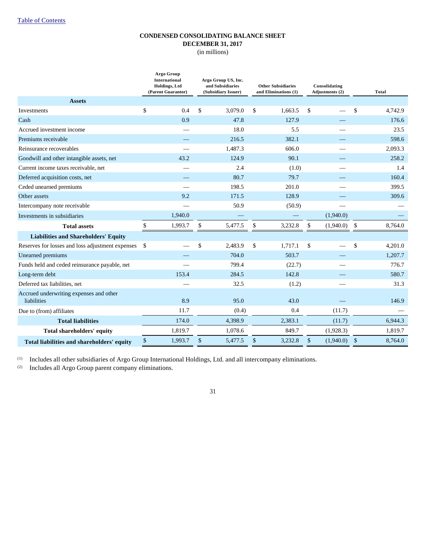# **CONDENSED CONSOLIDATING BALANCE SHEET DECEMBER 31, 2017**

(in millions)

|                                                        | Argo Group<br><b>International</b><br><b>Holdings</b> , Ltd<br>(Parent Guarantor) | Argo Group US, Inc.<br>and Subsidiaries<br>(Subsidiary Issuer) |    | <b>Other Subsidiaries</b><br>and Eliminations (1) |               | Consolidating<br>Adjustments (2) |    | Total   |
|--------------------------------------------------------|-----------------------------------------------------------------------------------|----------------------------------------------------------------|----|---------------------------------------------------|---------------|----------------------------------|----|---------|
| <b>Assets</b>                                          |                                                                                   |                                                                |    |                                                   |               |                                  |    |         |
| Investments                                            | \$<br>0.4                                                                         | \$<br>3,079.0                                                  | \$ | 1,663.5                                           | $\mathcal{S}$ |                                  | \$ | 4,742.9 |
| Cash                                                   | 0.9                                                                               | 47.8                                                           |    | 127.9                                             |               |                                  |    | 176.6   |
| Accrued investment income                              | -                                                                                 | 18.0                                                           |    | 5.5                                               |               |                                  |    | 23.5    |
| Premiums receivable                                    |                                                                                   | 216.5                                                          |    | 382.1                                             |               |                                  |    | 598.6   |
| Reinsurance recoverables                               |                                                                                   | 1,487.3                                                        |    | 606.0                                             |               |                                  |    | 2.093.3 |
| Goodwill and other intangible assets, net              | 43.2                                                                              | 124.9                                                          |    | 90.1                                              |               |                                  |    | 258.2   |
| Current income taxes receivable, net                   |                                                                                   | 2.4                                                            |    | (1.0)                                             |               |                                  |    | 1.4     |
| Deferred acquisition costs, net                        |                                                                                   | 80.7                                                           |    | 79.7                                              |               |                                  |    | 160.4   |
| Ceded unearned premiums                                |                                                                                   | 198.5                                                          |    | 201.0                                             |               |                                  |    | 399.5   |
| Other assets                                           | 9.2                                                                               | 171.5                                                          |    | 128.9                                             |               |                                  |    | 309.6   |
| Intercompany note receivable                           |                                                                                   | 50.9                                                           |    | (50.9)                                            |               |                                  |    |         |
| Investments in subsidiaries                            | 1,940.0                                                                           |                                                                |    |                                                   |               | (1,940.0)                        |    |         |
| <b>Total assets</b>                                    | \$<br>1,993.7                                                                     | \$<br>5,477.5                                                  | \$ | 3,232.8                                           | \$            | (1,940.0)                        | \$ | 8,764.0 |
| <b>Liabilities and Shareholders' Equity</b>            |                                                                                   |                                                                |    |                                                   |               |                                  |    |         |
| Reserves for losses and loss adjustment expenses       | \$                                                                                | \$<br>2,483.9                                                  | \$ | 1,717.1                                           | \$            |                                  | \$ | 4,201.0 |
| Unearned premiums                                      |                                                                                   | 704.0                                                          |    | 503.7                                             |               |                                  |    | 1,207.7 |
| Funds held and ceded reinsurance payable, net          |                                                                                   | 799.4                                                          |    | (22.7)                                            |               |                                  |    | 776.7   |
| Long-term debt                                         | 153.4                                                                             | 284.5                                                          |    | 142.8                                             |               |                                  |    | 580.7   |
| Deferred tax liabilities, net                          |                                                                                   | 32.5                                                           |    | (1.2)                                             |               |                                  |    | 31.3    |
| Accrued underwriting expenses and other<br>liabilities | 8.9                                                                               | 95.0                                                           |    | 43.0                                              |               |                                  |    | 146.9   |
| Due to (from) affiliates                               | 11.7                                                                              | (0.4)                                                          |    | 0.4                                               |               | (11.7)                           |    |         |
| <b>Total liabilities</b>                               | 174.0                                                                             | 4,398.9                                                        |    | 2,383.1                                           |               | (11.7)                           |    | 6,944.3 |
| <b>Total shareholders' equity</b>                      | 1,819.7                                                                           | 1,078.6                                                        |    | 849.7                                             |               | (1,928.3)                        |    | 1,819.7 |
| Total liabilities and shareholders' equity             | $\$$<br>1,993.7                                                                   | \$<br>5,477.5                                                  | \$ | 3,232.8                                           | $\mathcal{S}$ | (1,940.0)                        | \$ | 8,764.0 |

(1) Includes all other subsidiaries of Argo Group International Holdings, Ltd. and all intercompany eliminations.

(2) Includes all Argo Group parent company eliminations.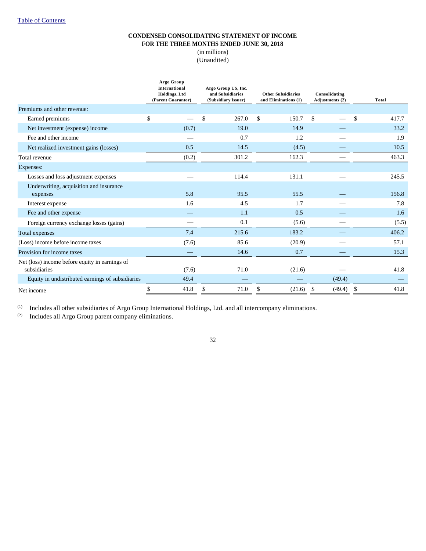# **CONDENSED CONSOLIDATING STATEMENT OF INCOME FOR THE THREE MONTHS ENDED JUNE 30, 2018**

(in millions) (Unaudited)

|                                                                | Argo Group<br><b>International</b><br>Holdings, Ltd<br>(Parent Guarantor) | Argo Group US, Inc.<br>and Subsidiaries<br>(Subsidiary Issuer) | <b>Other Subsidiaries</b><br>and Eliminations (1) | Consolidating<br>Adjustments (2) | <b>Total</b>          |
|----------------------------------------------------------------|---------------------------------------------------------------------------|----------------------------------------------------------------|---------------------------------------------------|----------------------------------|-----------------------|
| Premiums and other revenue:                                    |                                                                           |                                                                |                                                   |                                  |                       |
| Earned premiums                                                | \$                                                                        | \$<br>267.0                                                    | \$<br>150.7                                       | \$                               | \$<br>417.7           |
| Net investment (expense) income                                | (0.7)                                                                     | 19.0                                                           | 14.9                                              |                                  | 33.2                  |
| Fee and other income                                           |                                                                           | 0.7                                                            | 1.2                                               |                                  | 1.9                   |
| Net realized investment gains (losses)                         | 0.5                                                                       | 14.5                                                           | (4.5)                                             |                                  | 10.5                  |
| Total revenue                                                  | (0.2)                                                                     | 301.2                                                          | 162.3                                             |                                  | 463.3                 |
| Expenses:                                                      |                                                                           |                                                                |                                                   |                                  |                       |
| Losses and loss adjustment expenses                            |                                                                           | 114.4                                                          | 131.1                                             |                                  | 245.5                 |
| Underwriting, acquisition and insurance<br>expenses            | 5.8                                                                       | 95.5                                                           | 55.5                                              |                                  | 156.8                 |
| Interest expense                                               | 1.6                                                                       | 4.5                                                            | 1.7                                               |                                  | 7.8                   |
| Fee and other expense                                          |                                                                           | 1.1                                                            | 0.5                                               |                                  | 1.6                   |
| Foreign currency exchange losses (gains)                       |                                                                           | 0.1                                                            | (5.6)                                             |                                  | (5.5)                 |
| Total expenses                                                 | 7.4                                                                       | 215.6                                                          | 183.2                                             |                                  | 406.2                 |
| (Loss) income before income taxes                              | (7.6)                                                                     | 85.6                                                           | (20.9)                                            |                                  | 57.1                  |
| Provision for income taxes                                     |                                                                           | 14.6                                                           | 0.7                                               |                                  | 15.3                  |
| Net (loss) income before equity in earnings of<br>subsidiaries | (7.6)                                                                     | 71.0                                                           | (21.6)                                            |                                  | 41.8                  |
| Equity in undistributed earnings of subsidiaries               | 49.4                                                                      |                                                                |                                                   | (49.4)                           |                       |
| Net income                                                     | \$<br>41.8                                                                | \$<br>71.0                                                     | \$<br>(21.6)                                      | -\$<br>(49.4)                    | $\mathbf{\$}$<br>41.8 |

(1) Includes all other subsidiaries of Argo Group International Holdings, Ltd. and all intercompany eliminations.

(2) Includes all Argo Group parent company eliminations.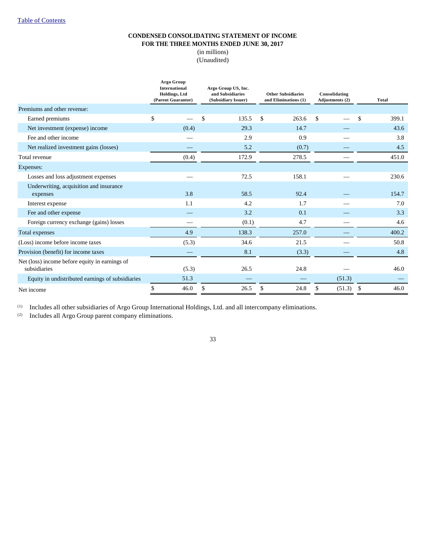# **CONDENSED CONSOLIDATING STATEMENT OF INCOME FOR THE THREE MONTHS ENDED JUNE 30, 2017**

(in millions) (Unaudited)

|                                                                | Argo Group<br><b>International</b><br><b>Holdings</b> , Ltd<br>(Parent Guarantor) |       | Argo Group US, Inc.<br>and Subsidiaries<br>(Subsidiary Issuer) |       | <b>Other Subsidiaries</b><br>and Eliminations (1) |       | Consolidating<br>Adjustments (2) | <b>Total</b> |
|----------------------------------------------------------------|-----------------------------------------------------------------------------------|-------|----------------------------------------------------------------|-------|---------------------------------------------------|-------|----------------------------------|--------------|
| Premiums and other revenue:                                    |                                                                                   |       |                                                                |       |                                                   |       |                                  |              |
| Earned premiums                                                | \$                                                                                |       | \$                                                             | 135.5 | \$                                                | 263.6 | $\mathbf{\hat{S}}$               | \$<br>399.1  |
| Net investment (expense) income                                |                                                                                   | (0.4) |                                                                | 29.3  |                                                   | 14.7  |                                  | 43.6         |
| Fee and other income                                           |                                                                                   |       |                                                                | 2.9   |                                                   | 0.9   |                                  | 3.8          |
| Net realized investment gains (losses)                         |                                                                                   |       |                                                                | 5.2   |                                                   | (0.7) |                                  | 4.5          |
| Total revenue                                                  |                                                                                   | (0.4) |                                                                | 172.9 |                                                   | 278.5 |                                  | 451.0        |
| Expenses:                                                      |                                                                                   |       |                                                                |       |                                                   |       |                                  |              |
| Losses and loss adjustment expenses                            |                                                                                   |       |                                                                | 72.5  |                                                   | 158.1 |                                  | 230.6        |
| Underwriting, acquisition and insurance<br>expenses            |                                                                                   | 3.8   |                                                                | 58.5  |                                                   | 92.4  |                                  | 154.7        |
| Interest expense                                               |                                                                                   | 1.1   |                                                                | 4.2   |                                                   | 1.7   |                                  | 7.0          |
| Fee and other expense                                          |                                                                                   |       |                                                                | 3.2   |                                                   | 0.1   |                                  | 3.3          |
| Foreign currency exchange (gains) losses                       |                                                                                   |       |                                                                | (0.1) |                                                   | 4.7   |                                  | 4.6          |
| Total expenses                                                 |                                                                                   | 4.9   |                                                                | 138.3 |                                                   | 257.0 |                                  | 400.2        |
| (Loss) income before income taxes                              |                                                                                   | (5.3) |                                                                | 34.6  |                                                   | 21.5  |                                  | 50.8         |
| Provision (benefit) for income taxes                           |                                                                                   |       |                                                                | 8.1   |                                                   | (3.3) |                                  | 4.8          |
| Net (loss) income before equity in earnings of<br>subsidiaries |                                                                                   | (5.3) |                                                                | 26.5  |                                                   | 24.8  |                                  | 46.0         |
| Equity in undistributed earnings of subsidiaries               |                                                                                   | 51.3  |                                                                |       |                                                   |       | (51.3)                           |              |
| Net income                                                     | \$                                                                                | 46.0  | \$                                                             | 26.5  | \$                                                | 24.8  | \$<br>(51.3)                     | \$<br>46.0   |

(1) Includes all other subsidiaries of Argo Group International Holdings, Ltd. and all intercompany eliminations.<br>(2) Includes all Argo Group parent company eliminations.

Includes all Argo Group parent company eliminations.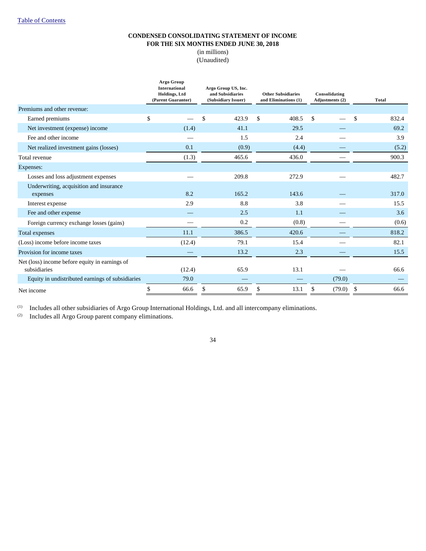# **CONDENSED CONSOLIDATING STATEMENT OF INCOME FOR THE SIX MONTHS ENDED JUNE 30, 2018**

(in millions) (Unaudited)

|                                                                | Argo Group<br><b>International</b><br>Holdings, Ltd<br>(Parent Guarantor) | Argo Group US, Inc.<br>and Subsidiaries<br>(Subsidiary Issuer) | <b>Other Subsidiaries</b><br>and Eliminations (1) | Consolidating<br>Adjustments (2) | <b>Total</b> |
|----------------------------------------------------------------|---------------------------------------------------------------------------|----------------------------------------------------------------|---------------------------------------------------|----------------------------------|--------------|
| Premiums and other revenue:                                    |                                                                           |                                                                |                                                   |                                  |              |
| Earned premiums                                                | \$                                                                        | \$<br>423.9                                                    | 408.5<br>\$                                       | \$                               | \$<br>832.4  |
| Net investment (expense) income                                | (1.4)                                                                     | 41.1                                                           | 29.5                                              |                                  | 69.2         |
| Fee and other income                                           |                                                                           | 1.5                                                            | 2.4                                               |                                  | 3.9          |
| Net realized investment gains (losses)                         | 0.1                                                                       | (0.9)                                                          | (4.4)                                             |                                  | (5.2)        |
| Total revenue                                                  | (1.3)                                                                     | 465.6                                                          | 436.0                                             |                                  | 900.3        |
| Expenses:                                                      |                                                                           |                                                                |                                                   |                                  |              |
| Losses and loss adjustment expenses                            |                                                                           | 209.8                                                          | 272.9                                             |                                  | 482.7        |
| Underwriting, acquisition and insurance<br>expenses            | 8.2                                                                       | 165.2                                                          | 143.6                                             |                                  | 317.0        |
| Interest expense                                               | 2.9                                                                       | 8.8                                                            | 3.8                                               |                                  | 15.5         |
| Fee and other expense                                          |                                                                           | 2.5                                                            | 1.1                                               |                                  | 3.6          |
| Foreign currency exchange losses (gains)                       |                                                                           | 0.2                                                            | (0.8)                                             |                                  | (0.6)        |
| Total expenses                                                 | 11.1                                                                      | 386.5                                                          | 420.6                                             |                                  | 818.2        |
| (Loss) income before income taxes                              | (12.4)                                                                    | 79.1                                                           | 15.4                                              |                                  | 82.1         |
| Provision for income taxes                                     |                                                                           | 13.2                                                           | 2.3                                               |                                  | 15.5         |
| Net (loss) income before equity in earnings of<br>subsidiaries | (12.4)                                                                    | 65.9                                                           | 13.1                                              |                                  | 66.6         |
| Equity in undistributed earnings of subsidiaries               | 79.0                                                                      |                                                                |                                                   | (79.0)                           |              |
| Net income                                                     | \$<br>66.6                                                                | 65.9<br>\$                                                     | 13.1<br>\$                                        | \$<br>(79.0)                     | \$<br>66.6   |

(1) Includes all other subsidiaries of Argo Group International Holdings, Ltd. and all intercompany eliminations.

(2) Includes all Argo Group parent company eliminations.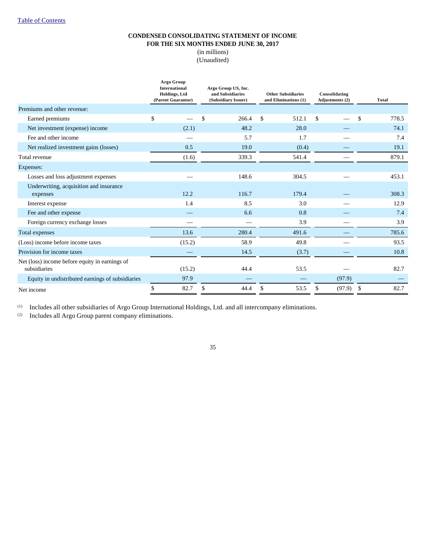# **CONDENSED CONSOLIDATING STATEMENT OF INCOME FOR THE SIX MONTHS ENDED JUNE 30, 2017**

(in millions) (Unaudited)

|                                                                | Argo Group<br><b>International</b><br><b>Holdings</b> , Ltd<br>(Parent Guarantor) |       | Argo Group US, Inc.<br>and Subsidiaries<br>(Subsidiary Issuer) |       | <b>Other Subsidiaries</b><br>and Eliminations (1) | Consolidating<br>Adjustments (2) |                    | <b>Total</b> |       |
|----------------------------------------------------------------|-----------------------------------------------------------------------------------|-------|----------------------------------------------------------------|-------|---------------------------------------------------|----------------------------------|--------------------|--------------|-------|
| Premiums and other revenue:                                    |                                                                                   |       |                                                                |       |                                                   |                                  |                    |              |       |
| Earned premiums                                                | \$                                                                                |       | \$                                                             | 266.4 | \$                                                | 512.1                            | $\mathbf{\hat{S}}$ | \$           | 778.5 |
| Net investment (expense) income                                |                                                                                   | (2.1) |                                                                | 48.2  |                                                   | 28.0                             |                    |              | 74.1  |
| Fee and other income                                           |                                                                                   |       |                                                                | 5.7   |                                                   | 1.7                              |                    |              | 7.4   |
| Net realized investment gains (losses)                         |                                                                                   | 0.5   |                                                                | 19.0  |                                                   | (0.4)                            |                    |              | 19.1  |
| Total revenue                                                  |                                                                                   | (1.6) |                                                                | 339.3 |                                                   | 541.4                            |                    |              | 879.1 |
| Expenses:                                                      |                                                                                   |       |                                                                |       |                                                   |                                  |                    |              |       |
| Losses and loss adjustment expenses                            |                                                                                   |       |                                                                | 148.6 |                                                   | 304.5                            |                    |              | 453.1 |
| Underwriting, acquisition and insurance<br>expenses            | 12.2                                                                              |       |                                                                | 116.7 |                                                   | 179.4                            |                    |              | 308.3 |
| Interest expense                                               |                                                                                   | 1.4   |                                                                | 8.5   |                                                   | 3.0                              |                    |              | 12.9  |
| Fee and other expense                                          |                                                                                   |       |                                                                | 6.6   |                                                   | 0.8                              |                    |              | 7.4   |
| Foreign currency exchange losses                               |                                                                                   |       |                                                                |       |                                                   | 3.9                              |                    |              | 3.9   |
| Total expenses                                                 | 13.6                                                                              |       |                                                                | 280.4 |                                                   | 491.6                            |                    |              | 785.6 |
| (Loss) income before income taxes                              | (15.2)                                                                            |       |                                                                | 58.9  |                                                   | 49.8                             |                    |              | 93.5  |
| Provision for income taxes                                     |                                                                                   |       |                                                                | 14.5  |                                                   | (3.7)                            |                    |              | 10.8  |
| Net (loss) income before equity in earnings of<br>subsidiaries | (15.2)                                                                            |       |                                                                | 44.4  |                                                   | 53.5                             |                    |              | 82.7  |
| Equity in undistributed earnings of subsidiaries               | 97.9                                                                              |       |                                                                |       |                                                   |                                  | (97.9)             |              |       |
| Net income                                                     | \$<br>82.7                                                                        |       | \$                                                             | 44.4  | \$                                                | 53.5                             | \$<br>(97.9)       | \$           | 82.7  |

(1) Includes all other subsidiaries of Argo Group International Holdings, Ltd. and all intercompany eliminations.<br>(2) Includes all Argo Group parent company eliminations.

Includes all Argo Group parent company eliminations.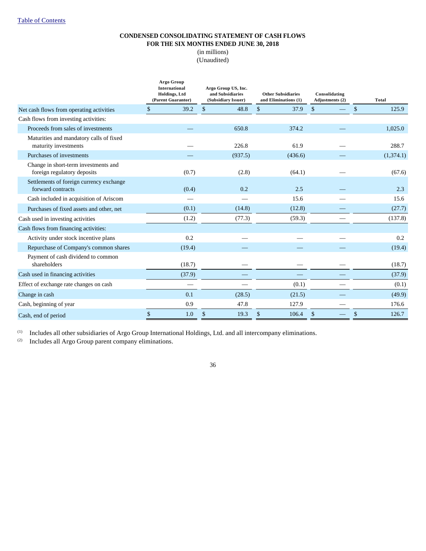# **CONDENSED CONSOLIDATING STATEMENT OF CASH FLOWS FOR THE SIX MONTHS ENDED JUNE 30, 2018**

(in millions) (Unaudited)

|                                                                     | Argo Group<br><b>International</b><br>Argo Group US, Inc.<br>and Subsidiaries<br>Holdings, Ltd<br>(Parent Guarantor)<br>(Subsidiary Issuer) |            | <b>Other Subsidiaries</b><br>and Eliminations (1) | Consolidating<br>Adjustments (2) | Total       |
|---------------------------------------------------------------------|---------------------------------------------------------------------------------------------------------------------------------------------|------------|---------------------------------------------------|----------------------------------|-------------|
| Net cash flows from operating activities                            | \$<br>39.2                                                                                                                                  | \$<br>48.8 | \$<br>37.9                                        | \$                               | \$<br>125.9 |
| Cash flows from investing activities:                               |                                                                                                                                             |            |                                                   |                                  |             |
| Proceeds from sales of investments                                  |                                                                                                                                             | 650.8      | 374.2                                             |                                  | 1,025.0     |
| Maturities and mandatory calls of fixed<br>maturity investments     |                                                                                                                                             | 226.8      | 61.9                                              |                                  | 288.7       |
| Purchases of investments                                            |                                                                                                                                             | (937.5)    | (436.6)                                           |                                  | (1, 374.1)  |
| Change in short-term investments and<br>foreign regulatory deposits | (0.7)                                                                                                                                       | (2.8)      | (64.1)                                            |                                  | (67.6)      |
| Settlements of foreign currency exchange<br>forward contracts       | (0.4)                                                                                                                                       | 0.2        | 2.5                                               |                                  | 2.3         |
| Cash included in acquisition of Ariscom                             |                                                                                                                                             |            | 15.6                                              |                                  | 15.6        |
| Purchases of fixed assets and other, net                            | (0.1)                                                                                                                                       | (14.8)     | (12.8)                                            |                                  | (27.7)      |
| Cash used in investing activities                                   | (1.2)                                                                                                                                       | (77.3)     | (59.3)                                            |                                  | (137.8)     |
| Cash flows from financing activities:                               |                                                                                                                                             |            |                                                   |                                  |             |
| Activity under stock incentive plans                                | 0.2                                                                                                                                         |            |                                                   |                                  | 0.2         |
| Repurchase of Company's common shares                               | (19.4)                                                                                                                                      |            |                                                   |                                  | (19.4)      |
| Payment of cash dividend to common<br>shareholders                  | (18.7)                                                                                                                                      |            |                                                   |                                  | (18.7)      |
| Cash used in financing activities                                   | (37.9)                                                                                                                                      |            |                                                   |                                  | (37.9)      |
| Effect of exchange rate changes on cash                             |                                                                                                                                             |            | (0.1)                                             |                                  | (0.1)       |
| Change in cash                                                      | 0.1                                                                                                                                         | (28.5)     | (21.5)                                            |                                  | (49.9)      |
| Cash, beginning of year                                             | 0.9                                                                                                                                         | 47.8       | 127.9                                             |                                  | 176.6       |
| Cash, end of period                                                 | \$<br>1.0                                                                                                                                   | 19.3<br>\$ | \$<br>106.4                                       | \$                               | \$<br>126.7 |

36

(1) Includes all other subsidiaries of Argo Group International Holdings, Ltd. and all intercompany eliminations.

(2) Includes all Argo Group parent company eliminations.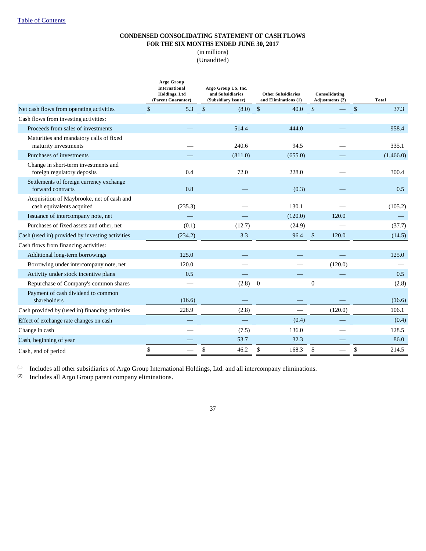# **CONDENSED CONSOLIDATING STATEMENT OF CASH FLOWS FOR THE SIX MONTHS ENDED JUNE 30, 2017**

(in millions) (Unaudited)

|                                                                        | Argo Group<br>International<br>Holdings, Ltd<br>(Parent Guarantor) | Argo Group US, Inc.<br>and Subsidiaries<br>(Subsidiary Issuer) | <b>Other Subsidiaries</b><br>and Eliminations (1) | Consolidating<br>Adjustments (2) | <b>Total</b>                      |
|------------------------------------------------------------------------|--------------------------------------------------------------------|----------------------------------------------------------------|---------------------------------------------------|----------------------------------|-----------------------------------|
| Net cash flows from operating activities                               | \$<br>5.3                                                          | $\mathcal{S}$<br>(8.0)                                         | $\sqrt{3}$<br>40.0                                | \$                               | $\boldsymbol{\mathsf{S}}$<br>37.3 |
| Cash flows from investing activities:                                  |                                                                    |                                                                |                                                   |                                  |                                   |
| Proceeds from sales of investments                                     |                                                                    | 514.4                                                          | 444.0                                             |                                  | 958.4                             |
| Maturities and mandatory calls of fixed<br>maturity investments        |                                                                    | 240.6                                                          | 94.5                                              |                                  | 335.1                             |
| Purchases of investments                                               |                                                                    | (811.0)                                                        | (655.0)                                           |                                  | (1,466.0)                         |
| Change in short-term investments and<br>foreign regulatory deposits    | 0.4                                                                | 72.0                                                           | 228.0                                             |                                  | 300.4                             |
| Settlements of foreign currency exchange<br>forward contracts          | 0.8                                                                |                                                                | (0.3)                                             |                                  | 0.5                               |
| Acquisition of Maybrooke, net of cash and<br>cash equivalents acquired | (235.3)                                                            |                                                                | 130.1                                             |                                  | (105.2)                           |
| Issuance of intercompany note, net                                     |                                                                    |                                                                | (120.0)                                           | 120.0                            |                                   |
| Purchases of fixed assets and other, net                               | (0.1)                                                              | (12.7)                                                         | (24.9)                                            |                                  | (37.7)                            |
| Cash (used in) provided by investing activities                        | (234.2)                                                            | 3.3                                                            | 96.4                                              | $\mathcal{S}$<br>120.0           | (14.5)                            |
| Cash flows from financing activities:                                  |                                                                    |                                                                |                                                   |                                  |                                   |
| Additional long-term borrowings                                        | 125.0                                                              |                                                                |                                                   |                                  | 125.0                             |
| Borrowing under intercompany note, net                                 | 120.0                                                              |                                                                |                                                   | (120.0)                          |                                   |
| Activity under stock incentive plans                                   | 0.5                                                                |                                                                |                                                   |                                  | 0.5                               |
| Repurchase of Company's common shares                                  |                                                                    | (2.8)                                                          | $\boldsymbol{0}$                                  | $\boldsymbol{0}$                 | (2.8)                             |
| Payment of cash dividend to common<br>shareholders                     | (16.6)                                                             |                                                                |                                                   |                                  | (16.6)                            |
| Cash provided by (used in) financing activities                        | 228.9                                                              | (2.8)                                                          |                                                   | (120.0)                          | 106.1                             |
| Effect of exchange rate changes on cash                                |                                                                    |                                                                | (0.4)                                             |                                  | (0.4)                             |
| Change in cash                                                         |                                                                    | (7.5)                                                          | 136.0                                             |                                  | 128.5                             |
| Cash, beginning of year                                                |                                                                    | 53.7                                                           | 32.3                                              |                                  | 86.0                              |
| Cash, end of period                                                    | \$                                                                 | \$<br>46.2                                                     | \$<br>168.3                                       | \$                               | \$<br>214.5                       |

(1) Includes all other subsidiaries of Argo Group International Holdings, Ltd. and all intercompany eliminations.<br>(2) Includes all Argo Group parent company eliminations.

Includes all Argo Group parent company eliminations.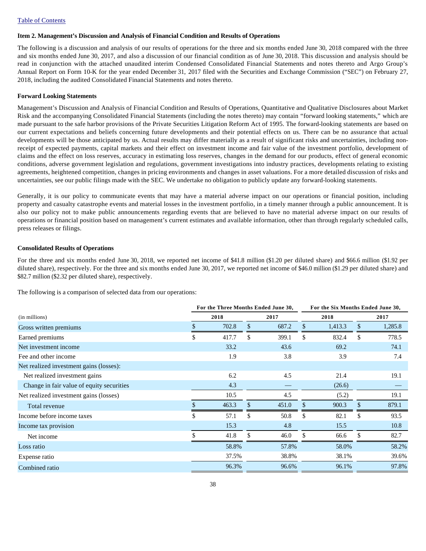#### **Item 2. Management's Discussion and Analysis of Financial Condition and Results of Operations**

The following is a discussion and analysis of our results of operations for the three and six months ended June 30, 2018 compared with the three and six months ended June 30, 2017, and also a discussion of our financial condition as of June 30, 2018. This discussion and analysis should be read in conjunction with the attached unaudited interim Condensed Consolidated Financial Statements and notes thereto and Argo Group's Annual Report on Form 10-K for the year ended December 31, 2017 filed with the Securities and Exchange Commission ("SEC") on February 27, 2018, including the audited Consolidated Financial Statements and notes thereto.

### **Forward Looking Statements**

Management's Discussion and Analysis of Financial Condition and Results of Operations, Quantitative and Qualitative Disclosures about Market Risk and the accompanying Consolidated Financial Statements (including the notes thereto) may contain "forward looking statements," which are made pursuant to the safe harbor provisions of the Private Securities Litigation Reform Act of 1995. The forward-looking statements are based on our current expectations and beliefs concerning future developments and their potential effects on us. There can be no assurance that actual developments will be those anticipated by us. Actual results may differ materially as a result of significant risks and uncertainties, including nonreceipt of expected payments, capital markets and their effect on investment income and fair value of the investment portfolio, development of claims and the effect on loss reserves, accuracy in estimating loss reserves, changes in the demand for our products, effect of general economic conditions, adverse government legislation and regulations, government investigations into industry practices, developments relating to existing agreements, heightened competition, changes in pricing environments and changes in asset valuations. For a more detailed discussion of risks and uncertainties, see our public filings made with the SEC. We undertake no obligation to publicly update any forward-looking statements.

Generally, it is our policy to communicate events that may have a material adverse impact on our operations or financial position, including property and casualty catastrophe events and material losses in the investment portfolio, in a timely manner through a public announcement. It is also our policy not to make public announcements regarding events that are believed to have no material adverse impact on our results of operations or financial position based on management's current estimates and available information, other than through regularly scheduled calls, press releases or filings.

#### **Consolidated Results of Operations**

For the three and six months ended June 30, 2018, we reported net income of \$41.8 million (\$1.20 per diluted share) and \$66.6 million (\$1.92 per diluted share), respectively. For the three and six months ended June 30, 2017, we reported net income of \$46.0 million (\$1.29 per diluted share) and \$82.7 million (\$2.32 per diluted share), respectively.

The following is a comparison of selected data from our operations:

|                                           | For the Three Months Ended June 30, |       |              |       |      |         |    | For the Six Months Ended June 30, |  |  |  |  |  |
|-------------------------------------------|-------------------------------------|-------|--------------|-------|------|---------|----|-----------------------------------|--|--|--|--|--|
| (in millions)                             |                                     | 2018  |              | 2017  | 2018 |         |    | 2017                              |  |  |  |  |  |
| Gross written premiums                    |                                     | 702.8 | \$           | 687.2 |      | 1,413.3 |    | 1,285.8                           |  |  |  |  |  |
| Earned premiums                           | \$                                  | 417.7 | \$           | 399.1 | \$   | 832.4   | \$ | 778.5                             |  |  |  |  |  |
| Net investment income                     |                                     | 33.2  |              | 43.6  |      | 69.2    |    | 74.1                              |  |  |  |  |  |
| Fee and other income                      |                                     | 1.9   |              | 3.8   |      | 3.9     |    | 7.4                               |  |  |  |  |  |
| Net realized investment gains (losses):   |                                     |       |              |       |      |         |    |                                   |  |  |  |  |  |
| Net realized investment gains             |                                     | 6.2   |              | 4.5   |      | 21.4    |    | 19.1                              |  |  |  |  |  |
| Change in fair value of equity securities |                                     | 4.3   |              |       |      | (26.6)  |    |                                   |  |  |  |  |  |
| Net realized investment gains (losses)    |                                     | 10.5  |              | 4.5   |      | (5.2)   |    | 19.1                              |  |  |  |  |  |
| Total revenue                             |                                     | 463.3 | $\mathbb{S}$ | 451.0 |      | 900.3   | \$ | 879.1                             |  |  |  |  |  |
| Income before income taxes                | \$                                  | 57.1  | \$           | 50.8  | \$   | 82.1    | \$ | 93.5                              |  |  |  |  |  |
| Income tax provision                      |                                     | 15.3  |              | 4.8   |      | 15.5    |    | 10.8                              |  |  |  |  |  |
| Net income                                | \$.                                 | 41.8  | \$.          | 46.0  |      | 66.6    | \$ | 82.7                              |  |  |  |  |  |
| Loss ratio                                |                                     | 58.8% |              | 57.8% |      | 58.0%   |    | 58.2%                             |  |  |  |  |  |
| Expense ratio                             |                                     | 37.5% |              | 38.8% |      | 38.1%   |    | 39.6%                             |  |  |  |  |  |
| Combined ratio                            |                                     | 96.3% |              | 96.6% |      | 96.1%   |    | 97.8%                             |  |  |  |  |  |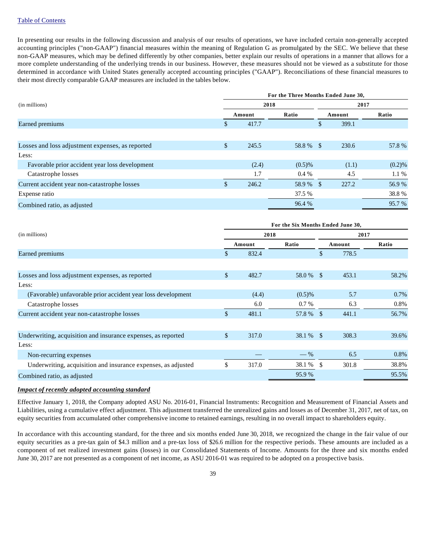In presenting our results in the following discussion and analysis of our results of operations, we have included certain non-generally accepted accounting principles ("non-GAAP") financial measures within the meaning of Regulation G as promulgated by the SEC. We believe that these non-GAAP measures, which may be defined differently by other companies, better explain our results of operations in a manner that allows for a more complete understanding of the underlying trends in our business. However, these measures should not be viewed as a substitute for those determined in accordance with United States generally accepted accounting principles ("GAAP"). Reconciliations of these financial measures to their most directly comparable GAAP measures are included in the tables below.

|                                                  | For the Three Months Ended June 30, |        |           |      |        |        |  |  |  |  |
|--------------------------------------------------|-------------------------------------|--------|-----------|------|--------|--------|--|--|--|--|
| (in millions)                                    |                                     | 2018   |           | 2017 |        |        |  |  |  |  |
|                                                  |                                     | Amount | Ratio     |      | Amount | Ratio  |  |  |  |  |
| Earned premiums                                  | \$.                                 | 417.7  |           | \$   | 399.1  |        |  |  |  |  |
|                                                  |                                     |        |           |      |        |        |  |  |  |  |
| Losses and loss adjustment expenses, as reported | $\mathbb{S}$                        | 245.5  | 58.8 % \$ |      | 230.6  | 57.8 % |  |  |  |  |
| Less:                                            |                                     |        |           |      |        |        |  |  |  |  |
| Favorable prior accident year loss development   |                                     | (2.4)  | $(0.5)$ % |      | (1.1)  | (0.2)% |  |  |  |  |
| Catastrophe losses                               |                                     | 1.7    | $0.4\%$   |      | 4.5    | 1.1%   |  |  |  |  |
| Current accident year non-catastrophe losses     | \$.                                 | 246.2  | 58.9 % \$ |      | 227.2  | 56.9%  |  |  |  |  |
| Expense ratio                                    |                                     |        | 37.5 %    |      |        | 38.8%  |  |  |  |  |
| Combined ratio, as adjusted                      |                                     |        | 96.4 %    |      |        | 95.7 % |  |  |  |  |

|                                                               | For the Six Months Ended June 30, |        |           |    |        |       |  |  |  |  |  |
|---------------------------------------------------------------|-----------------------------------|--------|-----------|----|--------|-------|--|--|--|--|--|
| (in millions)                                                 |                                   | 2018   |           |    | 2017   |       |  |  |  |  |  |
|                                                               |                                   | Amount | Ratio     |    | Amount | Ratio |  |  |  |  |  |
| Earned premiums                                               | \$                                | 832.4  |           | \$ | 778.5  |       |  |  |  |  |  |
|                                                               |                                   |        |           |    |        |       |  |  |  |  |  |
| Losses and loss adjustment expenses, as reported              | \$                                | 482.7  | 58.0 % \$ |    | 453.1  | 58.2% |  |  |  |  |  |
| Less:                                                         |                                   |        |           |    |        |       |  |  |  |  |  |
| (Favorable) unfavorable prior accident year loss development  |                                   | (4.4)  | $(0.5)$ % |    | 5.7    | 0.7%  |  |  |  |  |  |
| Catastrophe losses                                            |                                   | 6.0    | 0.7%      |    | 6.3    | 0.8%  |  |  |  |  |  |
| Current accident year non-catastrophe losses                  | $\mathbb{S}$                      | 481.1  | 57.8 % \$ |    | 441.1  | 56.7% |  |  |  |  |  |
|                                                               |                                   |        |           |    |        |       |  |  |  |  |  |
| Underwriting, acquisition and insurance expenses, as reported | \$                                | 317.0  | 38.1 % \$ |    | 308.3  | 39.6% |  |  |  |  |  |
| Less:                                                         |                                   |        |           |    |        |       |  |  |  |  |  |
| Non-recurring expenses                                        |                                   |        | $-$ %     |    | 6.5    | 0.8%  |  |  |  |  |  |
| Underwriting, acquisition and insurance expenses, as adjusted | \$                                | 317.0  | 38.1 %    | -S | 301.8  | 38.8% |  |  |  |  |  |
| Combined ratio, as adjusted                                   |                                   |        | 95.9 %    |    |        | 95.5% |  |  |  |  |  |

# *Impact of recently adopted accounting standard*

Effective January 1, 2018, the Company adopted ASU No. 2016-01, Financial Instruments: Recognition and Measurement of Financial Assets and Liabilities, using a cumulative effect adjustment. This adjustment transferred the unrealized gains and losses as of December 31, 2017, net of tax, on equity securities from accumulated other comprehensive income to retained earnings, resulting in no overall impact to shareholders equity.

In accordance with this accounting standard, for the three and six months ended June 30, 2018, we recognized the change in the fair value of our equity securities as a pre-tax gain of \$4.3 million and a pre-tax loss of \$26.6 million for the respective periods. These amounts are included as a component of net realized investment gains (losses) in our Consolidated Statements of Income. Amounts for the three and six months ended June 30, 2017 are not presented as a component of net income, as ASU 2016-01 was required to be adopted on a prospective basis.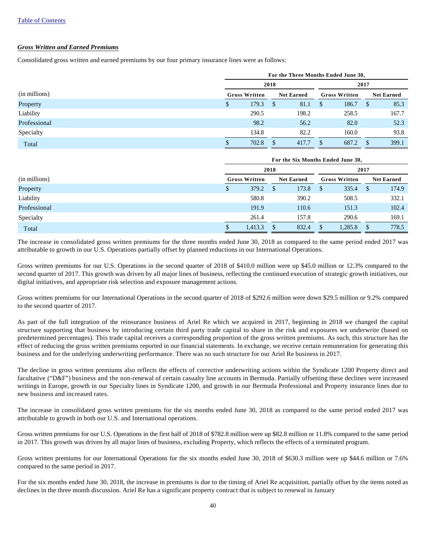## *Gross Written and Earned Premiums*

Consolidated gross written and earned premiums by our four primary insurance lines were as follows:

|               |                      | For the Three Months Ended June 30, |                   |    |                      |   |                   |  |  |  |  |  |
|---------------|----------------------|-------------------------------------|-------------------|----|----------------------|---|-------------------|--|--|--|--|--|
|               |                      | 2018                                |                   |    |                      |   |                   |  |  |  |  |  |
| (in millions) | <b>Gross Written</b> |                                     | <b>Net Earned</b> |    | <b>Gross Written</b> |   | <b>Net Earned</b> |  |  |  |  |  |
| Property      | 179.3<br>\$          |                                     | 81.1<br>\$        | \$ | 186.7                | S | 85.3              |  |  |  |  |  |
| Liability     | 290.5                |                                     | 198.2             |    | 258.5                |   | 167.7             |  |  |  |  |  |
| Professional  | 98.2                 |                                     | 56.2              |    | 82.0                 |   | 52.3              |  |  |  |  |  |
| Specialty     | 134.8                |                                     | 82.2              |    | 160.0                |   | 93.8              |  |  |  |  |  |
| Total         | 702.8                |                                     | 417.7             |    | 687.2                |   | 399.1             |  |  |  |  |  |

| (in millions) | For the Six Months Ended June 30, |                      |    |                   |   |                      |   |                   |  |  |
|---------------|-----------------------------------|----------------------|----|-------------------|---|----------------------|---|-------------------|--|--|
|               | 2018                              |                      |    |                   |   | 2017                 |   |                   |  |  |
|               |                                   | <b>Gross Written</b> |    | <b>Net Earned</b> |   | <b>Gross Written</b> |   | <b>Net Earned</b> |  |  |
| Property      | \$                                | 379.2                | \$ | 173.8             | S | 335.4                | S | 174.9             |  |  |
| Liability     |                                   | 580.8                |    | 390.2             |   | 508.5                |   | 332.1             |  |  |
| Professional  |                                   | 191.9                |    | 110.6             |   | 151.3                |   | 102.4             |  |  |
| Specialty     |                                   | 261.4                |    | 157.8             |   | 290.6                |   | 169.1             |  |  |
| Total         | \$.                               | 1,413.3              |    | 832.4             |   | 1,285.8              |   | 778.5             |  |  |

The increase in consolidated gross written premiums for the three months ended June 30, 2018 as compared to the same period ended 2017 was attributable to growth in our U.S. Operations partially offset by planned reductions in our International Operations.

Gross written premiums for our U.S. Operations in the second quarter of 2018 of \$410.0 million were up \$45.0 million or 12.3% compared to the second quarter of 2017. This growth was driven by all major lines of business, reflecting the continued execution of strategic growth initiatives, our digital initiatives, and appropriate risk selection and exposure management actions.

Gross written premiums for our International Operations in the second quarter of 2018 of \$292.6 million were down \$29.5 million or 9.2% compared to the second quarter of 2017.

As part of the full integration of the reinsurance business of Ariel Re which we acquired in 2017, beginning in 2018 we changed the capital structure supporting that business by introducing certain third party trade capital to share in the risk and exposures we underwrite (based on predetermined percentages). This trade capital receives a corresponding proportion of the gross written premiums. As such, this structure has the effect of reducing the gross written premiums reported in our financial statements. In exchange, we receive certain remuneration for generating this business and for the underlying underwriting performance. There was no such structure for our Ariel Re business in 2017.

The decline in gross written premiums also reflects the effects of corrective underwriting actions within the Syndicate 1200 Property direct and facultative ("D&F") business and the non-renewal of certain casualty line accounts in Bermuda. Partially offsetting these declines were increased writings in Europe, growth in our Specialty lines in Syndicate 1200, and growth in our Bermuda Professional and Property insurance lines due to new business and increased rates.

The increase in consolidated gross written premiums for the six months ended June 30, 2018 as compared to the same period ended 2017 was attributable to growth in both our U.S. and International operations.

Gross written premiums for our U.S. Operations in the first half of 2018 of \$782.8 million were up \$82.8 million or 11.8% compared to the same period in 2017. This growth was driven by all major lines of business, excluding Property, which reflects the effects of a terminated program.

Gross written premiums for our International Operations for the six months ended June 30, 2018 of \$630.3 million were up \$44.6 million or 7.6% compared to the same period in 2017.

For the six months ended June 30, 2018, the increase in premiums is due to the timing of Ariel Re acquisition, partially offset by the items noted as declines in the three month discussion. Ariel Re has a significant property contract that is subject to renewal in January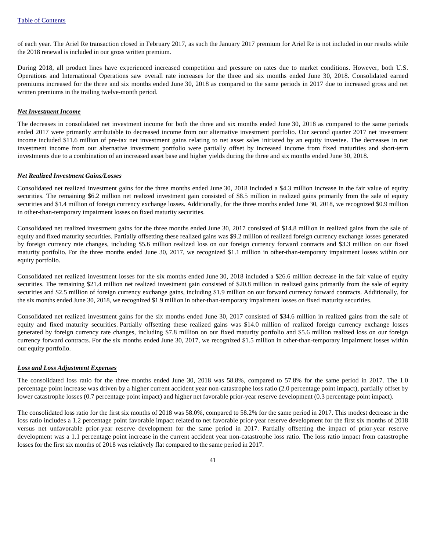of each year. The Ariel Re transaction closed in February 2017, as such the January 2017 premium for Ariel Re is not included in our results while the 2018 renewal is included in our gross written premium.

During 2018, all product lines have experienced increased competition and pressure on rates due to market conditions. However, both U.S. Operations and International Operations saw overall rate increases for the three and six months ended June 30, 2018. Consolidated earned premiums increased for the three and six months ended June 30, 2018 as compared to the same periods in 2017 due to increased gross and net written premiums in the trailing twelve-month period.

#### *Net Investment Income*

The decreases in consolidated net investment income for both the three and six months ended June 30, 2018 as compared to the same periods ended 2017 were primarily attributable to decreased income from our alternative investment portfolio. Our second quarter 2017 net investment income included \$11.6 million of pre-tax net investment gains relating to net asset sales initiated by an equity investee. The decreases in net investment income from our alternative investment portfolio were partially offset by increased income from fixed maturities and short-term investments due to a combination of an increased asset base and higher yields during the three and six months ended June 30, 2018.

#### *Net Realized Investment Gains/Losses*

Consolidated net realized investment gains for the three months ended June 30, 2018 included a \$4.3 million increase in the fair value of equity securities. The remaining \$6.2 million net realized investment gain consisted of \$8.5 million in realized gains primarily from the sale of equity securities and \$1.4 million of foreign currency exchange losses. Additionally, for the three months ended June 30, 2018, we recognized \$0.9 million in other-than-temporary impairment losses on fixed maturity securities.

Consolidated net realized investment gains for the three months ended June 30, 2017 consisted of \$14.8 million in realized gains from the sale of equity and fixed maturity securities. Partially offsetting these realized gains was \$9.2 million of realized foreign currency exchange losses generated by foreign currency rate changes, including \$5.6 million realized loss on our foreign currency forward contracts and \$3.3 million on our fixed maturity portfolio. For the three months ended June 30, 2017, we recognized \$1.1 million in other-than-temporary impairment losses within our equity portfolio.

Consolidated net realized investment losses for the six months ended June 30, 2018 included a \$26.6 million decrease in the fair value of equity securities. The remaining \$21.4 million net realized investment gain consisted of \$20.8 million in realized gains primarily from the sale of equity securities and \$2.5 million of foreign currency exchange gains, including \$1.9 million on our forward currency forward contracts. Additionally, for the six months ended June 30, 2018, we recognized \$1.9 million in other-than-temporary impairment losses on fixed maturity securities.

Consolidated net realized investment gains for the six months ended June 30, 2017 consisted of \$34.6 million in realized gains from the sale of equity and fixed maturity securities. Partially offsetting these realized gains was \$14.0 million of realized foreign currency exchange losses generated by foreign currency rate changes, including \$7.8 million on our fixed maturity portfolio and \$5.6 million realized loss on our foreign currency forward contracts. For the six months ended June 30, 2017, we recognized \$1.5 million in other-than-temporary impairment losses within our equity portfolio.

#### *Loss and Loss Adjustment Expenses*

The consolidated loss ratio for the three months ended June 30, 2018 was 58.8%, compared to 57.8% for the same period in 2017. The 1.0 percentage point increase was driven by a higher current accident year non-catastrophe loss ratio (2.0 percentage point impact), partially offset by lower catastrophe losses (0.7 percentage point impact) and higher net favorable prior-year reserve development (0.3 percentage point impact).

The consolidated loss ratio for the first six months of 2018 was 58.0%, compared to 58.2% for the same period in 2017. This modest decrease in the loss ratio includes a 1.2 percentage point favorable impact related to net favorable prior-year reserve development for the first six months of 2018 versus net unfavorable prior-year reserve development for the same period in 2017. Partially offsetting the impact of prior-year reserve development was a 1.1 percentage point increase in the current accident year non-catastrophe loss ratio. The loss ratio impact from catastrophe losses for the first six months of 2018 was relatively flat compared to the same period in 2017.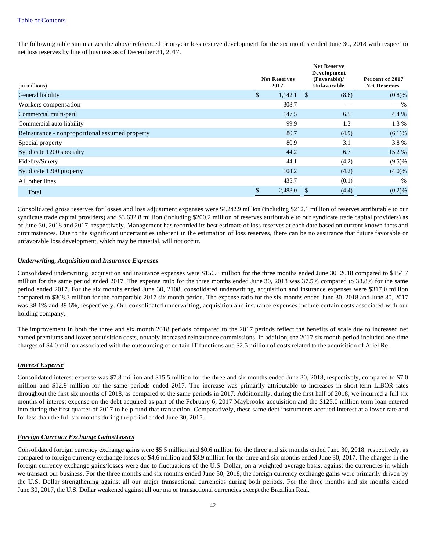The following table summarizes the above referenced prior-year loss reserve development for the six months ended June 30, 2018 with respect to net loss reserves by line of business as of December 31, 2017.

| (in millions)                                  | <b>Net Reserves</b><br>2017 | <b>Net Reserve</b><br>Development<br>(Favorable)/<br>Unfavorable | Percent of 2017<br><b>Net Reserves</b> |
|------------------------------------------------|-----------------------------|------------------------------------------------------------------|----------------------------------------|
| General liability                              | \$<br>1,142.1               | <sup>\$</sup><br>(8.6)                                           | (0.8)%                                 |
| Workers compensation                           | 308.7                       |                                                                  | $-$ %                                  |
| Commercial multi-peril                         | 147.5                       | 6.5                                                              | 4.4 %                                  |
| Commercial auto liability                      | 99.9                        | 1.3                                                              | 1.3 %                                  |
| Reinsurance - nonproportional assumed property | 80.7                        | (4.9)                                                            | (6.1)%                                 |
| Special property                               | 80.9                        | 3.1                                                              | 3.8%                                   |
| Syndicate 1200 specialty                       | 44.2                        | 6.7                                                              | 15.2 %                                 |
| Fidelity/Surety                                | 44.1                        | (4.2)                                                            | $(9.5)\%$                              |
| Syndicate 1200 property                        | 104.2                       | (4.2)                                                            | $(4.0)\%$                              |
| All other lines                                | 435.7                       | (0.1)                                                            | $-$ %                                  |
| Total                                          | \$<br>2,488.0               | (4.4)<br><sup>\$</sup>                                           | $(0.2)$ %                              |

Consolidated gross reserves for losses and loss adjustment expenses were \$4,242.9 million (including \$212.1 million of reserves attributable to our syndicate trade capital providers) and \$3,632.8 million (including \$200.2 million of reserves attributable to our syndicate trade capital providers) as of June 30, 2018 and 2017, respectively. Management has recorded its best estimate of loss reserves at each date based on current known facts and circumstances. Due to the significant uncertainties inherent in the estimation of loss reserves, there can be no assurance that future favorable or unfavorable loss development, which may be material, will not occur.

#### *Underwriting, Acquisition and Insurance Expenses*

Consolidated underwriting, acquisition and insurance expenses were \$156.8 million for the three months ended June 30, 2018 compared to \$154.7 million for the same period ended 2017. The expense ratio for the three months ended June 30, 2018 was 37.5% compared to 38.8% for the same period ended 2017. For the six months ended June 30, 2108, consolidated underwriting, acquisition and insurance expenses were \$317.0 million compared to \$308.3 million for the comparable 2017 six month period. The expense ratio for the six months ended June 30, 2018 and June 30, 2017 was 38.1% and 39.6%, respectively. Our consolidated underwriting, acquisition and insurance expenses include certain costs associated with our holding company.

The improvement in both the three and six month 2018 periods compared to the 2017 periods reflect the benefits of scale due to increased net earned premiums and lower acquisition costs, notably increased reinsurance commissions. In addition, the 2017 six month period included one-time charges of \$4.0 million associated with the outsourcing of certain IT functions and \$2.5 million of costs related to the acquisition of Ariel Re.

#### *Interest Expense*

Consolidated interest expense was \$7.8 million and \$15.5 million for the three and six months ended June 30, 2018, respectively, compared to \$7.0 million and \$12.9 million for the same periods ended 2017. The increase was primarily attributable to increases in short-term LIBOR rates throughout the first six months of 2018, as compared to the same periods in 2017. Additionally, during the first half of 2018, we incurred a full six months of interest expense on the debt acquired as part of the February 6, 2017 Maybrooke acquisition and the \$125.0 million term loan entered into during the first quarter of 2017 to help fund that transaction. Comparatively, these same debt instruments accrued interest at a lower rate and for less than the full six months during the period ended June 30, 2017.

# *Foreign Currency Exchange Gains/Losses*

Consolidated foreign currency exchange gains were \$5.5 million and \$0.6 million for the three and six months ended June 30, 2018, respectively, as compared to foreign currency exchange losses of \$4.6 million and \$3.9 million for the three and six months ended June 30, 2017. The changes in the foreign currency exchange gains/losses were due to fluctuations of the U.S. Dollar, on a weighted average basis, against the currencies in which we transact our business. For the three months and six months ended June 30, 2018, the foreign currency exchange gains were primarily driven by the U.S. Dollar strengthening against all our major transactional currencies during both periods. For the three months and six months ended June 30, 2017, the U.S. Dollar weakened against all our major transactional currencies except the Brazilian Real.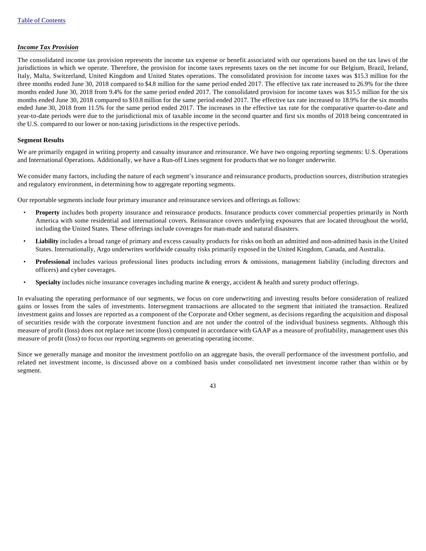## *Income Tax Provision*

The consolidated income tax provision represents the income tax expense or benefit associated with our operations based on the tax laws of the jurisdictions in which we operate. Therefore, the provision for income taxes represents taxes on the net income for our Belgium, Brazil, Ireland, Italy, Malta, Switzerland, United Kingdom and United States operations. The consolidated provision for income taxes was \$15.3 million for the three months ended June 30, 2018 compared to \$4.8 million for the same period ended 2017. The effective tax rate increased to 26.9% for the three months ended June 30, 2018 from 9.4% for the same period ended 2017. The consolidated provision for income taxes was \$15.5 million for the six months ended June 30, 2018 compared to \$10.8 million for the same period ended 2017. The effective tax rate increased to 18.9% for the six months ended June 30, 2018 from 11.5% for the same period ended 2017. The increases in the effective tax rate for the comparative quarter-to-date and year-to-date periods were due to the jurisdictional mix of taxable income in the second quarter and first six months of 2018 being concentrated in the U.S. compared to our lower or non-taxing jurisdictions in the respective periods.

# **Segment Results**

We are primarily engaged in writing property and casualty insurance and reinsurance. We have two ongoing reporting segments: U.S. Operations and International Operations. Additionally, we have a Run-off Lines segment for products that we no longer underwrite.

We consider many factors, including the nature of each segment's insurance and reinsurance products, production sources, distribution strategies and regulatory environment, in determining how to aggregate reporting segments.

Our reportable segments include four primary insurance and reinsurance services and offerings as follows:

- **Property** includes both property insurance and reinsurance products. Insurance products cover commercial properties primarily in North America with some residential and international covers. Reinsurance covers underlying exposures that are located throughout the world, including the United States. These offerings include coverages for man-made and natural disasters.
- **Liability** includes a broad range of primary and excess casualty products for risks on both an admitted and non-admitted basis in the United States. Internationally, Argo underwrites worldwide casualty risks primarily exposed in the United Kingdom, Canada, and Australia.
- **Professional** includes various professional lines products including errors & omissions, management liability (including directors and officers) and cyber coverages.
- **Specialty** includes niche insurance coverages including marine & energy, accident & health and surety product offerings.

In evaluating the operating performance of our segments, we focus on core underwriting and investing results before consideration of realized gains or losses from the sales of investments. Intersegment transactions are allocated to the segment that initiated the transaction. Realized investment gains and losses are reported as a component of the Corporate and Other segment, as decisions regarding the acquisition and disposal of securities reside with the corporate investment function and are not under the control of the individual business segments. Although this measure of profit (loss) does not replace net income (loss) computed in accordance with GAAP as a measure of profitability, management uses this measure of profit (loss) to focus our reporting segments on generating operating income.

Since we generally manage and monitor the investment portfolio on an aggregate basis, the overall performance of the investment portfolio, and related net investment income, is discussed above on a combined basis under consolidated net investment income rather than within or by segment.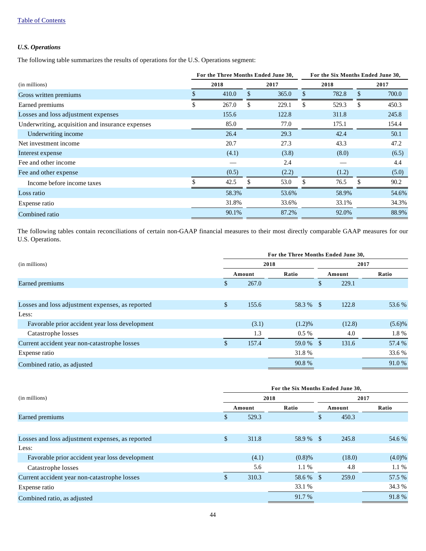# *U.S. Operations*

The following table summarizes the results of operations for the U.S. Operations segment:

| For the Three Months Ended June 30,              |   |              |                    |       |      | For the Six Months Ended June 30, |      |       |  |  |  |
|--------------------------------------------------|---|--------------|--------------------|-------|------|-----------------------------------|------|-------|--|--|--|
| (in millions)                                    |   | 2018<br>2017 |                    |       | 2018 |                                   | 2017 |       |  |  |  |
| Gross written premiums                           |   | 410.0        | $\mathbf{\hat{s}}$ | 365.0 |      | 782.8                             |      | 700.0 |  |  |  |
| Earned premiums                                  | S | 267.0        | \$                 | 229.1 | \$   | 529.3                             | \$   | 450.3 |  |  |  |
| Losses and loss adjustment expenses              |   | 155.6        |                    | 122.8 |      | 311.8                             |      | 245.8 |  |  |  |
| Underwriting, acquisition and insurance expenses |   | 85.0         |                    | 77.0  |      | 175.1                             |      | 154.4 |  |  |  |
| Underwriting income                              |   | 26.4         |                    | 29.3  |      | 42.4                              |      | 50.1  |  |  |  |
| Net investment income                            |   | 20.7         |                    | 27.3  |      | 43.3                              |      | 47.2  |  |  |  |
| Interest expense                                 |   | (4.1)        |                    | (3.8) |      | (8.0)                             |      | (6.5) |  |  |  |
| Fee and other income                             |   |              |                    | 2.4   |      |                                   |      | 4.4   |  |  |  |
| Fee and other expense                            |   | (0.5)        |                    | (2.2) |      | (1.2)                             |      | (5.0) |  |  |  |
| Income before income taxes                       |   | 42.5         | \$                 | 53.0  |      | 76.5                              |      | 90.2  |  |  |  |
| Loss ratio                                       |   | 58.3%        |                    | 53.6% |      | 58.9%                             |      | 54.6% |  |  |  |
| Expense ratio                                    |   | 31.8%        |                    | 33.6% |      | 33.1%                             |      | 34.3% |  |  |  |
| Combined ratio                                   |   | 90.1%        |                    | 87.2% |      | 92.0%                             |      | 88.9% |  |  |  |

The following tables contain reconciliations of certain non-GAAP financial measures to their most directly comparable GAAP measures for our U.S. Operations.

|                                                  | For the Three Months Ended June 30, |        |           |    |        |           |  |  |  |  |  |
|--------------------------------------------------|-------------------------------------|--------|-----------|----|--------|-----------|--|--|--|--|--|
| (in millions)                                    |                                     | 2018   |           |    | 2017   |           |  |  |  |  |  |
| Earned premiums                                  |                                     | Amount | Ratio     |    | Amount | Ratio     |  |  |  |  |  |
|                                                  |                                     | 267.0  |           | \$ | 229.1  |           |  |  |  |  |  |
|                                                  |                                     |        |           |    |        |           |  |  |  |  |  |
| Losses and loss adjustment expenses, as reported | \$                                  | 155.6  | 58.3 % \$ |    | 122.8  | 53.6 %    |  |  |  |  |  |
| Less:                                            |                                     |        |           |    |        |           |  |  |  |  |  |
| Favorable prior accident year loss development   |                                     | (3.1)  | (1.2)%    |    | (12.8) | $(5.6)\%$ |  |  |  |  |  |
| Catastrophe losses                               |                                     | 1.3    | $0.5\%$   |    | 4.0    | 1.8%      |  |  |  |  |  |
| Current accident year non-catastrophe losses     | \$                                  | 157.4  | 59.0 % \$ |    | 131.6  | 57.4 %    |  |  |  |  |  |
| Expense ratio                                    |                                     |        | 31.8%     |    |        | 33.6 %    |  |  |  |  |  |
| Combined ratio, as adjusted                      |                                     |        | 90.8%     |    |        | 91.0 %    |  |  |  |  |  |

|                                                  | For the Six Months Ended June 30, |        |           |    |        |           |  |  |  |  |  |
|--------------------------------------------------|-----------------------------------|--------|-----------|----|--------|-----------|--|--|--|--|--|
| (in millions)                                    |                                   | 2018   |           |    | 2017   |           |  |  |  |  |  |
|                                                  |                                   | Amount | Ratio     |    | Amount | Ratio     |  |  |  |  |  |
| Earned premiums                                  | Ъ.                                | 529.3  |           | \$ | 450.3  |           |  |  |  |  |  |
|                                                  |                                   |        |           |    |        |           |  |  |  |  |  |
| Losses and loss adjustment expenses, as reported | $\mathcal{S}$                     | 311.8  | 58.9 % \$ |    | 245.8  | 54.6 %    |  |  |  |  |  |
| Less:                                            |                                   |        |           |    |        |           |  |  |  |  |  |
| Favorable prior accident year loss development   |                                   | (4.1)  | (0.8)%    |    | (18.0) | $(4.0)\%$ |  |  |  |  |  |
| Catastrophe losses                               |                                   | 5.6    | 1.1%      |    | 4.8    | 1.1%      |  |  |  |  |  |
| Current accident year non-catastrophe losses     | \$                                | 310.3  | 58.6 % \$ |    | 259.0  | 57.5 %    |  |  |  |  |  |
| Expense ratio                                    |                                   |        | 33.1 %    |    |        | 34.3 %    |  |  |  |  |  |
| Combined ratio, as adjusted                      |                                   |        | 91.7 %    |    |        | 91.8%     |  |  |  |  |  |
|                                                  |                                   |        |           |    |        |           |  |  |  |  |  |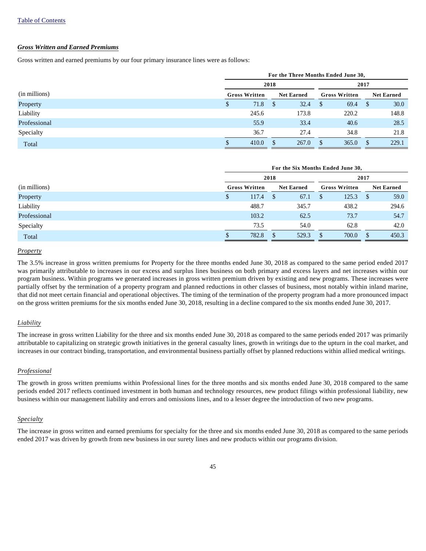## *Gross Written and Earned Premiums*

Gross written and earned premiums by our four primary insurance lines were as follows:

|               | For the Three Months Ended June 30, |                      |              |                   |    |                      |   |                   |  |  |  |
|---------------|-------------------------------------|----------------------|--------------|-------------------|----|----------------------|---|-------------------|--|--|--|
| (in millions) |                                     | 2017                 |              |                   |    |                      |   |                   |  |  |  |
|               |                                     | <b>Gross Written</b> |              | <b>Net Earned</b> |    | <b>Gross Written</b> |   | <b>Net Earned</b> |  |  |  |
| Property      | \$                                  | 71.8                 | $\mathbb{S}$ | 32.4              | \$ | 69.4                 | S | 30.0              |  |  |  |
| Liability     |                                     | 245.6                |              | 173.8             |    | 220.2                |   | 148.8             |  |  |  |
| Professional  |                                     | 55.9                 |              | 33.4              |    | 40.6                 |   | 28.5              |  |  |  |
| Specialty     |                                     | 36.7                 |              | 27.4              |    | 34.8                 |   | 21.8              |  |  |  |
| Total         |                                     | 410.0                | ъĐ.          | 267.0             | S  | 365.0                | D | 229.1             |  |  |  |

|               | For the Six Months Ended June 30, |                      |   |                   |   |                      |      |                   |  |  |  |
|---------------|-----------------------------------|----------------------|---|-------------------|---|----------------------|------|-------------------|--|--|--|
| (in millions) | 2018                              |                      |   |                   |   |                      | 2017 |                   |  |  |  |
|               |                                   | <b>Gross Written</b> |   | <b>Net Earned</b> |   | <b>Gross Written</b> |      | <b>Net Earned</b> |  |  |  |
| Property      | \$                                | 117.4                | S | 67.1              | S | 125.3                |      | 59.0              |  |  |  |
| Liability     |                                   | 488.7                |   | 345.7             |   | 438.2                |      | 294.6             |  |  |  |
| Professional  |                                   | 103.2                |   | 62.5              |   | 73.7                 |      | 54.7              |  |  |  |
| Specialty     |                                   | 73.5                 |   | 54.0              |   | 62.8                 |      | 42.0              |  |  |  |
| Total         |                                   | 782.8                | S | 529.3             | S | 700.0                |      | 450.3             |  |  |  |

## *Property*

The 3.5% increase in gross written premiums for Property for the three months ended June 30, 2018 as compared to the same period ended 2017 was primarily attributable to increases in our excess and surplus lines business on both primary and excess layers and net increases within our program business. Within programs we generated increases in gross written premium driven by existing and new programs. These increases were partially offset by the termination of a property program and planned reductions in other classes of business, most notably within inland marine, that did not meet certain financial and operational objectives. The timing of the termination of the property program had a more pronounced impact on the gross written premiums for the six months ended June 30, 2018, resulting in a decline compared to the six months ended June 30, 2017.

#### *Liability*

The increase in gross written Liability for the three and six months ended June 30, 2018 as compared to the same periods ended 2017 was primarily attributable to capitalizing on strategic growth initiatives in the general casualty lines, growth in writings due to the upturn in the coal market, and increases in our contract binding, transportation, and environmental business partially offset by planned reductions within allied medical writings.

#### *Professional*

The growth in gross written premiums within Professional lines for the three months and six months ended June 30, 2018 compared to the same periods ended 2017 reflects continued investment in both human and technology resources, new product filings within professional liability, new business within our management liability and errors and omissions lines, and to a lesser degree the introduction of two new programs.

#### *Specialty*

The increase in gross written and earned premiums for specialty for the three and six months ended June 30, 2018 as compared to the same periods ended 2017 was driven by growth from new business in our surety lines and new products within our programs division.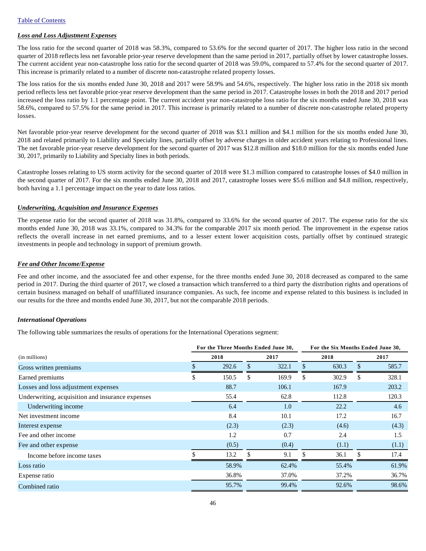## *Loss and Loss Adjustment Expenses*

The loss ratio for the second quarter of 2018 was 58.3%, compared to 53.6% for the second quarter of 2017. The higher loss ratio in the second quarter of 2018 reflects less net favorable prior-year reserve development than the same period in 2017, partially offset by lower catastrophe losses. The current accident year non-catastrophe loss ratio for the second quarter of 2018 was 59.0%, compared to 57.4% for the second quarter of 2017. This increase is primarily related to a number of discrete non-catastrophe related property losses.

The loss ratios for the six months ended June 30, 2018 and 2017 were 58.9% and 54.6%, respectively. The higher loss ratio in the 2018 six month period reflects less net favorable prior-year reserve development than the same period in 2017. Catastrophe losses in both the 2018 and 2017 period increased the loss ratio by 1.1 percentage point. The current accident year non-catastrophe loss ratio for the six months ended June 30, 2018 was 58.6%, compared to 57.5% for the same period in 2017. This increase is primarily related to a number of discrete non-catastrophe related property losses.

Net favorable prior-year reserve development for the second quarter of 2018 was \$3.1 million and \$4.1 million for the six months ended June 30, 2018 and related primarily to Liability and Specialty lines, partially offset by adverse charges in older accident years relating to Professional lines. The net favorable prior-year reserve development for the second quarter of 2017 was \$12.8 million and \$18.0 million for the six months ended June 30, 2017, primarily to Liability and Specialty lines in both periods.

Catastrophe losses relating to US storm activity for the second quarter of 2018 were \$1.3 million compared to catastrophe losses of \$4.0 million in the second quarter of 2017. For the six months ended June 30, 2018 and 2017, catastrophe losses were \$5.6 million and \$4.8 million, respectively, both having a 1.1 percentage impact on the year to date loss ratios.

## *Underwriting, Acquisition and Insurance Expenses*

The expense ratio for the second quarter of 2018 was 31.8%, compared to 33.6% for the second quarter of 2017. The expense ratio for the six months ended June 30, 2018 was 33.1%, compared to 34.3% for the comparable 2017 six month period. The improvement in the expense ratios reflects the overall increase in net earned premiums, and to a lesser extent lower acquisition costs, partially offset by continued strategic investments in people and technology in support of premium growth.

## *Fee and Other Income/Expense*

Fee and other income, and the associated fee and other expense, for the three months ended June 30, 2018 decreased as compared to the same period in 2017. During the third quarter of 2017, we closed a transaction which transferred to a third party the distribution rights and operations of certain business managed on behalf of unaffiliated insurance companies. As such, fee income and expense related to this business is included in our results for the three and months ended June 30, 2017, but not the comparable 2018 periods.

#### *International Operations*

The following table summarizes the results of operations for the International Operations segment:

|                                                  | For the Three Months Ended June 30, |       |               |       |      | For the Six Months Ended June 30, |      |       |  |  |  |
|--------------------------------------------------|-------------------------------------|-------|---------------|-------|------|-----------------------------------|------|-------|--|--|--|
| (in millions)                                    | 2018<br>2017                        |       |               |       | 2018 |                                   | 2017 |       |  |  |  |
| Gross written premiums                           |                                     | 292.6 | <sup>\$</sup> | 322.1 |      | 630.3                             |      | 585.7 |  |  |  |
| Earned premiums                                  | ъ                                   | 150.5 | \$            | 169.9 | \$   | 302.9                             | \$   | 328.1 |  |  |  |
| Losses and loss adjustment expenses              |                                     | 88.7  |               | 106.1 |      | 167.9                             |      | 203.2 |  |  |  |
| Underwriting, acquisition and insurance expenses |                                     | 55.4  |               | 62.8  |      | 112.8                             |      | 120.3 |  |  |  |
| Underwriting income                              |                                     | 6.4   |               | 1.0   |      | 22.2                              |      | 4.6   |  |  |  |
| Net investment income                            |                                     | 8.4   |               | 10.1  |      | 17.2                              |      | 16.7  |  |  |  |
| Interest expense                                 |                                     | (2.3) |               | (2.3) |      | (4.6)                             |      | (4.3) |  |  |  |
| Fee and other income                             |                                     | 1.2   |               | 0.7   |      | 2.4                               |      | 1.5   |  |  |  |
| Fee and other expense                            |                                     | (0.5) |               | (0.4) |      | (1.1)                             |      | (1.1) |  |  |  |
| Income before income taxes                       |                                     | 13.2  | \$.           | 9.1   |      | 36.1                              |      | 17.4  |  |  |  |
| Loss ratio                                       |                                     | 58.9% |               | 62.4% |      | 55.4%                             |      | 61.9% |  |  |  |
| Expense ratio                                    |                                     | 36.8% |               | 37.0% |      | 37.2%                             |      | 36.7% |  |  |  |
| Combined ratio                                   |                                     | 95.7% |               | 99.4% |      | 92.6%                             |      | 98.6% |  |  |  |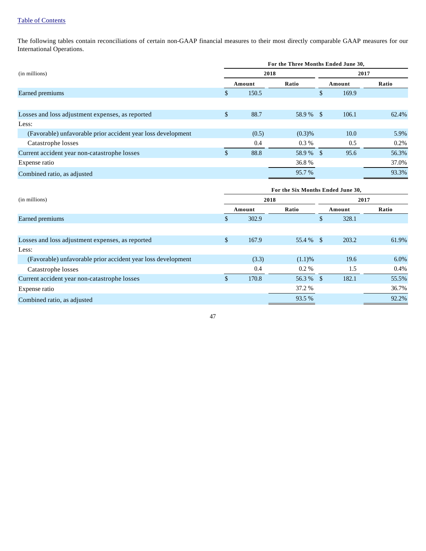The following tables contain reconciliations of certain non-GAAP financial measures to their most directly comparable GAAP measures for our International Operations.

|                                                              | For the Three Months Ended June 30, |        |                                   |              |        |       |  |  |  |  |
|--------------------------------------------------------------|-------------------------------------|--------|-----------------------------------|--------------|--------|-------|--|--|--|--|
| (in millions)                                                |                                     | 2018   |                                   |              | 2017   |       |  |  |  |  |
|                                                              | Amount                              |        | Ratio                             |              | Amount | Ratio |  |  |  |  |
| Earned premiums                                              | $\sqrt$                             | 150.5  |                                   | \$           | 169.9  |       |  |  |  |  |
|                                                              |                                     |        |                                   |              |        |       |  |  |  |  |
| Losses and loss adjustment expenses, as reported             | $\mathbb{S}$                        | 88.7   | 58.9 % \$                         |              | 106.1  | 62.4% |  |  |  |  |
| Less:                                                        |                                     |        |                                   |              |        |       |  |  |  |  |
| (Favorable) unfavorable prior accident year loss development |                                     | (0.5)  | (0.3)%                            |              | 10.0   | 5.9%  |  |  |  |  |
| Catastrophe losses                                           |                                     | 0.4    | 0.3%                              |              | 0.5    | 0.2%  |  |  |  |  |
| Current accident year non-catastrophe losses                 | $\mathbb{S}$                        | 88.8   | 58.9%                             | $\mathbb{S}$ | 95.6   | 56.3% |  |  |  |  |
| Expense ratio                                                |                                     |        | 36.8%                             |              |        | 37.0% |  |  |  |  |
| Combined ratio, as adjusted                                  |                                     |        | 95.7%                             |              |        | 93.3% |  |  |  |  |
|                                                              |                                     |        | For the Six Months Ended June 30, |              |        |       |  |  |  |  |
| (in millions)                                                |                                     | 2018   |                                   |              |        | 2017  |  |  |  |  |
|                                                              |                                     | Amount | Ratio                             |              | Amount | Ratio |  |  |  |  |
| Earned premiums                                              | $\mathcal{S}$                       | 302.9  |                                   | \$           | 328.1  |       |  |  |  |  |
|                                                              |                                     |        |                                   |              |        |       |  |  |  |  |
| Losses and loss adjustment expenses, as reported             | \$                                  | 167.9  | 55.4 % \$                         |              | 203.2  | 61.9% |  |  |  |  |
| Less:                                                        |                                     |        |                                   |              |        |       |  |  |  |  |
| (Favorable) unfavorable prior accident year loss development |                                     | (3.3)  | (1.1)%                            |              | 19.6   | 6.0%  |  |  |  |  |
| Catastrophe losses                                           |                                     | 0.4    | 0.2%                              |              | 1.5    | 0.4%  |  |  |  |  |
| Current accident year non-catastrophe losses                 | $\$$                                | 170.8  | 56.3 %                            | $\sqrt$      | 182.1  | 55.5% |  |  |  |  |
| Expense ratio                                                |                                     |        | 37.2 %                            |              |        | 36.7% |  |  |  |  |
| Combined ratio, as adjusted                                  |                                     |        | 93.5 %                            |              |        | 92.2% |  |  |  |  |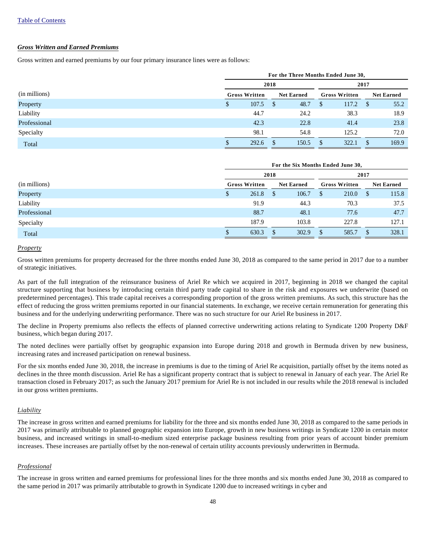# *Gross Written and Earned Premiums*

Gross written and earned premiums by our four primary insurance lines were as follows:

|               |                      | For the Three Months Ended June 30, |   |                   |   |                      |   |                   |  |  |  |  |
|---------------|----------------------|-------------------------------------|---|-------------------|---|----------------------|---|-------------------|--|--|--|--|
| (in millions) |                      | 2018                                |   |                   |   |                      |   |                   |  |  |  |  |
|               | <b>Gross Written</b> |                                     |   | <b>Net Earned</b> |   | <b>Gross Written</b> |   | <b>Net Earned</b> |  |  |  |  |
| Property      | \$                   | 107.5                               | S | 48.7              | P | 117.2                | S | 55.2              |  |  |  |  |
| Liability     |                      | 44.7                                |   | 24.2              |   | 38.3                 |   | 18.9              |  |  |  |  |
| Professional  |                      | 42.3                                |   | 22.8              |   | 41.4                 |   | 23.8              |  |  |  |  |
| Specialty     |                      | 98.1                                |   | 54.8              |   | 125.2                |   | 72.0              |  |  |  |  |
| Total         |                      | 292.6                               |   | 150.5             |   | 322.1                | S | 169.9             |  |  |  |  |

|               | For the Six Months Ended June 30, |                      |   |                   |    |                      |      |                   |  |  |  |
|---------------|-----------------------------------|----------------------|---|-------------------|----|----------------------|------|-------------------|--|--|--|
|               | 2018                              |                      |   |                   |    |                      | 2017 |                   |  |  |  |
| (in millions) |                                   | <b>Gross Written</b> |   | <b>Net Earned</b> |    | <b>Gross Written</b> |      | <b>Net Earned</b> |  |  |  |
| Property      | \$                                | 261.8                | S | 106.7             | S  | 210.0                | S    | 115.8             |  |  |  |
| Liability     |                                   | 91.9                 |   | 44.3              |    | 70.3                 |      | 37.5              |  |  |  |
| Professional  |                                   | 88.7                 |   | 48.1              |    | 77.6                 |      | 47.7              |  |  |  |
| Specialty     |                                   | 187.9                |   | 103.8             |    | 227.8                |      | 127.1             |  |  |  |
| Total         |                                   | 630.3                |   | 302.9             | ۰D | 585.7                | S    | 328.1             |  |  |  |

#### *Property*

Gross written premiums for property decreased for the three months ended June 30, 2018 as compared to the same period in 2017 due to a number of strategic initiatives.

As part of the full integration of the reinsurance business of Ariel Re which we acquired in 2017, beginning in 2018 we changed the capital structure supporting that business by introducing certain third party trade capital to share in the risk and exposures we underwrite (based on predetermined percentages). This trade capital receives a corresponding proportion of the gross written premiums. As such, this structure has the effect of reducing the gross written premiums reported in our financial statements. In exchange, we receive certain remuneration for generating this business and for the underlying underwriting performance. There was no such structure for our Ariel Re business in 2017.

The decline in Property premiums also reflects the effects of planned corrective underwriting actions relating to Syndicate 1200 Property D&F business, which began during 2017.

The noted declines were partially offset by geographic expansion into Europe during 2018 and growth in Bermuda driven by new business, increasing rates and increased participation on renewal business.

For the six months ended June 30, 2018, the increase in premiums is due to the timing of Ariel Re acquisition, partially offset by the items noted as declines in the three month discussion. Ariel Re has a significant property contract that is subject to renewal in January of each year. The Ariel Re transaction closed in February 2017; as such the January 2017 premium for Ariel Re is not included in our results while the 2018 renewal is included in our gross written premiums.

#### *Liability*

The increase in gross written and earned premiums for liability for the three and six months ended June 30, 2018 as compared to the same periods in 2017 was primarily attributable to planned geographic expansion into Europe, growth in new business writings in Syndicate 1200 in certain motor business, and increased writings in small-to-medium sized enterprise package business resulting from prior years of account binder premium increases. These increases are partially offset by the non-renewal of certain utility accounts previously underwritten in Bermuda.

#### *Professional*

The increase in gross written and earned premiums for professional lines for the three months and six months ended June 30, 2018 as compared to the same period in 2017 was primarily attributable to growth in Syndicate 1200 due to increased writings in cyber and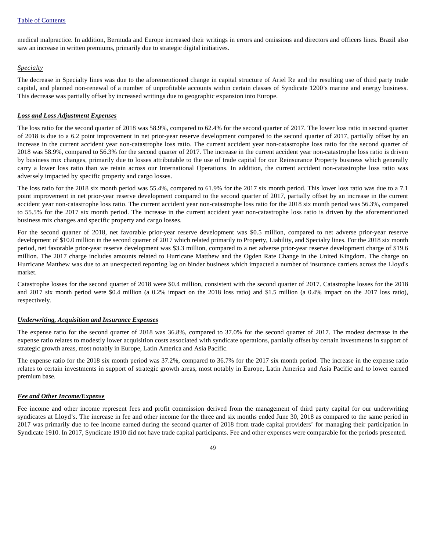medical malpractice. In addition, Bermuda and Europe increased their writings in errors and omissions and directors and officers lines. Brazil also saw an increase in written premiums, primarily due to strategic digital initiatives.

## *Specialty*

The decrease in Specialty lines was due to the aforementioned change in capital structure of Ariel Re and the resulting use of third party trade capital, and planned non-renewal of a number of unprofitable accounts within certain classes of Syndicate 1200's marine and energy business. This decrease was partially offset by increased writings due to geographic expansion into Europe.

# *Loss and Loss Adjustment Expenses*

The loss ratio for the second quarter of 2018 was 58.9%, compared to 62.4% for the second quarter of 2017. The lower loss ratio in second quarter of 2018 is due to a 6.2 point improvement in net prior-year reserve development compared to the second quarter of 2017, partially offset by an increase in the current accident year non-catastrophe loss ratio. The current accident year non-catastrophe loss ratio for the second quarter of 2018 was 58.9%, compared to 56.3% for the second quarter of 2017. The increase in the current accident year non-catastrophe loss ratio is driven by business mix changes, primarily due to losses attributable to the use of trade capital for our Reinsurance Property business which generally carry a lower loss ratio than we retain across our International Operations. In addition, the current accident non-catastrophe loss ratio was adversely impacted by specific property and cargo losses.

The loss ratio for the 2018 six month period was 55.4%, compared to 61.9% for the 2017 six month period. This lower loss ratio was due to a 7.1 point improvement in net prior-year reserve development compared to the second quarter of 2017, partially offset by an increase in the current accident year non-catastrophe loss ratio. The current accident year non-catastrophe loss ratio for the 2018 six month period was 56.3%, compared to 55.5% for the 2017 six month period. The increase in the current accident year non-catastrophe loss ratio is driven by the aforementioned business mix changes and specific property and cargo losses.

For the second quarter of 2018, net favorable prior-year reserve development was \$0.5 million, compared to net adverse prior-year reserve development of \$10.0 million in the second quarter of 2017 which related primarily to Property, Liability, and Specialty lines. For the 2018 six month period, net favorable prior-year reserve development was \$3.3 million, compared to a net adverse prior-year reserve development charge of \$19.6 million. The 2017 charge includes amounts related to Hurricane Matthew and the Ogden Rate Change in the United Kingdom. The charge on Hurricane Matthew was due to an unexpected reporting lag on binder business which impacted a number of insurance carriers across the Lloyd's market.

Catastrophe losses for the second quarter of 2018 were \$0.4 million, consistent with the second quarter of 2017. Catastrophe losses for the 2018 and 2017 six month period were \$0.4 million (a 0.2% impact on the 2018 loss ratio) and \$1.5 million (a 0.4% impact on the 2017 loss ratio), respectively.

#### *Underwriting, Acquisition and Insurance Expenses*

The expense ratio for the second quarter of 2018 was 36.8%, compared to 37.0% for the second quarter of 2017. The modest decrease in the expense ratio relates to modestly lower acquisition costs associated with syndicate operations, partially offset by certain investments in support of strategic growth areas, most notably in Europe, Latin America and Asia Pacific.

The expense ratio for the 2018 six month period was 37.2%, compared to 36.7% for the 2017 six month period. The increase in the expense ratio relates to certain investments in support of strategic growth areas, most notably in Europe, Latin America and Asia Pacific and to lower earned premium base.

#### *Fee and Other Income/Expense*

Fee income and other income represent fees and profit commission derived from the management of third party capital for our underwriting syndicates at Lloyd's. The increase in fee and other income for the three and six months ended June 30, 2018 as compared to the same period in 2017 was primarily due to fee income earned during the second quarter of 2018 from trade capital providers' for managing their participation in Syndicate 1910. In 2017, Syndicate 1910 did not have trade capital participants. Fee and other expenses were comparable for the periods presented.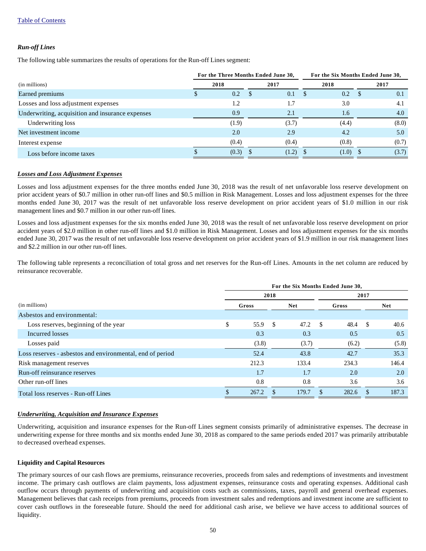## *Run-off Lines*

The following table summarizes the results of operations for the Run-off Lines segment:

|                                                  |  |       |  | For the Three Months Ended June 30, | For the Six Months Ended June 30, |       |    |       |  |
|--------------------------------------------------|--|-------|--|-------------------------------------|-----------------------------------|-------|----|-------|--|
| (in millions)                                    |  | 2018  |  | 2017                                |                                   | 2018  |    | 2017  |  |
| Earned premiums                                  |  | 0.2   |  | 0.1                                 | <sup>\$</sup>                     | 0.2   | -8 | 0.1   |  |
| Losses and loss adjustment expenses              |  | 1.2   |  | 1.7                                 |                                   | 3.0   |    | 4.1   |  |
| Underwriting, acquisition and insurance expenses |  | 0.9   |  | 2.1                                 |                                   | 1.6   |    | 4.0   |  |
| Underwriting loss                                |  | (1.9) |  | (3.7)                               |                                   | (4.4) |    | (8.0) |  |
| Net investment income                            |  | 2.0   |  | 2.9                                 |                                   | 4.2   |    | 5.0   |  |
| Interest expense                                 |  | (0.4) |  | (0.4)                               |                                   | (0.8) |    | (0.7) |  |
| Loss before income taxes                         |  | (0.3) |  | (1.2)                               |                                   | (1.0) |    | (3.7) |  |

## *Losses and Loss Adjustment Expenses*

Losses and loss adjustment expenses for the three months ended June 30, 2018 was the result of net unfavorable loss reserve development on prior accident years of \$0.7 million in other run-off lines and \$0.5 million in Risk Management. Losses and loss adjustment expenses for the three months ended June 30, 2017 was the result of net unfavorable loss reserve development on prior accident years of \$1.0 million in our risk management lines and \$0.7 million in our other run-off lines.

Losses and loss adjustment expenses for the six months ended June 30, 2018 was the result of net unfavorable loss reserve development on prior accident years of \$2.0 million in other run-off lines and \$1.0 million in Risk Management. Losses and loss adjustment expenses for the six months ended June 30, 2017 was the result of net unfavorable loss reserve development on prior accident years of \$1.9 million in our risk management lines and \$2.2 million in our other run-off lines.

The following table represents a reconciliation of total gross and net reserves for the Run-off Lines. Amounts in the net column are reduced by reinsurance recoverable.

|                                                           | For the Six Months Ended June 30, |       |               |            |      |       |               |            |  |  |  |  |  |
|-----------------------------------------------------------|-----------------------------------|-------|---------------|------------|------|-------|---------------|------------|--|--|--|--|--|
|                                                           |                                   |       | 2018          | 2017       |      |       |               |            |  |  |  |  |  |
| (in millions)                                             |                                   | Gross |               | <b>Net</b> |      | Gross |               | <b>Net</b> |  |  |  |  |  |
| Asbestos and environmental:                               |                                   |       |               |            |      |       |               |            |  |  |  |  |  |
| Loss reserves, beginning of the year                      | \$                                | 55.9  | <sup>\$</sup> | 47.2       | - \$ | 48.4  | <sup>\$</sup> | 40.6       |  |  |  |  |  |
| Incurred losses                                           |                                   | 0.3   |               | 0.3        |      | 0.5   |               | 0.5        |  |  |  |  |  |
| Losses paid                                               |                                   | (3.8) |               | (3.7)      |      | (6.2) |               | (5.8)      |  |  |  |  |  |
| Loss reserves - asbestos and environmental, end of period |                                   | 52.4  |               | 43.8       |      | 42.7  |               | 35.3       |  |  |  |  |  |
| Risk management reserves                                  |                                   | 212.3 |               | 133.4      |      | 234.3 |               | 146.4      |  |  |  |  |  |
| Run-off reinsurance reserves                              |                                   | 1.7   |               | 1.7        |      | 2.0   |               | 2.0        |  |  |  |  |  |
| Other run-off lines                                       |                                   | 0.8   |               | 0.8        |      | 3.6   |               | 3.6        |  |  |  |  |  |
| Total loss reserves - Run-off Lines                       |                                   | 267.2 |               | 179.7      | S    | 282.6 |               | 187.3      |  |  |  |  |  |

#### *Underwriting, Acquisition and Insurance Expenses*

Underwriting, acquisition and insurance expenses for the Run-off Lines segment consists primarily of administrative expenses. The decrease in underwriting expense for three months and six months ended June 30, 2018 as compared to the same periods ended 2017 was primarily attributable to decreased overhead expenses.

#### **Liquidity and Capital Resources**

The primary sources of our cash flows are premiums, reinsurance recoveries, proceeds from sales and redemptions of investments and investment income. The primary cash outflows are claim payments, loss adjustment expenses, reinsurance costs and operating expenses. Additional cash outflow occurs through payments of underwriting and acquisition costs such as commissions, taxes, payroll and general overhead expenses. Management believes that cash receipts from premiums, proceeds from investment sales and redemptions and investment income are sufficient to cover cash outflows in the foreseeable future. Should the need for additional cash arise, we believe we have access to additional sources of liquidity.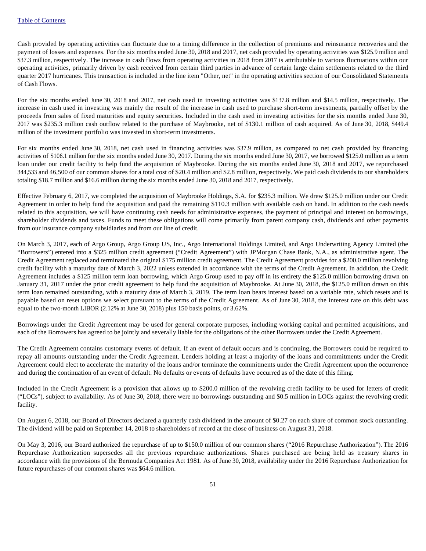Cash provided by operating activities can fluctuate due to a timing difference in the collection of premiums and reinsurance recoveries and the payment of losses and expenses. For the six months ended June 30, 2018 and 2017, net cash provided by operating activities was \$125.9 million and \$37.3 million, respectively. The increase in cash flows from operating activities in 2018 from 2017 is attributable to various fluctuations within our operating activities, primarily driven by cash received from certain third parties in advance of certain large claim settlements related to the third quarter 2017 hurricanes. This transaction is included in the line item "Other, net" in the operating activities section of our Consolidated Statements of Cash Flows.

For the six months ended June 30, 2018 and 2017, net cash used in investing activities was \$137.8 million and \$14.5 million, respectively. The increase in cash used in investing was mainly the result of the increase in cash used to purchase short-term investments, partially offset by the proceeds from sales of fixed maturities and equity securities. Included in the cash used in investing activities for the six months ended June 30, 2017 was \$235.3 million cash outflow related to the purchase of Maybrooke, net of \$130.1 million of cash acquired. As of June 30, 2018, \$449.4 million of the investment portfolio was invested in short-term investments.

For six months ended June 30, 2018, net cash used in financing activities was \$37.9 million, as compared to net cash provided by financing activities of \$106.1 million for the six months ended June 30, 2017. During the six months ended June 30, 2017, we borrowed \$125.0 million as a term loan under our credit facility to help fund the acquisition of Maybrooke. During the six months ended June 30, 2018 and 2017, we repurchased 344,533 and 46,500 of our common shares for a total cost of \$20.4 million and \$2.8 million, respectively. We paid cash dividends to our shareholders totaling \$18.7 million and \$16.6 million during the six months ended June 30, 2018 and 2017, respectively.

Effective February 6, 2017, we completed the acquisition of Maybrooke Holdings, S.A. for \$235.3 million. We drew \$125.0 million under our Credit Agreement in order to help fund the acquisition and paid the remaining \$110.3 million with available cash on hand. In addition to the cash needs related to this acquisition, we will have continuing cash needs for administrative expenses, the payment of principal and interest on borrowings, shareholder dividends and taxes. Funds to meet these obligations will come primarily from parent company cash, dividends and other payments from our insurance company subsidiaries and from our line of credit.

On March 3, 2017, each of Argo Group, Argo Group US, Inc., Argo International Holdings Limited, and Argo Underwriting Agency Limited (the "Borrowers") entered into a \$325 million credit agreement ("Credit Agreement") with JPMorgan Chase Bank, N.A., as administrative agent. The Credit Agreement replaced and terminated the original \$175 million credit agreement. The Credit Agreement provides for a \$200.0 million revolving credit facility with a maturity date of March 3, 2022 unless extended in accordance with the terms of the Credit Agreement. In addition, the Credit Agreement includes a \$125 million term loan borrowing, which Argo Group used to pay off in its entirety the \$125.0 million borrowing drawn on January 31, 2017 under the prior credit agreement to help fund the acquisition of Maybrooke. At June 30, 2018, the \$125.0 million drawn on this term loan remained outstanding, with a maturity date of March 3, 2019. The term loan bears interest based on a variable rate, which resets and is payable based on reset options we select pursuant to the terms of the Credit Agreement. As of June 30, 2018, the interest rate on this debt was equal to the two-month LIBOR (2.12% at June 30, 2018) plus 150 basis points, or 3.62%.

Borrowings under the Credit Agreement may be used for general corporate purposes, including working capital and permitted acquisitions, and each of the Borrowers has agreed to be jointly and severally liable for the obligations of the other Borrowers under the Credit Agreement.

The Credit Agreement contains customary events of default. If an event of default occurs and is continuing, the Borrowers could be required to repay all amounts outstanding under the Credit Agreement. Lenders holding at least a majority of the loans and commitments under the Credit Agreement could elect to accelerate the maturity of the loans and/or terminate the commitments under the Credit Agreement upon the occurrence and during the continuation of an event of default. No defaults or events of defaults have occurred as of the date of this filing.

Included in the Credit Agreement is a provision that allows up to \$200.0 million of the revolving credit facility to be used for letters of credit ("LOCs"), subject to availability. As of June 30, 2018, there were no borrowings outstanding and \$0.5 million in LOCs against the revolving credit facility.

On August 6, 2018, our Board of Directors declared a quarterly cash dividend in the amount of \$0.27 on each share of common stock outstanding. The dividend will be paid on September 14, 2018 to shareholders of record at the close of business on August 31, 2018.

On May 3, 2016, our Board authorized the repurchase of up to \$150.0 million of our common shares ("2016 Repurchase Authorization"). The 2016 Repurchase Authorization supersedes all the previous repurchase authorizations. Shares purchased are being held as treasury shares in accordance with the provisions of the Bermuda Companies Act 1981. As of June 30, 2018, availability under the 2016 Repurchase Authorization for future repurchases of our common shares was \$64.6 million.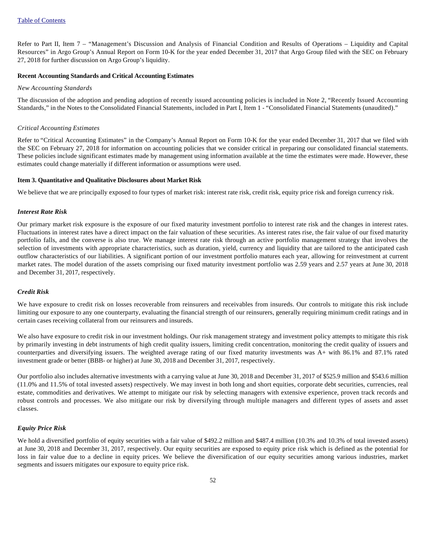Refer to Part II, Item 7 – "Management's Discussion and Analysis of Financial Condition and Results of Operations – Liquidity and Capital Resources" in Argo Group's Annual Report on Form 10-K for the year ended December 31, 2017 that Argo Group filed with the SEC on February 27, 2018 for further discussion on Argo Group's liquidity.

#### **Recent Accounting Standards and Critical Accounting Estimates**

# *New Accounting Standards*

The discussion of the adoption and pending adoption of recently issued accounting policies is included in Note 2, "Recently Issued Accounting Standards," in the Notes to the Consolidated Financial Statements, included in Part I, Item 1 - "Consolidated Financial Statements (unaudited)."

#### *Critical Accounting Estimates*

Refer to "Critical Accounting Estimates" in the Company's Annual Report on Form 10-K for the year ended December 31, 2017 that we filed with the SEC on February 27, 2018 for information on accounting policies that we consider critical in preparing our consolidated financial statements. These policies include significant estimates made by management using information available at the time the estimates were made. However, these estimates could change materially if different information or assumptions were used.

#### **Item 3. Quantitative and Qualitative Disclosures about Market Risk**

We believe that we are principally exposed to four types of market risk: interest rate risk, credit risk, equity price risk and foreign currency risk.

#### *Interest Rate Risk*

Our primary market risk exposure is the exposure of our fixed maturity investment portfolio to interest rate risk and the changes in interest rates. Fluctuations in interest rates have a direct impact on the fair valuation of these securities. As interest rates rise, the fair value of our fixed maturity portfolio falls, and the converse is also true. We manage interest rate risk through an active portfolio management strategy that involves the selection of investments with appropriate characteristics, such as duration, yield, currency and liquidity that are tailored to the anticipated cash outflow characteristics of our liabilities. A significant portion of our investment portfolio matures each year, allowing for reinvestment at current market rates. The model duration of the assets comprising our fixed maturity investment portfolio was 2.59 years and 2.57 years at June 30, 2018 and December 31, 2017, respectively.

#### *Credit Risk*

We have exposure to credit risk on losses recoverable from reinsurers and receivables from insureds. Our controls to mitigate this risk include limiting our exposure to any one counterparty, evaluating the financial strength of our reinsurers, generally requiring minimum credit ratings and in certain cases receiving collateral from our reinsurers and insureds.

We also have exposure to credit risk in our investment holdings. Our risk management strategy and investment policy attempts to mitigate this risk by primarily investing in debt instruments of high credit quality issuers, limiting credit concentration, monitoring the credit quality of issuers and counterparties and diversifying issuers. The weighted average rating of our fixed maturity investments was A+ with 86.1% and 87.1% rated investment grade or better (BBB- or higher) at June 30, 2018 and December 31, 2017, respectively.

Our portfolio also includes alternative investments with a carrying value at June 30, 2018 and December 31, 2017 of \$525.9 million and \$543.6 million (11.0% and 11.5% of total invested assets) respectively. We may invest in both long and short equities, corporate debt securities, currencies, real estate, commodities and derivatives. We attempt to mitigate our risk by selecting managers with extensive experience, proven track records and robust controls and processes. We also mitigate our risk by diversifying through multiple managers and different types of assets and asset classes.

#### *Equity Price Risk*

We hold a diversified portfolio of equity securities with a fair value of \$492.2 million and \$487.4 million (10.3% and 10.3% of total invested assets) at June 30, 2018 and December 31, 2017, respectively. Our equity securities are exposed to equity price risk which is defined as the potential for loss in fair value due to a decline in equity prices. We believe the diversification of our equity securities among various industries, market segments and issuers mitigates our exposure to equity price risk.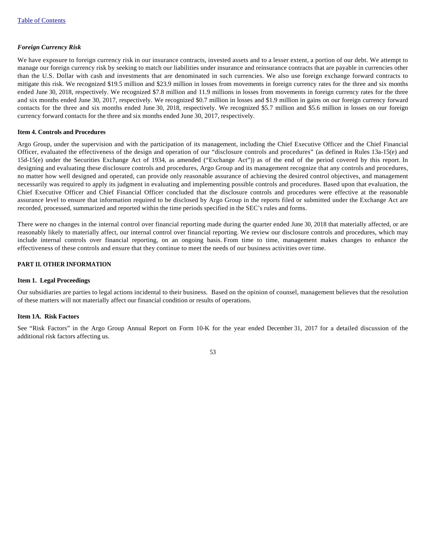#### *Foreign Currency Risk*

We have exposure to foreign currency risk in our insurance contracts, invested assets and to a lesser extent, a portion of our debt. We attempt to manage our foreign currency risk by seeking to match our liabilities under insurance and reinsurance contracts that are payable in currencies other than the U.S. Dollar with cash and investments that are denominated in such currencies. We also use foreign exchange forward contracts to mitigate this risk. We recognized \$19.5 million and \$23.9 million in losses from movements in foreign currency rates for the three and six months ended June 30, 2018, respectively. We recognized \$7.8 million and 11.9 millions in losses from movements in foreign currency rates for the three and six months ended June 30, 2017, respectively. We recognized \$0.7 million in losses and \$1.9 million in gains on our foreign currency forward contacts for the three and six months ended June 30, 2018, respectively. We recognized \$5.7 million and \$5.6 million in losses on our foreign currency forward contacts for the three and six months ended June 30, 2017, respectively.

#### **Item 4. Controls and Procedures**

Argo Group, under the supervision and with the participation of its management, including the Chief Executive Officer and the Chief Financial Officer, evaluated the effectiveness of the design and operation of our "disclosure controls and procedures" (as defined in Rules 13a-15(e) and 15d-15(e) under the Securities Exchange Act of 1934, as amended ("Exchange Act")) as of the end of the period covered by this report. In designing and evaluating these disclosure controls and procedures, Argo Group and its management recognize that any controls and procedures, no matter how well designed and operated, can provide only reasonable assurance of achieving the desired control objectives, and management necessarily was required to apply its judgment in evaluating and implementing possible controls and procedures. Based upon that evaluation, the Chief Executive Officer and Chief Financial Officer concluded that the disclosure controls and procedures were effective at the reasonable assurance level to ensure that information required to be disclosed by Argo Group in the reports filed or submitted under the Exchange Act are recorded, processed, summarized and reported within the time periods specified in the SEC's rules and forms.

There were no changes in the internal control over financial reporting made during the quarter ended June 30, 2018 that materially affected, or are reasonably likely to materially affect, our internal control over financial reporting. We review our disclosure controls and procedures, which may include internal controls over financial reporting, on an ongoing basis. From time to time, management makes changes to enhance the effectiveness of these controls and ensure that they continue to meet the needs of our business activities over time.

#### **PART II. OTHER INFORMATION**

#### **Item 1. Legal Proceedings**

Our subsidiaries are parties to legal actions incidental to their business. Based on the opinion of counsel, management believes that the resolution of these matters will not materially affect our financial condition or results of operations.

#### **Item 1A. Risk Factors**

See "Risk Factors" in the Argo Group Annual Report on Form 10-K for the year ended December 31, 2017 for a detailed discussion of the additional risk factors affecting us.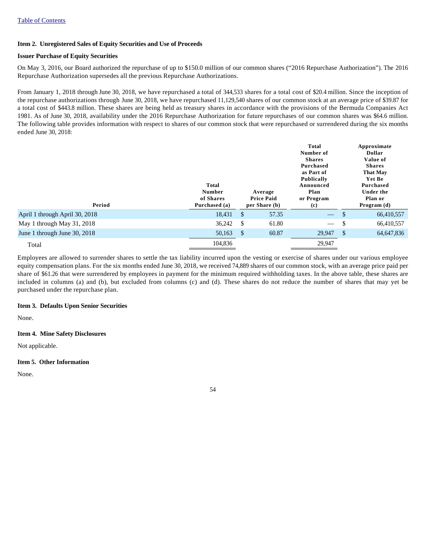# **Item 2. Unregistered Sales of Equity Securities and Use of Proceeds**

### **Issuer Purchase of Equity Securities**

On May 3, 2016, our Board authorized the repurchase of up to \$150.0 million of our common shares ("2016 Repurchase Authorization"). The 2016 Repurchase Authorization supersedes all the previous Repurchase Authorizations.

From January 1, 2018 through June 30, 2018, we have repurchased a total of 344,533 shares for a total cost of \$20.4 million. Since the inception of the repurchase authorizations through June 30, 2018, we have repurchased 11,129,540 shares of our common stock at an average price of \$39.87 for a total cost of \$443.8 million. These shares are being held as treasury shares in accordance with the provisions of the Bermuda Companies Act 1981. As of June 30, 2018, availability under the 2016 Repurchase Authorization for future repurchases of our common shares was \$64.6 million. The following table provides information with respect to shares of our common stock that were repurchased or surrendered during the six months ended June 30, 2018:

| Period                         | <b>Total</b><br><b>Number</b><br>of Shares<br>Purchased (a) |               | Average<br><b>Price Paid</b><br>per Share (b) | <b>Total</b><br>Number of<br><b>Shares</b><br>Purchased<br>as Part of<br>Publically<br>Announced<br>Plan<br>or Program<br>(c) |               | Approximate<br><b>Dollar</b><br>Value of<br><b>Shares</b><br><b>That May</b><br>Yet Be<br>Purchased<br>Under the<br>Plan or<br>Program (d) |
|--------------------------------|-------------------------------------------------------------|---------------|-----------------------------------------------|-------------------------------------------------------------------------------------------------------------------------------|---------------|--------------------------------------------------------------------------------------------------------------------------------------------|
| April 1 through April 30, 2018 | 18,431                                                      | \$            | 57.35                                         | $\hspace{0.05cm}$                                                                                                             | \$            | 66,410,557                                                                                                                                 |
| May 1 through May 31, 2018     | 36,242                                                      | \$            | 61.80                                         | $\overline{\phantom{m}}$                                                                                                      | \$            | 66,410,557                                                                                                                                 |
| June 1 through June 30, 2018   | 50,163                                                      | $\mathcal{S}$ | 60.87                                         | 29,947                                                                                                                        | $\mathcal{S}$ | 64,647,836                                                                                                                                 |
| Total                          | 104,836                                                     |               |                                               | 29,947                                                                                                                        |               |                                                                                                                                            |

Employees are allowed to surrender shares to settle the tax liability incurred upon the vesting or exercise of shares under our various employee equity compensation plans. For the six months ended June 30, 2018, we received 74,889 shares of our common stock, with an average price paid per share of \$61.26 that were surrendered by employees in payment for the minimum required withholding taxes. In the above table, these shares are included in columns (a) and (b), but excluded from columns (c) and (d). These shares do not reduce the number of shares that may yet be purchased under the repurchase plan.

## **Item 3. Defaults Upon Senior Securities**

None.

#### **Item 4. Mine Safety Disclosures**

Not applicable.

#### **Item 5. Other Information**

None.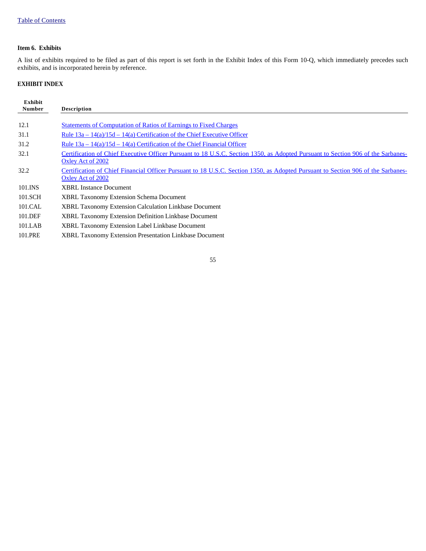# **Item 6. Exhibits**

A list of exhibits required to be filed as part of this report is set forth in the Exhibit Index of this Form 10-Q, which immediately precedes such exhibits, and is incorporated herein by reference.

# **EXHIBIT INDEX**

| Exhibit<br><b>Number</b> | <b>Description</b>                                                                                                               |
|--------------------------|----------------------------------------------------------------------------------------------------------------------------------|
|                          |                                                                                                                                  |
| 12.1                     | <b>Statements of Computation of Ratios of Earnings to Fixed Charges</b>                                                          |
| 31.1                     | Rule $13a - 14(a)/15d - 14(a)$ Certification of the Chief Executive Officer                                                      |
| 31.2                     | Rule $13a - 14(a)/15d - 14(a)$ Certification of the Chief Financial Officer                                                      |
| 32.1                     | Certification of Chief Executive Officer Pursuant to 18 U.S.C. Section 1350, as Adopted Pursuant to Section 906 of the Sarbanes- |
|                          | Oxley Act of 2002                                                                                                                |
| 32.2                     | Certification of Chief Financial Officer Pursuant to 18 U.S.C. Section 1350, as Adopted Pursuant to Section 906 of the Sarbanes- |
|                          | Oxley Act of 2002                                                                                                                |
| 101.INS                  | <b>XBRL</b> Instance Document                                                                                                    |
| 101.SCH                  | <b>XBRL Taxonomy Extension Schema Document</b>                                                                                   |
| 101.CAL                  | <b>XBRL Taxonomy Extension Calculation Linkbase Document</b>                                                                     |
| 101.DEF                  | <b>XBRL Taxonomy Extension Definition Linkbase Document</b>                                                                      |
| 101.LAB                  | <b>XBRL Taxonomy Extension Label Linkbase Document</b>                                                                           |
| 101.PRE                  | <b>XBRL Taxonomy Extension Presentation Linkbase Document</b>                                                                    |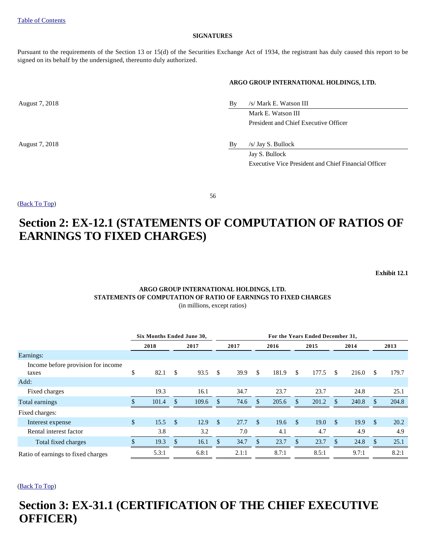## **SIGNATURES**

Pursuant to the requirements of the Section 13 or 15(d) of the Securities Exchange Act of 1934, the registrant has duly caused this report to be signed on its behalf by the undersigned, thereunto duly authorized.

#### **ARGO GROUP INTERNATIONAL HOLDINGS, LTD.**

(Back To Top)

August 7, 2018 **By** *August 7, 2018* By *As August 7, 2018* 

Mark E. Watson III President and Chief Executive Officer

August 7, 2018 By *Islam By /s/ Jay S. Bullock* 

Jay S. Bullock Executive Vice President and Chief Financial Officer

56

# **Section 2: EX-12.1 (STATEMENTS OF COMPUTATION OF RATIOS OF EARNINGS TO FIXED CHARGES)**

**Exhibit 12.1**

### **ARGO GROUP INTERNATIONAL HOLDINGS, LTD. STATEMENTS OF COMPUTATION OF RATIO OF EARNINGS TO FIXED CHARGES** (in millions, except ratios)

|                                    | Six Months Ended June 30, |       |               |       |               | For the Years Ended December 31, |               |       |               |       |      |       |               |       |  |  |
|------------------------------------|---------------------------|-------|---------------|-------|---------------|----------------------------------|---------------|-------|---------------|-------|------|-------|---------------|-------|--|--|
|                                    |                           | 2018  |               | 2017  |               | 2017                             |               | 2016  | 2015          |       | 2014 |       |               | 2013  |  |  |
| Earnings:                          |                           |       |               |       |               |                                  |               |       |               |       |      |       |               |       |  |  |
| Income before provision for income |                           |       |               |       |               |                                  |               |       |               |       |      |       |               |       |  |  |
| taxes                              | \$                        | 82.1  | <sup>\$</sup> | 93.5  | <sup>\$</sup> | 39.9                             | S.            | 181.9 | \$.           | 177.5 | \$.  | 216.0 | <sup>\$</sup> | 179.7 |  |  |
| Add:                               |                           |       |               |       |               |                                  |               |       |               |       |      |       |               |       |  |  |
| Fixed charges                      |                           | 19.3  |               | 16.1  |               | 34.7                             |               | 23.7  |               | 23.7  |      | 24.8  |               | 25.1  |  |  |
| Total earnings                     |                           | 101.4 |               | 109.6 |               | 74.6                             |               | 205.6 |               | 201.2 |      | 240.8 | <sup>\$</sup> | 204.8 |  |  |
| Fixed charges:                     |                           |       |               |       |               |                                  |               |       |               |       |      |       |               |       |  |  |
| Interest expense                   | \$                        | 15.5  | <sup>\$</sup> | 12.9  | $\mathcal{S}$ | 27.7                             | \$.           | 19.6  | <sup>\$</sup> | 19.0  | \$   | 19.9  | <sup>\$</sup> | 20.2  |  |  |
| Rental interest factor             |                           | 3.8   |               | 3.2   |               | 7.0                              |               | 4.1   |               | 4.7   |      | 4.9   |               | 4.9   |  |  |
| Total fixed charges                |                           | 19.3  | \$            | 16.1  | \$            | 34.7                             | $\mathcal{S}$ | 23.7  | \$            | 23.7  | \$.  | 24.8  | <sup>\$</sup> | 25.1  |  |  |
| Ratio of earnings to fixed charges |                           | 5.3:1 |               | 6.8:1 |               | 2.1:1                            |               | 8.7:1 |               | 8.5:1 |      | 9.7:1 |               | 8.2:1 |  |  |

(Back To Top)

# **Section 3: EX-31.1 (CERTIFICATION OF THE CHIEF EXECUTIVE OFFICER)**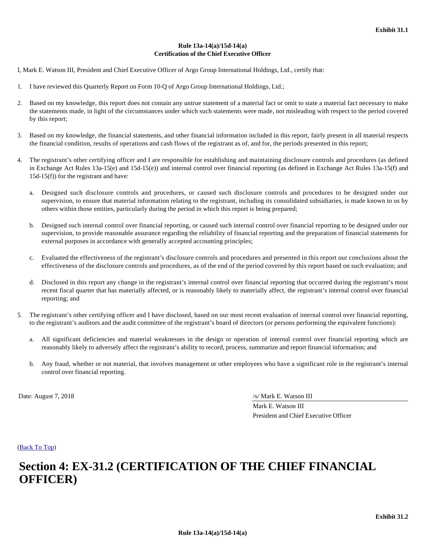# **Rule 13a-14(a)/15d-14(a) Certification of the Chief Executive Officer**

I, Mark E. Watson III, President and Chief Executive Officer of Argo Group International Holdings, Ltd., certify that:

- 1. I have reviewed this Quarterly Report on Form 10-Q of Argo Group International Holdings, Ltd.;
- 2. Based on my knowledge, this report does not contain any untrue statement of a material fact or omit to state a material fact necessary to make the statements made, in light of the circumstances under which such statements were made, not misleading with respect to the period covered by this report;
- 3. Based on my knowledge, the financial statements, and other financial information included in this report, fairly present in all material respects the financial condition, results of operations and cash flows of the registrant as of, and for, the periods presented in this report;
- 4. The registrant's other certifying officer and I are responsible for establishing and maintaining disclosure controls and procedures (as defined in Exchange Act Rules 13a-15(e) and 15d-15(e)) and internal control over financial reporting (as defined in Exchange Act Rules 13a-15(f) and 15d-15(f)) for the registrant and have:
	- a. Designed such disclosure controls and procedures, or caused such disclosure controls and procedures to be designed under our supervision, to ensure that material information relating to the registrant, including its consolidated subsidiaries, is made known to us by others within those entities, particularly during the period in which this report is being prepared;
	- b. Designed such internal control over financial reporting, or caused such internal control over financial reporting to be designed under our supervision, to provide reasonable assurance regarding the reliability of financial reporting and the preparation of financial statements for external purposes in accordance with generally accepted accounting principles;
	- c. Evaluated the effectiveness of the registrant's disclosure controls and procedures and presented in this report our conclusions about the effectiveness of the disclosure controls and procedures, as of the end of the period covered by this report based on such evaluation; and
	- d. Disclosed in this report any change in the registrant's internal control over financial reporting that occurred during the registrant's most recent fiscal quarter that has materially affected, or is reasonably likely to materially affect, the registrant's internal control over financial reporting; and
- 5. The registrant's other certifying officer and I have disclosed, based on our most recent evaluation of internal control over financial reporting, to the registrant's auditors and the audit committee of the registrant's board of directors (or persons performing the equivalent functions):
	- a. All significant deficiencies and material weaknesses in the design or operation of internal control over financial reporting which are reasonably likely to adversely affect the registrant's ability to record, process, summarize and report financial information; and
	- b. Any fraud, whether or not material, that involves management or other employees who have a significant role in the registrant's internal control over financial reporting.

Date: August 7, 2018 /s/ Mark E. Watson III

Mark E. Watson III President and Chief Executive Officer

(Back To Top)

# **Section 4: EX-31.2 (CERTIFICATION OF THE CHIEF FINANCIAL OFFICER)**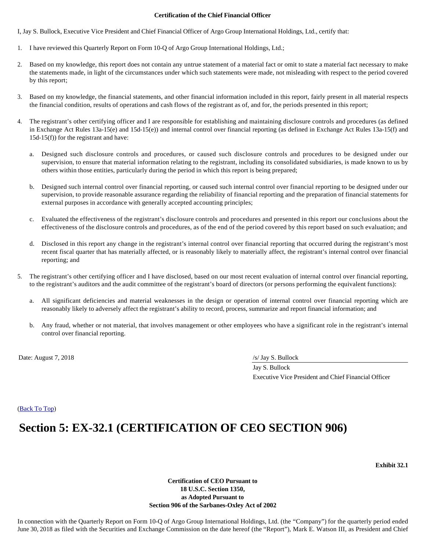## **Certification of the Chief Financial Officer**

I, Jay S. Bullock, Executive Vice President and Chief Financial Officer of Argo Group International Holdings, Ltd., certify that:

- 1. I have reviewed this Quarterly Report on Form 10-Q of Argo Group International Holdings, Ltd.;
- 2. Based on my knowledge, this report does not contain any untrue statement of a material fact or omit to state a material fact necessary to make the statements made, in light of the circumstances under which such statements were made, not misleading with respect to the period covered by this report;
- 3. Based on my knowledge, the financial statements, and other financial information included in this report, fairly present in all material respects the financial condition, results of operations and cash flows of the registrant as of, and for, the periods presented in this report;
- 4. The registrant's other certifying officer and I are responsible for establishing and maintaining disclosure controls and procedures (as defined in Exchange Act Rules 13a-15(e) and 15d-15(e)) and internal control over financial reporting (as defined in Exchange Act Rules 13a-15(f) and 15d-15(f)) for the registrant and have:
	- a. Designed such disclosure controls and procedures, or caused such disclosure controls and procedures to be designed under our supervision, to ensure that material information relating to the registrant, including its consolidated subsidiaries, is made known to us by others within those entities, particularly during the period in which this report is being prepared;
	- b. Designed such internal control over financial reporting, or caused such internal control over financial reporting to be designed under our supervision, to provide reasonable assurance regarding the reliability of financial reporting and the preparation of financial statements for external purposes in accordance with generally accepted accounting principles;
	- c. Evaluated the effectiveness of the registrant's disclosure controls and procedures and presented in this report our conclusions about the effectiveness of the disclosure controls and procedures, as of the end of the period covered by this report based on such evaluation; and
	- d. Disclosed in this report any change in the registrant's internal control over financial reporting that occurred during the registrant's most recent fiscal quarter that has materially affected, or is reasonably likely to materially affect, the registrant's internal control over financial reporting; and
- 5. The registrant's other certifying officer and I have disclosed, based on our most recent evaluation of internal control over financial reporting, to the registrant's auditors and the audit committee of the registrant's board of directors (or persons performing the equivalent functions):
	- a. All significant deficiencies and material weaknesses in the design or operation of internal control over financial reporting which are reasonably likely to adversely affect the registrant's ability to record, process, summarize and report financial information; and
	- b. Any fraud, whether or not material, that involves management or other employees who have a significant role in the registrant's internal control over financial reporting.

Date: August 7, 2018 /s/ Jay S. Bullock

Jay S. Bullock Executive Vice President and Chief Financial Officer

(Back To Top)

# **Section 5: EX-32.1 (CERTIFICATION OF CEO SECTION 906)**

**Exhibit 32.1**

**Certification of CEO Pursuant to 18 U.S.C. Section 1350, as Adopted Pursuant to Section 906 of the Sarbanes-Oxley Act of 2002**

In connection with the Quarterly Report on Form 10-Q of Argo Group International Holdings, Ltd. (the "Company") for the quarterly period ended June 30, 2018 as filed with the Securities and Exchange Commission on the date hereof (the "Report"), Mark E. Watson III, as President and Chief